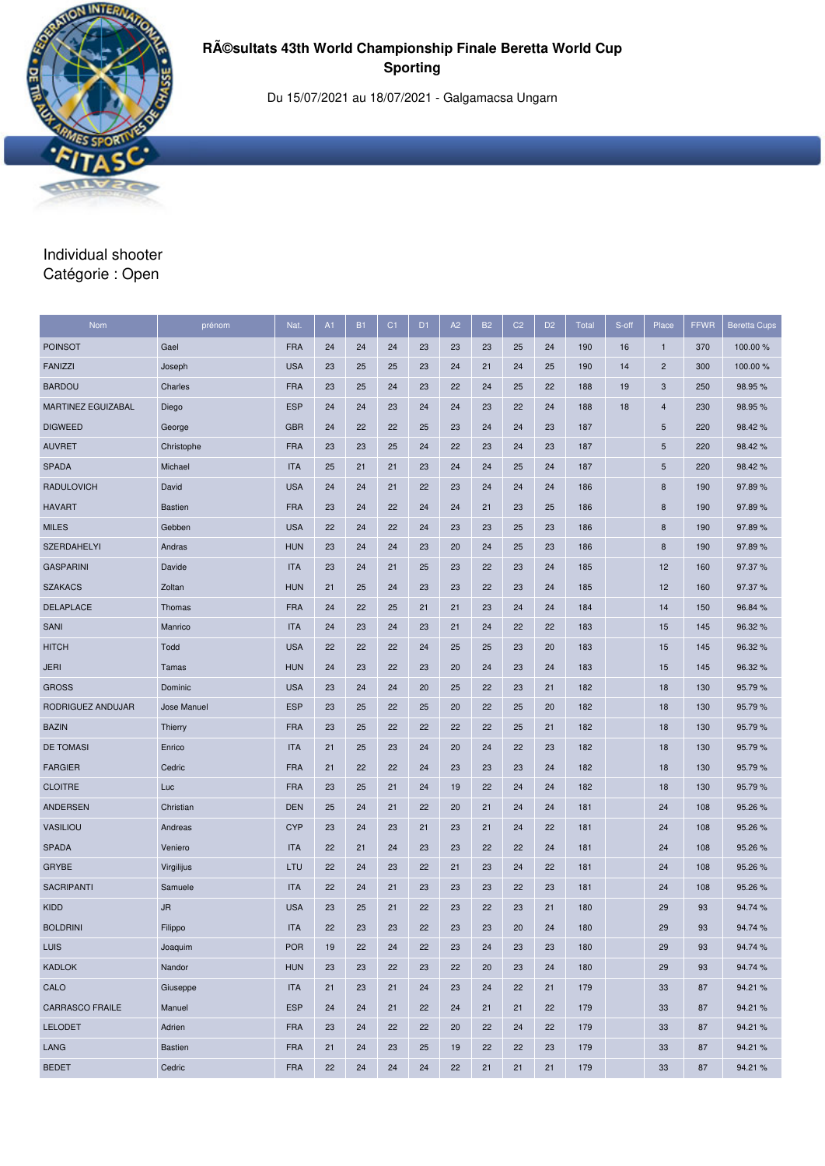

Du 15/07/2021 au 18/07/2021 - Galgamacsa Ungarn

# Individual shooter Catégorie : Open

| Nom                    | prénom         | Nat.       | A1 | <b>B1</b> | C <sub>1</sub> | D <sub>1</sub> | A2 | <b>B2</b> | C <sub>2</sub> | D <sub>2</sub> | <b>Total</b> | S-off | Place                   | <b>FFWR</b> | <b>Beretta Cups</b> |
|------------------------|----------------|------------|----|-----------|----------------|----------------|----|-----------|----------------|----------------|--------------|-------|-------------------------|-------------|---------------------|
| <b>POINSOT</b>         | Gael           | <b>FRA</b> | 24 | 24        | 24             | 23             | 23 | 23        | 25             | 24             | 190          | 16    | $\mathbf{1}$            | 370         | 100.00 %            |
| <b>FANIZZI</b>         | Joseph         | <b>USA</b> | 23 | 25        | 25             | 23             | 24 | 21        | 24             | 25             | 190          | 14    | $\overline{\mathbf{c}}$ | 300         | 100.00 %            |
| <b>BARDOU</b>          | Charles        | <b>FRA</b> | 23 | 25        | 24             | 23             | 22 | 24        | 25             | 22             | 188          | 19    | 3                       | 250         | 98.95%              |
| MARTINEZ EGUIZABAL     | Diego          | <b>ESP</b> | 24 | 24        | 23             | 24             | 24 | 23        | 22             | 24             | 188          | 18    | 4                       | 230         | 98.95%              |
| <b>DIGWEED</b>         | George         | <b>GBR</b> | 24 | 22        | 22             | 25             | 23 | 24        | 24             | 23             | 187          |       | 5                       | 220         | 98.42%              |
| <b>AUVRET</b>          | Christophe     | <b>FRA</b> | 23 | 23        | 25             | 24             | 22 | 23        | 24             | 23             | 187          |       | 5                       | 220         | 98.42 %             |
| <b>SPADA</b>           | Michael        | <b>ITA</b> | 25 | 21        | 21             | 23             | 24 | 24        | 25             | 24             | 187          |       | 5                       | 220         | 98.42%              |
| <b>RADULOVICH</b>      | David          | <b>USA</b> | 24 | 24        | 21             | 22             | 23 | 24        | 24             | 24             | 186          |       | 8                       | 190         | 97.89%              |
| <b>HAVART</b>          | <b>Bastien</b> | <b>FRA</b> | 23 | 24        | 22             | 24             | 24 | 21        | 23             | 25             | 186          |       | 8                       | 190         | 97.89%              |
| <b>MILES</b>           | Gebben         | <b>USA</b> | 22 | 24        | 22             | 24             | 23 | 23        | 25             | 23             | 186          |       | 8                       | 190         | 97.89%              |
| <b>SZERDAHELYI</b>     | Andras         | <b>HUN</b> | 23 | 24        | 24             | 23             | 20 | 24        | 25             | 23             | 186          |       | 8                       | 190         | 97.89 %             |
| <b>GASPARINI</b>       | Davide         | <b>ITA</b> | 23 | 24        | 21             | 25             | 23 | 22        | 23             | 24             | 185          |       | 12                      | 160         | 97.37%              |
| <b>SZAKACS</b>         | Zoltan         | <b>HUN</b> | 21 | 25        | 24             | 23             | 23 | 22        | 23             | 24             | 185          |       | 12                      | 160         | 97.37%              |
| <b>DELAPLACE</b>       | Thomas         | <b>FRA</b> | 24 | 22        | 25             | 21             | 21 | 23        | 24             | 24             | 184          |       | 14                      | 150         | 96.84 %             |
| <b>SANI</b>            | Manrico        | <b>ITA</b> | 24 | 23        | 24             | 23             | 21 | 24        | 22             | 22             | 183          |       | 15                      | 145         | 96.32%              |
| <b>HITCH</b>           | Todd           | <b>USA</b> | 22 | 22        | 22             | 24             | 25 | 25        | 23             | 20             | 183          |       | 15                      | 145         | 96.32%              |
| <b>JERI</b>            | Tamas          | <b>HUN</b> | 24 | 23        | 22             | 23             | 20 | 24        | 23             | 24             | 183          |       | 15                      | 145         | 96.32%              |
| <b>GROSS</b>           | Dominic        | <b>USA</b> | 23 | 24        | 24             | 20             | 25 | 22        | 23             | 21             | 182          |       | 18                      | 130         | 95.79%              |
| RODRIGUEZ ANDUJAR      | Jose Manuel    | <b>ESP</b> | 23 | 25        | 22             | 25             | 20 | 22        | 25             | 20             | 182          |       | 18                      | 130         | 95.79%              |
| <b>BAZIN</b>           | Thierry        | <b>FRA</b> | 23 | 25        | 22             | 22             | 22 | 22        | 25             | 21             | 182          |       | 18                      | 130         | 95.79 %             |
| <b>DE TOMASI</b>       | Enrico         | <b>ITA</b> | 21 | 25        | 23             | 24             | 20 | 24        | 22             | 23             | 182          |       | 18                      | 130         | 95.79%              |
| <b>FARGIER</b>         | Cedric         | <b>FRA</b> | 21 | 22        | 22             | 24             | 23 | 23        | 23             | 24             | 182          |       | 18                      | 130         | 95.79%              |
| <b>CLOITRE</b>         | Luc            | <b>FRA</b> | 23 | 25        | 21             | 24             | 19 | 22        | 24             | 24             | 182          |       | 18                      | 130         | 95.79%              |
| <b>ANDERSEN</b>        | Christian      | <b>DEN</b> | 25 | 24        | 21             | 22             | 20 | 21        | 24             | 24             | 181          |       | 24                      | 108         | 95.26 %             |
| <b>VASILIOU</b>        | Andreas        | <b>CYP</b> | 23 | 24        | 23             | 21             | 23 | 21        | 24             | 22             | 181          |       | 24                      | 108         | 95.26 %             |
| <b>SPADA</b>           | Veniero        | <b>ITA</b> | 22 | 21        | 24             | 23             | 23 | 22        | 22             | 24             | 181          |       | 24                      | 108         | 95.26 %             |
| <b>GRYBE</b>           | Virgilijus     | LTU        | 22 | 24        | 23             | 22             | 21 | 23        | 24             | 22             | 181          |       | 24                      | 108         | 95.26 %             |
| SACRIPANTI             | Samuele        | <b>ITA</b> | 22 | 24        | 21             | 23             | 23 | 23        | 22             | 23             | 181          |       | 24                      | 108         | 95.26 %             |
| <b>KIDD</b>            | <b>JR</b>      | <b>USA</b> | 23 | 25        | 21             | 22             | 23 | 22        | 23             | 21             | 180          |       | 29                      | 93          | 94.74 %             |
| <b>BOLDRINI</b>        | Filippo        | <b>ITA</b> | 22 | 23        | 23             | 22             | 23 | 23        | 20             | 24             | 180          |       | 29                      | 93          | 94.74%              |
| <b>LUIS</b>            | Joaquim        | <b>POR</b> | 19 | 22        | 24             | 22             | 23 | 24        | 23             | 23             | 180          |       | 29                      | 93          | 94.74 %             |
| <b>KADLOK</b>          | Nandor         | <b>HUN</b> | 23 | 23        | 22             | 23             | 22 | 20        | 23             | 24             | 180          |       | 29                      | 93          | 94.74 %             |
| CALO                   | Giuseppe       | <b>ITA</b> | 21 | 23        | 21             | 24             | 23 | 24        | 22             | 21             | 179          |       | 33                      | 87          | 94.21%              |
| <b>CARRASCO FRAILE</b> | Manuel         | <b>ESP</b> | 24 | 24        | 21             | 22             | 24 | 21        | 21             | 22             | 179          |       | 33                      | 87          | 94.21%              |
| <b>LELODET</b>         | Adrien         | <b>FRA</b> | 23 | 24        | 22             | 22             | 20 | 22        | 24             | 22             | 179          |       | 33                      | 87          | 94.21%              |
| LANG                   | Bastien        | <b>FRA</b> | 21 | 24        | 23             | 25             | 19 | 22        | 22             | 23             | 179          |       | 33                      | 87          | 94.21%              |
| <b>BEDET</b>           | Cedric         | <b>FRA</b> | 22 | 24        | 24             | 24             | 22 | 21        | 21             | 21             | 179          |       | 33                      | 87          | 94.21%              |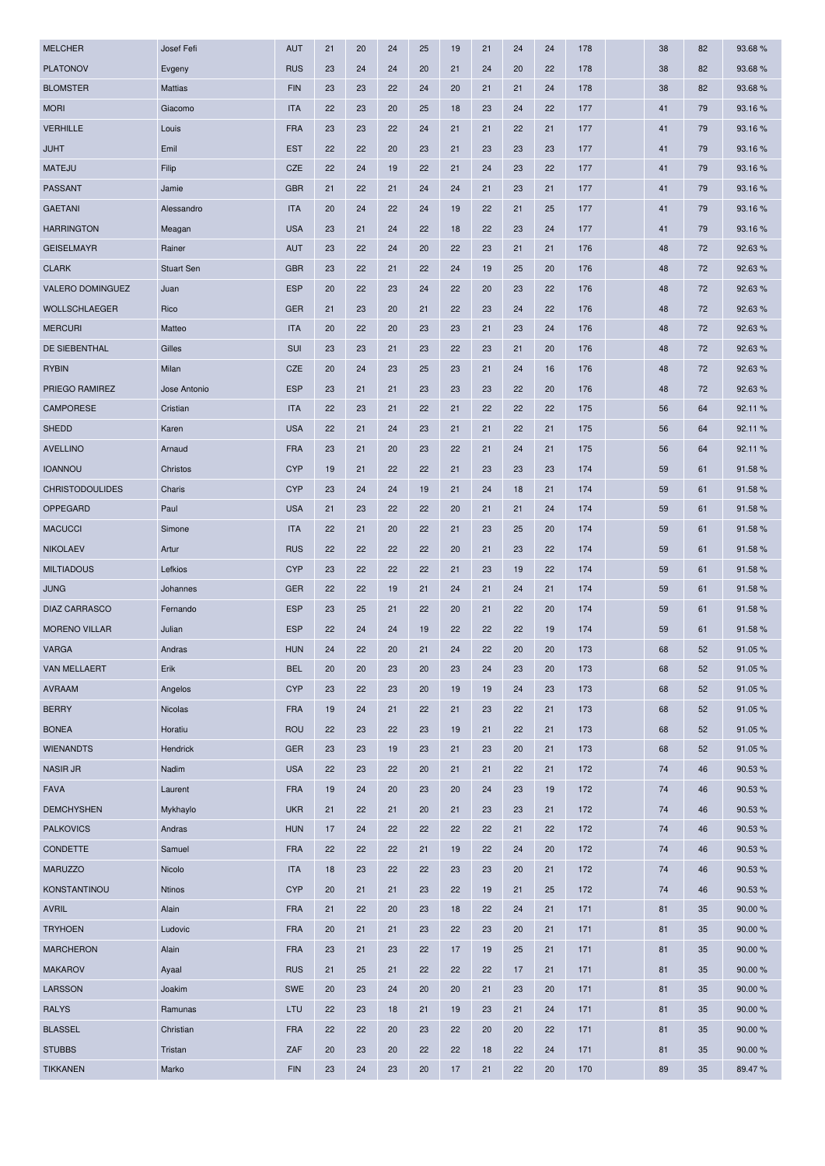| <b>MELCHER</b>         | Josef Fefi        | <b>AUT</b> | 21 | 20 | 24 | 25 | 19 | 21 | 24 | 24 | 178 | 38 | 82 | 93.68%  |
|------------------------|-------------------|------------|----|----|----|----|----|----|----|----|-----|----|----|---------|
| <b>PLATONOV</b>        | Evgeny            | <b>RUS</b> | 23 | 24 | 24 | 20 | 21 | 24 | 20 | 22 | 178 | 38 | 82 | 93.68%  |
| <b>BLOMSTER</b>        | <b>Mattias</b>    | <b>FIN</b> | 23 | 23 | 22 | 24 | 20 | 21 | 21 | 24 | 178 | 38 | 82 | 93.68%  |
| <b>MORI</b>            | Giacomo           | <b>ITA</b> | 22 | 23 | 20 | 25 | 18 | 23 | 24 | 22 | 177 | 41 | 79 | 93.16 % |
| <b>VERHILLE</b>        | Louis             | <b>FRA</b> | 23 | 23 | 22 | 24 | 21 | 21 | 22 | 21 | 177 | 41 | 79 | 93.16%  |
| <b>JUHT</b>            | Emil              | <b>EST</b> | 22 | 22 | 20 | 23 | 21 | 23 | 23 | 23 | 177 | 41 | 79 | 93.16 % |
| <b>MATEJU</b>          | Filip             | <b>CZE</b> | 22 | 24 | 19 | 22 | 21 | 24 | 23 | 22 | 177 | 41 | 79 | 93.16%  |
| <b>PASSANT</b>         | Jamie             | <b>GBR</b> | 21 | 22 | 21 | 24 | 24 | 21 | 23 | 21 | 177 | 41 | 79 | 93.16%  |
| <b>GAETANI</b>         | Alessandro        | <b>ITA</b> | 20 | 24 | 22 | 24 | 19 | 22 | 21 | 25 | 177 | 41 | 79 | 93.16 % |
| <b>HARRINGTON</b>      | Meagan            | <b>USA</b> | 23 | 21 | 24 | 22 | 18 | 22 | 23 | 24 | 177 | 41 | 79 | 93.16%  |
| <b>GEISELMAYR</b>      | Rainer            | <b>AUT</b> | 23 | 22 | 24 | 20 | 22 | 23 | 21 | 21 | 176 | 48 | 72 | 92.63%  |
| <b>CLARK</b>           | <b>Stuart Sen</b> | <b>GBR</b> | 23 | 22 | 21 | 22 | 24 | 19 | 25 | 20 | 176 | 48 | 72 | 92.63%  |
| VALERO DOMINGUEZ       | Juan              | <b>ESP</b> | 20 | 22 | 23 | 24 | 22 | 20 | 23 | 22 | 176 | 48 | 72 | 92.63%  |
| WOLLSCHLAEGER          | Rico              | <b>GER</b> | 21 | 23 | 20 | 21 | 22 | 23 | 24 | 22 | 176 | 48 | 72 | 92.63%  |
| <b>MERCURI</b>         | Matteo            | <b>ITA</b> | 20 | 22 | 20 | 23 | 23 | 21 | 23 | 24 | 176 | 48 | 72 | 92.63%  |
| <b>DE SIEBENTHAL</b>   | Gilles            | <b>SUI</b> | 23 | 23 | 21 | 23 | 22 | 23 | 21 | 20 | 176 | 48 | 72 | 92.63 % |
| <b>RYBIN</b>           | Milan             | <b>CZE</b> | 20 | 24 | 23 | 25 | 23 | 21 | 24 | 16 | 176 | 48 | 72 | 92.63%  |
| PRIEGO RAMIREZ         | Jose Antonio      | <b>ESP</b> | 23 | 21 | 21 | 23 | 23 | 23 | 22 | 20 | 176 | 48 | 72 | 92.63%  |
| <b>CAMPORESE</b>       | Cristian          | <b>ITA</b> | 22 | 23 | 21 | 22 | 21 | 22 | 22 | 22 | 175 | 56 | 64 | 92.11 % |
| <b>SHEDD</b>           | Karen             | <b>USA</b> | 22 | 21 | 24 | 23 | 21 | 21 | 22 | 21 | 175 | 56 | 64 | 92.11%  |
| <b>AVELLINO</b>        | Arnaud            | <b>FRA</b> | 23 | 21 | 20 | 23 | 22 | 21 | 24 | 21 | 175 | 56 | 64 | 92.11 % |
| <b>IOANNOU</b>         | Christos          | <b>CYP</b> | 19 | 21 | 22 | 22 | 21 | 23 | 23 | 23 | 174 | 59 | 61 | 91.58%  |
| <b>CHRISTODOULIDES</b> | Charis            | <b>CYP</b> | 23 | 24 | 24 | 19 | 21 | 24 | 18 | 21 | 174 | 59 | 61 | 91.58 % |
| OPPEGARD               | Paul              | <b>USA</b> | 21 | 23 | 22 | 22 | 20 | 21 | 21 | 24 | 174 | 59 | 61 | 91.58%  |
| <b>MACUCCI</b>         | Simone            | <b>ITA</b> | 22 | 21 | 20 | 22 | 21 | 23 | 25 | 20 | 174 | 59 | 61 | 91.58%  |
| <b>NIKOLAEV</b>        | Artur             | <b>RUS</b> | 22 | 22 | 22 | 22 | 20 | 21 | 23 | 22 | 174 | 59 | 61 | 91.58 % |
| <b>MILTIADOUS</b>      | Lefkios           | <b>CYP</b> | 23 | 22 | 22 | 22 | 21 | 23 | 19 | 22 | 174 | 59 | 61 | 91.58%  |
| <b>JUNG</b>            | Johannes          | <b>GER</b> | 22 | 22 | 19 | 21 | 24 | 21 | 24 | 21 | 174 | 59 | 61 | 91.58 % |
| <b>DIAZ CARRASCO</b>   | Fernando          | <b>ESP</b> | 23 | 25 | 21 | 22 | 20 | 21 | 22 | 20 | 174 | 59 | 61 | 91.58%  |
| <b>MORENO VILLAR</b>   | Julian            | <b>ESP</b> | 22 | 24 | 24 | 19 | 22 | 22 | 22 | 19 | 174 | 59 | 61 | 91.58 % |
| <b>VARGA</b>           | Andras            | <b>HUN</b> | 24 | 22 | 20 | 21 | 24 | 22 | 20 | 20 | 173 | 68 | 52 | 91.05 % |
| <b>VAN MELLAERT</b>    | Erik              | <b>BEL</b> | 20 | 20 | 23 | 20 | 23 | 24 | 23 | 20 | 173 | 68 | 52 | 91.05%  |
| <b>AVRAAM</b>          | Angelos           | <b>CYP</b> | 23 | 22 | 23 | 20 | 19 | 19 | 24 | 23 | 173 | 68 | 52 | 91.05%  |
| <b>BERRY</b>           | Nicolas           | <b>FRA</b> | 19 | 24 | 21 | 22 | 21 | 23 | 22 | 21 | 173 | 68 | 52 | 91.05%  |
| <b>BONEA</b>           | Horatiu           | <b>ROU</b> | 22 | 23 | 22 | 23 | 19 | 21 | 22 | 21 | 173 | 68 | 52 | 91.05%  |
| <b>WIENANDTS</b>       | Hendrick          | <b>GER</b> | 23 | 23 | 19 | 23 | 21 | 23 | 20 | 21 | 173 | 68 | 52 | 91.05%  |
| <b>NASIR JR</b>        | Nadim             | <b>USA</b> | 22 | 23 | 22 | 20 | 21 | 21 | 22 | 21 | 172 | 74 | 46 | 90.53%  |
| <b>FAVA</b>            | Laurent           | <b>FRA</b> | 19 | 24 | 20 | 23 | 20 | 24 | 23 | 19 | 172 | 74 | 46 | 90.53 % |
| <b>DEMCHYSHEN</b>      | Mykhaylo          | <b>UKR</b> | 21 | 22 | 21 | 20 | 21 | 23 | 23 | 21 | 172 | 74 | 46 | 90.53%  |
| <b>PALKOVICS</b>       | Andras            | <b>HUN</b> | 17 | 24 | 22 | 22 | 22 | 22 | 21 | 22 | 172 | 74 | 46 | 90.53%  |
| CONDETTE               | Samuel            | <b>FRA</b> | 22 | 22 | 22 | 21 | 19 | 22 | 24 | 20 | 172 | 74 | 46 | 90.53%  |
| <b>MARUZZO</b>         | Nicolo            | <b>ITA</b> | 18 | 23 | 22 | 22 | 23 | 23 | 20 | 21 | 172 | 74 | 46 | 90.53%  |
| KONSTANTINOU           | <b>Ntinos</b>     | <b>CYP</b> | 20 | 21 | 21 | 23 | 22 | 19 | 21 | 25 | 172 | 74 | 46 | 90.53 % |
| <b>AVRIL</b>           | Alain             | <b>FRA</b> | 21 | 22 | 20 | 23 | 18 | 22 | 24 | 21 | 171 | 81 | 35 | 90.00 % |
| <b>TRYHOEN</b>         | Ludovic           | <b>FRA</b> | 20 | 21 | 21 | 23 | 22 | 23 | 20 | 21 | 171 | 81 | 35 | 90.00 % |
| <b>MARCHERON</b>       | Alain             | <b>FRA</b> | 23 | 21 | 23 | 22 | 17 | 19 | 25 | 21 | 171 | 81 | 35 | 90.00 % |
| <b>MAKAROV</b>         | Ayaal             | <b>RUS</b> | 21 | 25 | 21 | 22 | 22 | 22 | 17 | 21 | 171 | 81 | 35 | 90.00 % |
| <b>LARSSON</b>         | Joakim            | <b>SWE</b> | 20 | 23 | 24 | 20 | 20 | 21 | 23 | 20 | 171 | 81 | 35 | 90.00 % |
| <b>RALYS</b>           | Ramunas           | LTU        | 22 | 23 | 18 | 21 | 19 | 23 | 21 | 24 | 171 | 81 | 35 | 90.00 % |
| <b>BLASSEL</b>         | Christian         | <b>FRA</b> | 22 | 22 | 20 | 23 | 22 | 20 | 20 | 22 | 171 | 81 | 35 | 90.00 % |
| <b>STUBBS</b>          | Tristan           | ZAF        | 20 | 23 | 20 | 22 | 22 | 18 | 22 | 24 | 171 | 81 | 35 | 90.00 % |
| <b>TIKKANEN</b>        | Marko             | <b>FIN</b> | 23 | 24 | 23 | 20 | 17 | 21 | 22 | 20 | 170 | 89 | 35 | 89.47%  |
|                        |                   |            |    |    |    |    |    |    |    |    |     |    |    |         |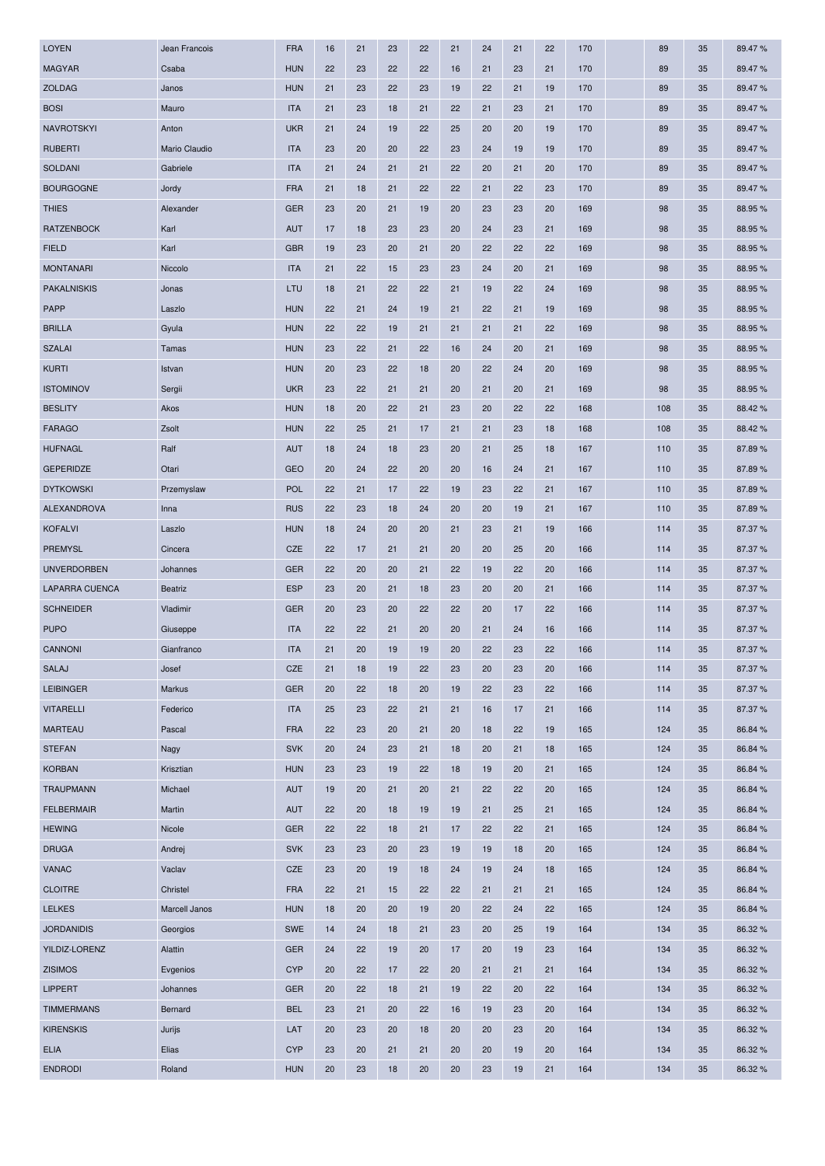| <b>LOYEN</b>       | Jean Francois  | <b>FRA</b> | 16 | 21 | 23 | 22 | 21 | 24 | 21 | 22 | 170 | 89  | 35 | 89.47%  |
|--------------------|----------------|------------|----|----|----|----|----|----|----|----|-----|-----|----|---------|
| <b>MAGYAR</b>      | Csaba          | <b>HUN</b> | 22 | 23 | 22 | 22 | 16 | 21 | 23 | 21 | 170 | 89  | 35 | 89.47%  |
| <b>ZOLDAG</b>      | Janos          | <b>HUN</b> | 21 | 23 | 22 | 23 | 19 | 22 | 21 | 19 | 170 | 89  | 35 | 89.47%  |
| <b>BOSI</b>        | Mauro          | <b>ITA</b> | 21 | 23 | 18 | 21 | 22 | 21 | 23 | 21 | 170 | 89  | 35 | 89.47%  |
| <b>NAVROTSKYI</b>  | Anton          | <b>UKR</b> | 21 | 24 | 19 | 22 | 25 | 20 | 20 | 19 | 170 | 89  | 35 | 89.47%  |
| <b>RUBERTI</b>     | Mario Claudio  | <b>ITA</b> | 23 | 20 | 20 | 22 | 23 | 24 | 19 | 19 | 170 | 89  | 35 | 89.47%  |
| <b>SOLDANI</b>     | Gabriele       | <b>ITA</b> | 21 | 24 | 21 | 21 | 22 | 20 | 21 | 20 | 170 | 89  | 35 | 89.47%  |
| <b>BOURGOGNE</b>   | Jordy          | <b>FRA</b> | 21 | 18 | 21 | 22 | 22 | 21 | 22 | 23 | 170 | 89  | 35 | 89.47%  |
| <b>THIES</b>       | Alexander      | <b>GER</b> | 23 | 20 | 21 | 19 | 20 | 23 | 23 | 20 | 169 | 98  | 35 | 88.95%  |
| <b>RATZENBOCK</b>  | Karl           | <b>AUT</b> | 17 | 18 | 23 | 23 | 20 | 24 | 23 | 21 | 169 | 98  | 35 | 88.95%  |
| <b>FIELD</b>       | Karl           | <b>GBR</b> | 19 | 23 | 20 | 21 | 20 | 22 | 22 | 22 | 169 | 98  | 35 | 88.95%  |
| <b>MONTANARI</b>   | Niccolo        | <b>ITA</b> | 21 | 22 | 15 | 23 | 23 | 24 | 20 | 21 | 169 | 98  | 35 | 88.95%  |
| PAKALNISKIS        | Jonas          | LTU        | 18 | 21 | 22 | 22 | 21 | 19 | 22 | 24 | 169 | 98  | 35 | 88.95%  |
| <b>PAPP</b>        | Laszlo         | <b>HUN</b> | 22 | 21 | 24 | 19 | 21 | 22 | 21 | 19 | 169 | 98  | 35 | 88.95%  |
| <b>BRILLA</b>      | Gyula          | <b>HUN</b> | 22 | 22 | 19 | 21 | 21 | 21 | 21 | 22 | 169 | 98  | 35 | 88.95%  |
| <b>SZALAI</b>      | Tamas          | <b>HUN</b> | 23 | 22 | 21 | 22 | 16 | 24 | 20 | 21 | 169 | 98  | 35 | 88.95 % |
| <b>KURTI</b>       | Istvan         | <b>HUN</b> | 20 | 23 | 22 | 18 | 20 | 22 | 24 | 20 | 169 | 98  | 35 | 88.95%  |
| <b>ISTOMINOV</b>   | Sergii         | <b>UKR</b> | 23 | 22 | 21 | 21 | 20 | 21 | 20 | 21 | 169 | 98  | 35 | 88.95 % |
| <b>BESLITY</b>     | Akos           | <b>HUN</b> | 18 | 20 | 22 | 21 | 23 | 20 | 22 | 22 | 168 | 108 | 35 | 88.42%  |
| <b>FARAGO</b>      | Zsolt          | <b>HUN</b> | 22 | 25 | 21 | 17 | 21 | 21 | 23 | 18 | 168 | 108 | 35 | 88.42%  |
| <b>HUFNAGL</b>     | Ralf           | <b>AUT</b> | 18 | 24 | 18 | 23 | 20 | 21 | 25 | 18 | 167 | 110 | 35 | 87.89%  |
| <b>GEPERIDZE</b>   | Otari          | <b>GEO</b> | 20 | 24 | 22 | 20 | 20 | 16 | 24 | 21 | 167 | 110 | 35 | 87.89%  |
| <b>DYTKOWSKI</b>   | Przemyslaw     | <b>POL</b> | 22 | 21 | 17 | 22 | 19 | 23 | 22 | 21 | 167 | 110 | 35 | 87.89%  |
| ALEXANDROVA        | Inna           | <b>RUS</b> | 22 | 23 | 18 | 24 | 20 | 20 | 19 | 21 | 167 | 110 | 35 | 87.89 % |
| <b>KOFALVI</b>     | Laszlo         | <b>HUN</b> | 18 | 24 | 20 | 20 | 21 | 23 | 21 | 19 | 166 | 114 | 35 | 87.37%  |
| <b>PREMYSL</b>     | Cincera        | CZE        | 22 | 17 | 21 | 21 | 20 | 20 | 25 | 20 | 166 | 114 | 35 | 87.37%  |
|                    |                |            |    |    |    |    |    |    |    |    |     |     |    |         |
| <b>UNVERDORBEN</b> | Johannes       | <b>GER</b> | 22 | 20 | 20 | 21 | 22 | 19 | 22 | 20 | 166 | 114 | 35 | 87.37 % |
| LAPARRA CUENCA     | <b>Beatriz</b> | <b>ESP</b> | 23 | 20 | 21 | 18 | 23 | 20 | 20 | 21 | 166 | 114 | 35 | 87.37 % |
| <b>SCHNEIDER</b>   | Vladimir       | <b>GER</b> | 20 | 23 | 20 | 22 | 22 | 20 | 17 | 22 | 166 | 114 | 35 | 87.37 % |
| <b>PUPO</b>        | Giuseppe       | <b>ITA</b> | 22 | 22 | 21 | 20 | 20 | 21 | 24 | 16 | 166 | 114 | 35 | 87.37 % |
| CANNONI            | Gianfranco     | <b>ITA</b> | 21 | 20 | 19 | 19 | 20 | 22 | 23 | 22 | 166 | 114 | 35 | 87.37%  |
| <b>SALAJ</b>       | Josef          | CZE        | 21 | 18 | 19 | 22 | 23 | 20 | 23 | 20 | 166 | 114 | 35 | 87.37 % |
| <b>LEIBINGER</b>   | Markus         | <b>GER</b> | 20 | 22 | 18 | 20 | 19 | 22 | 23 | 22 | 166 | 114 | 35 | 87.37%  |
| <b>VITARELLI</b>   | Federico       | <b>ITA</b> | 25 | 23 | 22 | 21 | 21 | 16 | 17 | 21 | 166 | 114 | 35 | 87.37%  |
| <b>MARTEAU</b>     | Pascal         | <b>FRA</b> | 22 | 23 | 20 | 21 | 20 | 18 | 22 | 19 | 165 | 124 | 35 | 86.84 % |
| <b>STEFAN</b>      | Nagy           | <b>SVK</b> | 20 | 24 | 23 | 21 | 18 | 20 | 21 | 18 | 165 | 124 | 35 | 86.84 % |
| <b>KORBAN</b>      | Krisztian      | <b>HUN</b> | 23 | 23 | 19 | 22 | 18 | 19 | 20 | 21 | 165 | 124 | 35 | 86.84 % |
| <b>TRAUPMANN</b>   | Michael        | <b>AUT</b> | 19 | 20 | 21 | 20 | 21 | 22 | 22 | 20 | 165 | 124 | 35 | 86.84 % |
| <b>FELBERMAIR</b>  | Martin         | <b>AUT</b> | 22 | 20 | 18 | 19 | 19 | 21 | 25 | 21 | 165 | 124 | 35 | 86.84 % |
| <b>HEWING</b>      | Nicole         | <b>GER</b> | 22 | 22 | 18 | 21 | 17 | 22 | 22 | 21 | 165 | 124 | 35 | 86.84 % |
| <b>DRUGA</b>       | Andrej         | <b>SVK</b> | 23 | 23 | 20 | 23 | 19 | 19 | 18 | 20 | 165 | 124 | 35 | 86.84 % |
| <b>VANAC</b>       | Vaclav         | CZE        | 23 | 20 | 19 | 18 | 24 | 19 | 24 | 18 | 165 | 124 | 35 | 86.84 % |
| <b>CLOITRE</b>     | Christel       | <b>FRA</b> | 22 | 21 | 15 | 22 | 22 | 21 | 21 | 21 | 165 | 124 | 35 | 86.84 % |
| <b>LELKES</b>      | Marcell Janos  | <b>HUN</b> | 18 | 20 | 20 | 19 | 20 | 22 | 24 | 22 | 165 | 124 | 35 | 86.84 % |
| <b>JORDANIDIS</b>  | Georgios       | <b>SWE</b> | 14 | 24 | 18 | 21 | 23 | 20 | 25 | 19 | 164 | 134 | 35 | 86.32%  |
| YILDIZ-LORENZ      | Alattin        | <b>GER</b> | 24 | 22 | 19 | 20 | 17 | 20 | 19 | 23 | 164 | 134 | 35 | 86.32%  |
| <b>ZISIMOS</b>     | Evgenios       | <b>CYP</b> | 20 | 22 | 17 | 22 | 20 | 21 | 21 | 21 | 164 | 134 | 35 | 86.32%  |
| <b>LIPPERT</b>     | Johannes       | <b>GER</b> | 20 | 22 | 18 | 21 | 19 | 22 | 20 | 22 | 164 | 134 | 35 | 86.32%  |
| <b>TIMMERMANS</b>  | Bernard        | <b>BEL</b> | 23 | 21 | 20 | 22 | 16 | 19 | 23 | 20 | 164 | 134 | 35 | 86.32%  |
| <b>KIRENSKIS</b>   | Jurijs         | LAT        | 20 | 23 | 20 | 18 | 20 | 20 | 23 | 20 | 164 | 134 | 35 | 86.32 % |
| <b>ELIA</b>        | Elias          | <b>CYP</b> | 23 | 20 | 21 | 21 | 20 | 20 | 19 | 20 | 164 | 134 | 35 | 86.32%  |
| <b>ENDRODI</b>     | Roland         | <b>HUN</b> | 20 | 23 | 18 | 20 | 20 | 23 | 19 | 21 | 164 | 134 | 35 | 86.32 % |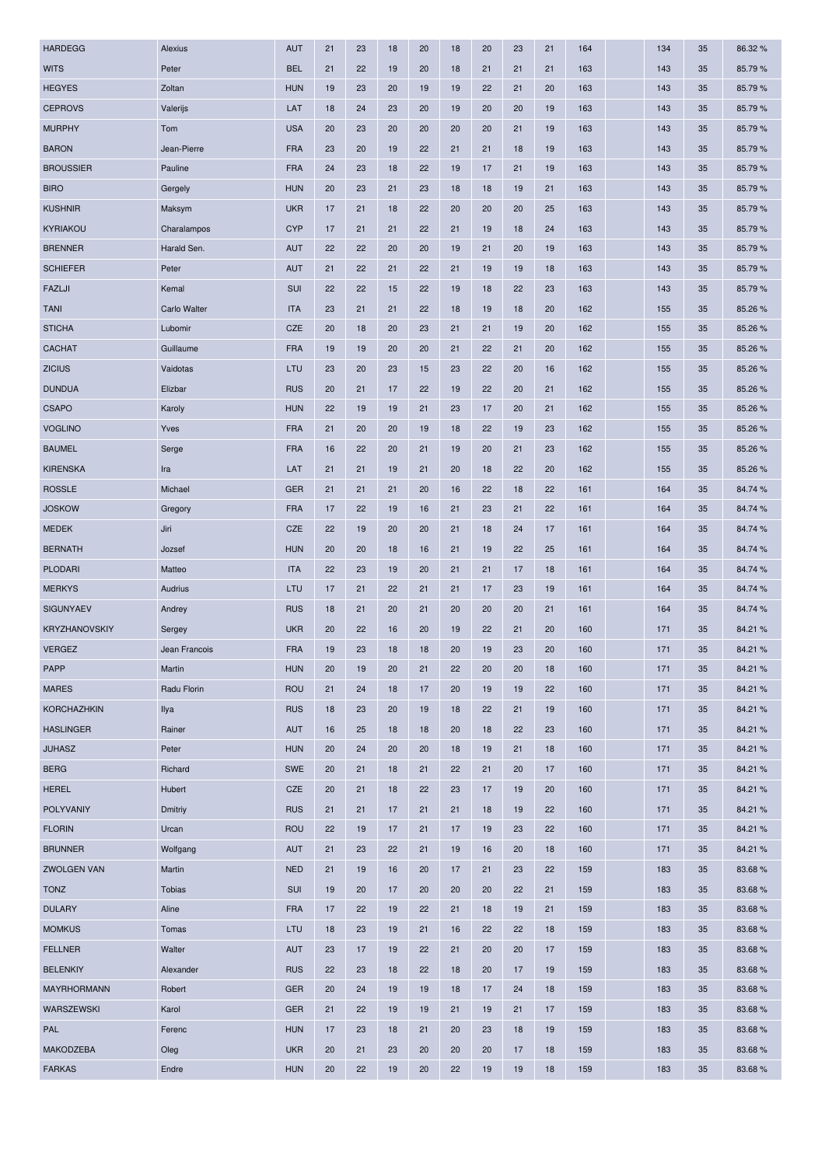| <b>HARDEGG</b>       | Alexius       | <b>AUT</b> | 21 | 23 | 18 | 20 | 18 | 20 | 23 | 21 | 164 | 134 | 35 | 86.32%  |
|----------------------|---------------|------------|----|----|----|----|----|----|----|----|-----|-----|----|---------|
| <b>WITS</b>          | Peter         | <b>BEL</b> | 21 | 22 | 19 | 20 | 18 | 21 | 21 | 21 | 163 | 143 | 35 | 85.79%  |
| <b>HEGYES</b>        | Zoltan        | <b>HUN</b> | 19 | 23 | 20 | 19 | 19 | 22 | 21 | 20 | 163 | 143 | 35 | 85.79%  |
| <b>CEPROVS</b>       | Valerijs      | LAT        | 18 | 24 | 23 | 20 | 19 | 20 | 20 | 19 | 163 | 143 | 35 | 85.79 % |
| <b>MURPHY</b>        | Tom           | <b>USA</b> | 20 | 23 | 20 | 20 | 20 | 20 | 21 | 19 | 163 | 143 | 35 | 85.79%  |
| <b>BARON</b>         | Jean-Pierre   | <b>FRA</b> | 23 | 20 | 19 | 22 | 21 | 21 | 18 | 19 | 163 | 143 | 35 | 85.79 % |
| <b>BROUSSIER</b>     | Pauline       | <b>FRA</b> | 24 | 23 | 18 | 22 | 19 | 17 | 21 | 19 | 163 | 143 | 35 | 85.79%  |
| <b>BIRO</b>          | Gergely       | <b>HUN</b> | 20 | 23 | 21 | 23 | 18 | 18 | 19 | 21 | 163 | 143 | 35 | 85.79%  |
| <b>KUSHNIR</b>       | Maksym        | <b>UKR</b> | 17 | 21 | 18 | 22 | 20 | 20 | 20 | 25 | 163 | 143 | 35 | 85.79%  |
| KYRIAKOU             | Charalampos   | <b>CYP</b> | 17 | 21 | 21 | 22 | 21 | 19 | 18 | 24 | 163 | 143 | 35 | 85.79%  |
| <b>BRENNER</b>       | Harald Sen.   | <b>AUT</b> | 22 | 22 | 20 | 20 | 19 | 21 | 20 | 19 | 163 | 143 | 35 | 85.79%  |
| <b>SCHIEFER</b>      | Peter         | <b>AUT</b> | 21 | 22 | 21 | 22 | 21 | 19 | 19 | 18 | 163 | 143 | 35 | 85.79%  |
| FAZLJI               | Kemal         | SUI        | 22 | 22 | 15 | 22 | 19 | 18 | 22 | 23 | 163 | 143 | 35 | 85.79%  |
| <b>TANI</b>          | Carlo Walter  | <b>ITA</b> | 23 | 21 | 21 | 22 | 18 | 19 | 18 | 20 | 162 | 155 | 35 | 85.26%  |
| <b>STICHA</b>        | Lubomir       | <b>CZE</b> | 20 | 18 | 20 | 23 | 21 | 21 | 19 | 20 | 162 | 155 | 35 | 85.26 % |
| <b>CACHAT</b>        | Guillaume     | <b>FRA</b> | 19 | 19 | 20 | 20 | 21 | 22 | 21 | 20 | 162 | 155 | 35 | 85.26 % |
| <b>ZICIUS</b>        | Vaidotas      | LTU        | 23 | 20 | 23 | 15 | 23 | 22 | 20 | 16 | 162 | 155 | 35 | 85.26 % |
| <b>DUNDUA</b>        | Elizbar       | <b>RUS</b> | 20 | 21 | 17 | 22 | 19 | 22 | 20 | 21 | 162 | 155 | 35 | 85.26 % |
| <b>CSAPO</b>         | Karoly        | <b>HUN</b> | 22 | 19 | 19 | 21 | 23 | 17 | 20 | 21 | 162 | 155 | 35 | 85.26 % |
| <b>VOGLINO</b>       | Yves          | <b>FRA</b> | 21 | 20 | 20 | 19 | 18 | 22 | 19 | 23 | 162 | 155 | 35 | 85.26%  |
| <b>BAUMEL</b>        | Serge         | <b>FRA</b> | 16 | 22 | 20 | 21 | 19 | 20 | 21 | 23 | 162 | 155 | 35 | 85.26 % |
| <b>KIRENSKA</b>      | Ira           | LAT        | 21 | 21 | 19 | 21 | 20 | 18 | 22 | 20 | 162 | 155 | 35 | 85.26%  |
| <b>ROSSLE</b>        | Michael       | <b>GER</b> | 21 | 21 | 21 | 20 | 16 | 22 | 18 | 22 | 161 | 164 | 35 | 84.74 % |
| <b>JOSKOW</b>        | Gregory       | <b>FRA</b> | 17 | 22 | 19 | 16 | 21 | 23 | 21 | 22 | 161 | 164 | 35 | 84.74 % |
| <b>MEDEK</b>         | Jiri          | CZE        | 22 | 19 | 20 | 20 | 21 | 18 | 24 | 17 | 161 | 164 | 35 | 84.74 % |
| <b>BERNATH</b>       | Jozsef        | <b>HUN</b> | 20 | 20 | 18 | 16 | 21 | 19 | 22 | 25 | 161 | 164 | 35 | 84.74 % |
| PLODARI              | Matteo        | <b>ITA</b> | 22 | 23 | 19 | 20 | 21 | 21 | 17 | 18 | 161 | 164 | 35 | 84.74 % |
| <b>MERKYS</b>        | Audrius       | LTU        | 17 | 21 | 22 | 21 | 21 | 17 | 23 | 19 | 161 | 164 | 35 | 84.74 % |
| <b>SIGUNYAEV</b>     | Andrey        | <b>RUS</b> | 18 | 21 | 20 | 21 | 20 | 20 | 20 | 21 | 161 | 164 | 35 | 84.74 % |
| <b>KRYZHANOVSKIY</b> | Sergey        | <b>UKR</b> | 20 | 22 | 16 | 20 | 19 | 22 | 21 | 20 | 160 | 171 | 35 | 84.21%  |
| <b>VERGEZ</b>        | Jean Francois | <b>FRA</b> | 19 | 23 | 18 | 18 | 20 | 19 | 23 | 20 | 160 | 171 | 35 | 84.21 % |
| <b>PAPP</b>          | Martin        | <b>HUN</b> | 20 | 19 | 20 | 21 | 22 | 20 | 20 | 18 | 160 | 171 | 35 | 84.21 % |
| <b>MARES</b>         | Radu Florin   | <b>ROU</b> | 21 | 24 | 18 | 17 | 20 | 19 | 19 | 22 | 160 | 171 | 35 | 84.21%  |
| <b>KORCHAZHKIN</b>   | Ilya          | <b>RUS</b> | 18 | 23 | 20 | 19 | 18 | 22 | 21 | 19 | 160 | 171 | 35 | 84.21 % |
| <b>HASLINGER</b>     | Rainer        | <b>AUT</b> | 16 | 25 | 18 | 18 | 20 | 18 | 22 | 23 | 160 | 171 | 35 | 84.21%  |
| <b>JUHASZ</b>        | Peter         | <b>HUN</b> | 20 | 24 | 20 | 20 | 18 | 19 | 21 | 18 | 160 | 171 | 35 | 84.21%  |
| <b>BERG</b>          | Richard       | SWE        | 20 | 21 | 18 | 21 | 22 | 21 | 20 | 17 | 160 | 171 | 35 | 84.21 % |
| <b>HEREL</b>         | Hubert        | CZE        | 20 | 21 | 18 | 22 | 23 | 17 | 19 | 20 | 160 | 171 | 35 | 84.21%  |
| POLYVANIY            | Dmitriy       | <b>RUS</b> | 21 | 21 | 17 | 21 | 21 | 18 | 19 | 22 | 160 | 171 | 35 | 84.21%  |
| <b>FLORIN</b>        | Urcan         | <b>ROU</b> | 22 | 19 | 17 | 21 | 17 | 19 | 23 | 22 | 160 | 171 | 35 | 84.21%  |
| <b>BRUNNER</b>       | Wolfgang      | <b>AUT</b> | 21 | 23 | 22 | 21 | 19 | 16 | 20 | 18 | 160 | 171 | 35 | 84.21%  |
| <b>ZWOLGEN VAN</b>   | Martin        | <b>NED</b> | 21 | 19 | 16 | 20 | 17 | 21 | 23 | 22 | 159 | 183 | 35 | 83.68%  |
| <b>TONZ</b>          | <b>Tobias</b> | <b>SUI</b> | 19 | 20 | 17 | 20 | 20 | 20 | 22 | 21 | 159 | 183 | 35 | 83.68%  |
| <b>DULARY</b>        | Aline         | <b>FRA</b> | 17 | 22 | 19 | 22 | 21 | 18 | 19 | 21 | 159 | 183 | 35 | 83.68%  |
| <b>MOMKUS</b>        | Tomas         | LTU        | 18 | 23 | 19 | 21 | 16 | 22 | 22 | 18 | 159 | 183 | 35 | 83.68%  |
| <b>FELLNER</b>       | Walter        | <b>AUT</b> | 23 | 17 | 19 | 22 | 21 | 20 | 20 | 17 | 159 | 183 | 35 | 83.68%  |
| <b>BELENKIY</b>      | Alexander     | <b>RUS</b> | 22 | 23 | 18 | 22 | 18 | 20 | 17 | 19 | 159 | 183 | 35 | 83.68%  |
| MAYRHORMANN          | Robert        | <b>GER</b> | 20 | 24 | 19 | 19 | 18 | 17 | 24 | 18 | 159 | 183 | 35 | 83.68%  |
| WARSZEWSKI           | Karol         | <b>GER</b> | 21 | 22 | 19 | 19 | 21 | 19 | 21 | 17 | 159 | 183 | 35 | 83.68%  |
| PAL                  | Ferenc        | <b>HUN</b> | 17 | 23 | 18 | 21 | 20 | 23 | 18 | 19 | 159 | 183 | 35 | 83.68%  |
| <b>MAKODZEBA</b>     | Oleg          | <b>UKR</b> | 20 | 21 | 23 | 20 | 20 | 20 | 17 | 18 | 159 | 183 | 35 | 83.68%  |
| <b>FARKAS</b>        | Endre         | <b>HUN</b> | 20 | 22 | 19 | 20 | 22 | 19 | 19 | 18 | 159 | 183 | 35 | 83.68%  |
|                      |               |            |    |    |    |    |    |    |    |    |     |     |    |         |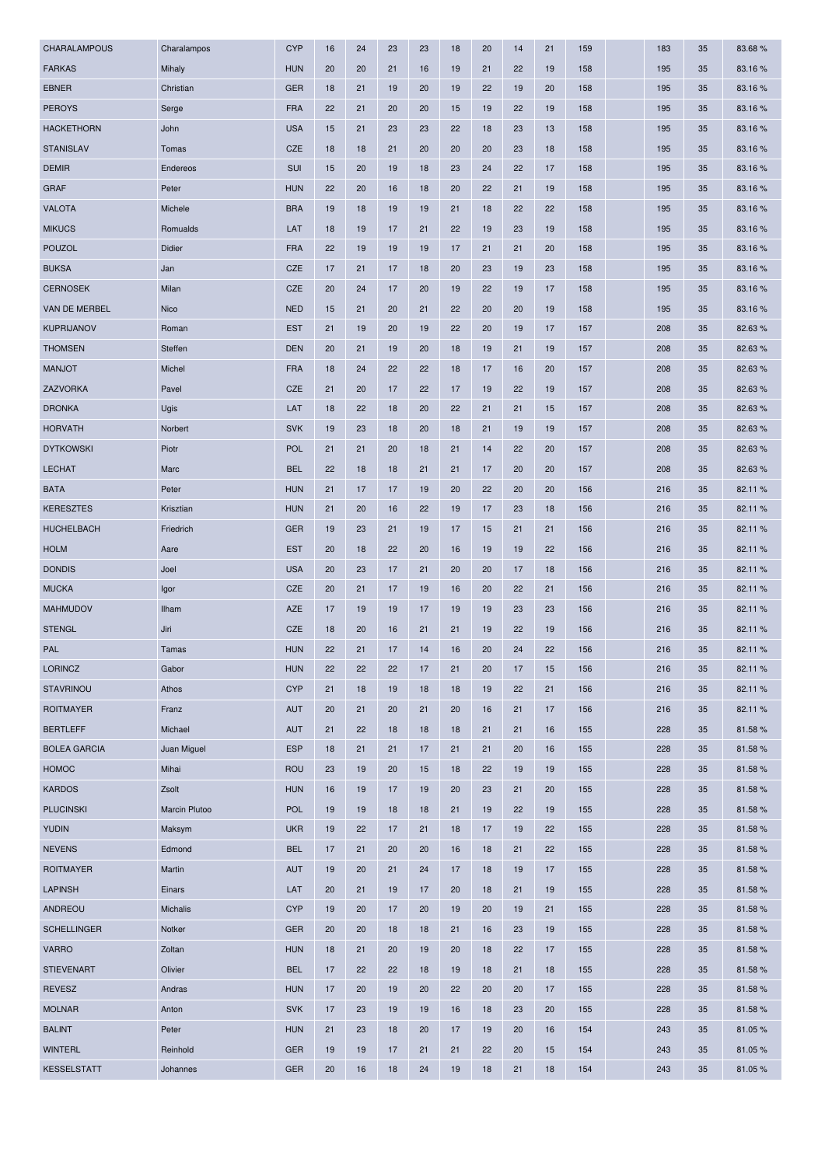| CHARALAMPOUS        | Charalampos   | <b>CYP</b> | 16 | 24 | 23 | 23 | 18 | 20 | 14 | 21 | 159 | 183 | 35 | 83.68%  |
|---------------------|---------------|------------|----|----|----|----|----|----|----|----|-----|-----|----|---------|
| <b>FARKAS</b>       | Mihaly        | <b>HUN</b> | 20 | 20 | 21 | 16 | 19 | 21 | 22 | 19 | 158 | 195 | 35 | 83.16%  |
| <b>EBNER</b>        | Christian     | <b>GER</b> | 18 | 21 | 19 | 20 | 19 | 22 | 19 | 20 | 158 | 195 | 35 | 83.16%  |
| <b>PEROYS</b>       | Serge         | <b>FRA</b> | 22 | 21 | 20 | 20 | 15 | 19 | 22 | 19 | 158 | 195 | 35 | 83.16 % |
| <b>HACKETHORN</b>   | John          | <b>USA</b> | 15 | 21 | 23 | 23 | 22 | 18 | 23 | 13 | 158 | 195 | 35 | 83.16%  |
| <b>STANISLAV</b>    | Tomas         | CZE        | 18 | 18 | 21 | 20 | 20 | 20 | 23 | 18 | 158 | 195 | 35 | 83.16%  |
| <b>DEMIR</b>        | Endereos      | SUI        | 15 | 20 | 19 | 18 | 23 | 24 | 22 | 17 | 158 | 195 | 35 | 83.16%  |
| <b>GRAF</b>         | Peter         | <b>HUN</b> | 22 | 20 | 16 | 18 | 20 | 22 | 21 | 19 | 158 | 195 | 35 | 83.16%  |
| <b>VALOTA</b>       | Michele       | <b>BRA</b> | 19 | 18 | 19 | 19 | 21 | 18 | 22 | 22 | 158 | 195 | 35 | 83.16%  |
| <b>MIKUCS</b>       | Romualds      | LAT        | 18 | 19 | 17 | 21 | 22 | 19 | 23 | 19 | 158 | 195 | 35 | 83.16%  |
| <b>POUZOL</b>       | Didier        | <b>FRA</b> | 22 | 19 | 19 | 19 | 17 | 21 | 21 | 20 | 158 | 195 | 35 | 83.16%  |
| <b>BUKSA</b>        | Jan           | CZE        | 17 | 21 | 17 | 18 | 20 | 23 | 19 | 23 | 158 | 195 | 35 | 83.16%  |
| <b>CERNOSEK</b>     | Milan         | CZE        | 20 | 24 | 17 | 20 | 19 | 22 | 19 | 17 | 158 | 195 | 35 | 83.16%  |
| VAN DE MERBEL       | Nico          | <b>NED</b> | 15 | 21 | 20 | 21 | 22 | 20 | 20 | 19 | 158 | 195 | 35 | 83.16%  |
| <b>KUPRIJANOV</b>   | Roman         | <b>EST</b> | 21 | 19 | 20 | 19 | 22 | 20 | 19 | 17 | 157 | 208 | 35 | 82.63%  |
| <b>THOMSEN</b>      | Steffen       | <b>DEN</b> | 20 | 21 | 19 | 20 | 18 | 19 | 21 | 19 | 157 | 208 | 35 | 82.63%  |
| <b>MANJOT</b>       | Michel        | <b>FRA</b> | 18 | 24 | 22 | 22 | 18 | 17 | 16 | 20 | 157 | 208 | 35 | 82.63%  |
| ZAZVORKA            | Pavel         | CZE        | 21 | 20 | 17 | 22 | 17 | 19 | 22 | 19 | 157 | 208 | 35 | 82.63%  |
| <b>DRONKA</b>       | Ugis          | LAT        | 18 | 22 | 18 | 20 | 22 | 21 | 21 | 15 | 157 | 208 | 35 | 82.63%  |
| <b>HORVATH</b>      | Norbert       | <b>SVK</b> | 19 | 23 | 18 | 20 | 18 | 21 | 19 | 19 | 157 | 208 | 35 | 82.63%  |
| <b>DYTKOWSKI</b>    | Piotr         | <b>POL</b> | 21 | 21 | 20 | 18 | 21 | 14 | 22 | 20 | 157 | 208 | 35 | 82.63 % |
| <b>LECHAT</b>       | Marc          | <b>BEL</b> | 22 | 18 | 18 | 21 | 21 | 17 | 20 | 20 | 157 | 208 | 35 | 82.63%  |
| <b>BATA</b>         | Peter         | <b>HUN</b> | 21 | 17 | 17 | 19 | 20 | 22 | 20 | 20 | 156 | 216 | 35 | 82.11%  |
| <b>KERESZTES</b>    | Krisztian     | <b>HUN</b> | 21 | 20 | 16 | 22 | 19 | 17 | 23 | 18 | 156 | 216 | 35 | 82.11%  |
| <b>HUCHELBACH</b>   | Friedrich     | <b>GER</b> | 19 | 23 | 21 | 19 | 17 | 15 | 21 | 21 | 156 | 216 | 35 | 82.11%  |
| <b>HOLM</b>         | Aare          | <b>EST</b> | 20 | 18 | 22 | 20 | 16 | 19 | 19 | 22 | 156 | 216 | 35 | 82.11 % |
| <b>DONDIS</b>       | Joel          | <b>USA</b> | 20 | 23 | 17 | 21 | 20 | 20 | 17 | 18 | 156 | 216 | 35 | 82.11%  |
| <b>MUCKA</b>        | Igor          | CZE        | 20 | 21 | 17 | 19 | 16 | 20 | 22 | 21 | 156 | 216 | 35 | 82.11 % |
| MAHMUDOV            | Ilham         | <b>AZE</b> | 17 | 19 | 19 | 17 | 19 | 19 | 23 | 23 | 156 | 216 | 35 | 82.11%  |
| <b>STENGL</b>       | Jiri          | CZE        | 18 | 20 | 16 | 21 | 21 | 19 | 22 | 19 | 156 | 216 | 35 | 82.11%  |
| <b>PAL</b>          | Tamas         | <b>HUN</b> | 22 | 21 | 17 | 14 | 16 | 20 | 24 | 22 | 156 | 216 | 35 | 82.11%  |
| <b>LORINCZ</b>      | Gabor         | <b>HUN</b> | 22 | 22 | 22 | 17 | 21 | 20 | 17 | 15 | 156 | 216 | 35 | 82.11%  |
| <b>STAVRINOU</b>    | Athos         | <b>CYP</b> | 21 | 18 | 19 | 18 | 18 | 19 | 22 | 21 | 156 | 216 | 35 | 82.11%  |
| <b>ROITMAYER</b>    | Franz         | <b>AUT</b> | 20 | 21 | 20 | 21 | 20 | 16 | 21 | 17 | 156 | 216 | 35 | 82.11%  |
| <b>BERTLEFF</b>     | Michael       | <b>AUT</b> | 21 | 22 | 18 | 18 | 18 | 21 | 21 | 16 | 155 | 228 | 35 | 81.58%  |
| <b>BOLEA GARCIA</b> | Juan Miguel   | <b>ESP</b> | 18 | 21 | 21 | 17 | 21 | 21 | 20 | 16 | 155 | 228 | 35 | 81.58%  |
| <b>HOMOC</b>        | Mihai         | <b>ROU</b> | 23 | 19 | 20 | 15 | 18 | 22 | 19 | 19 | 155 | 228 | 35 | 81.58%  |
| <b>KARDOS</b>       | Zsolt         | <b>HUN</b> | 16 | 19 | 17 | 19 | 20 | 23 | 21 | 20 | 155 | 228 | 35 | 81.58%  |
| <b>PLUCINSKI</b>    | Marcin Plutoo | <b>POL</b> | 19 | 19 | 18 | 18 | 21 | 19 | 22 | 19 | 155 | 228 | 35 | 81.58%  |
| <b>YUDIN</b>        | Maksym        | <b>UKR</b> | 19 | 22 | 17 | 21 | 18 | 17 | 19 | 22 | 155 | 228 | 35 | 81.58%  |
| <b>NEVENS</b>       | Edmond        | <b>BEL</b> | 17 | 21 | 20 | 20 | 16 | 18 | 21 | 22 | 155 | 228 | 35 | 81.58%  |
| <b>ROITMAYER</b>    | Martin        | <b>AUT</b> | 19 | 20 | 21 | 24 | 17 | 18 | 19 | 17 | 155 | 228 | 35 | 81.58%  |
| <b>LAPINSH</b>      | Einars        | LAT        | 20 | 21 | 19 | 17 | 20 | 18 | 21 | 19 | 155 | 228 | 35 | 81.58%  |
| ANDREOU             | Michalis      | <b>CYP</b> | 19 | 20 | 17 | 20 | 19 | 20 | 19 | 21 | 155 | 228 | 35 | 81.58%  |
| <b>SCHELLINGER</b>  | Notker        | <b>GER</b> | 20 | 20 | 18 | 18 | 21 | 16 | 23 | 19 | 155 | 228 | 35 | 81.58%  |
| <b>VARRO</b>        | Zoltan        | <b>HUN</b> | 18 | 21 | 20 | 19 | 20 | 18 | 22 | 17 | 155 | 228 | 35 | 81.58%  |
| <b>STIEVENART</b>   | Olivier       | <b>BEL</b> | 17 | 22 | 22 | 18 | 19 | 18 | 21 | 18 | 155 | 228 | 35 | 81.58%  |
| <b>REVESZ</b>       | Andras        | <b>HUN</b> | 17 | 20 | 19 | 20 | 22 | 20 | 20 | 17 | 155 | 228 | 35 | 81.58%  |
| <b>MOLNAR</b>       | Anton         | <b>SVK</b> | 17 | 23 | 19 | 19 | 16 | 18 | 23 | 20 | 155 | 228 | 35 | 81.58%  |
| <b>BALINT</b>       | Peter         | <b>HUN</b> | 21 | 23 | 18 | 20 | 17 | 19 | 20 | 16 | 154 | 243 | 35 | 81.05%  |
| <b>WINTERL</b>      | Reinhold      | <b>GER</b> | 19 | 19 | 17 | 21 | 21 | 22 | 20 | 15 | 154 | 243 | 35 | 81.05%  |
| <b>KESSELSTATT</b>  | Johannes      | <b>GER</b> | 20 | 16 | 18 | 24 | 19 | 18 | 21 | 18 | 154 | 243 | 35 | 81.05%  |
|                     |               |            |    |    |    |    |    |    |    |    |     |     |    |         |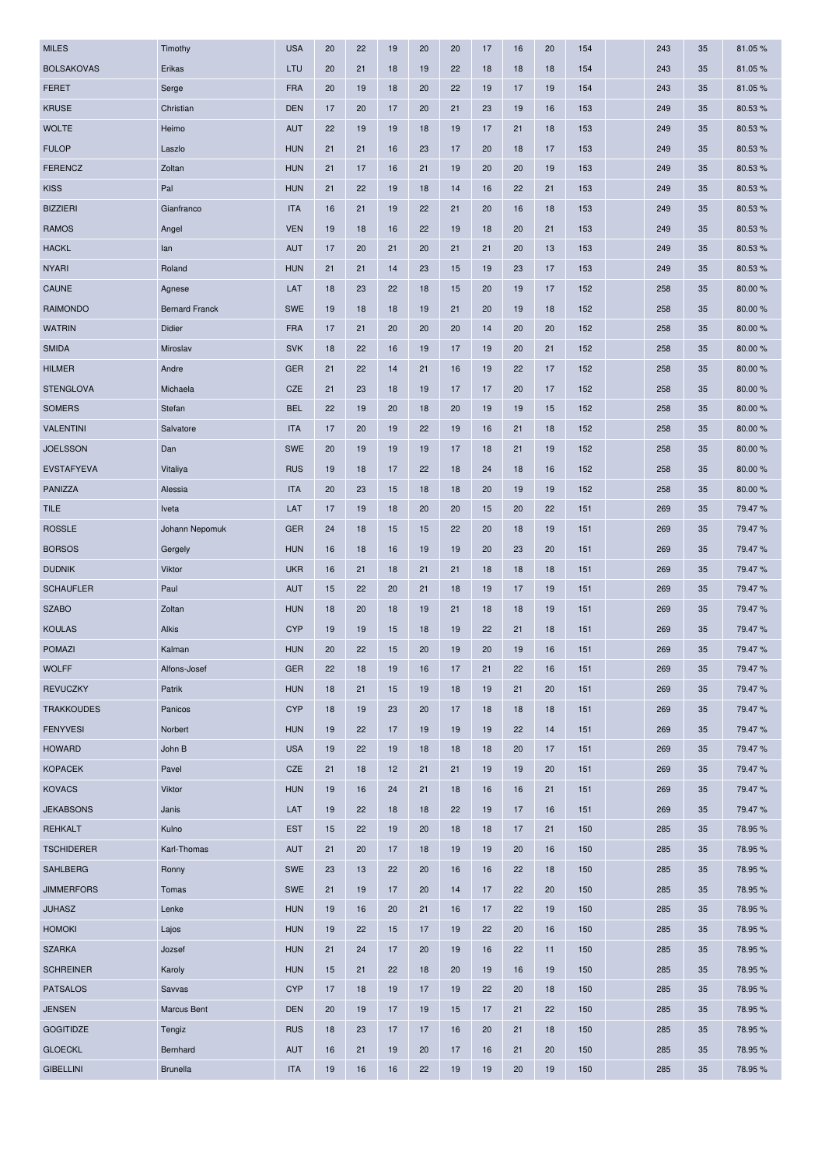| <b>MILES</b>      | Timothy               | <b>USA</b> | 20 | 22 | 19 | 20 | 20 | 17 | 16 | 20 | 154 | 243 | 35 | 81.05%  |
|-------------------|-----------------------|------------|----|----|----|----|----|----|----|----|-----|-----|----|---------|
| <b>BOLSAKOVAS</b> | Erikas                | LTU        | 20 | 21 | 18 | 19 | 22 | 18 | 18 | 18 | 154 | 243 | 35 | 81.05%  |
| <b>FERET</b>      | Serge                 | <b>FRA</b> | 20 | 19 | 18 | 20 | 22 | 19 | 17 | 19 | 154 | 243 | 35 | 81.05%  |
| <b>KRUSE</b>      | Christian             | <b>DEN</b> | 17 | 20 | 17 | 20 | 21 | 23 | 19 | 16 | 153 | 249 | 35 | 80.53 % |
| <b>WOLTE</b>      | Heimo                 | <b>AUT</b> | 22 | 19 | 19 | 18 | 19 | 17 | 21 | 18 | 153 | 249 | 35 | 80.53%  |
| <b>FULOP</b>      | Laszlo                | <b>HUN</b> | 21 | 21 | 16 | 23 | 17 | 20 | 18 | 17 | 153 | 249 | 35 | 80.53%  |
| <b>FERENCZ</b>    | Zoltan                | <b>HUN</b> | 21 | 17 | 16 | 21 | 19 | 20 | 20 | 19 | 153 | 249 | 35 | 80.53%  |
| <b>KISS</b>       | Pal                   | <b>HUN</b> | 21 | 22 | 19 | 18 | 14 | 16 | 22 | 21 | 153 | 249 | 35 | 80.53%  |
| <b>BIZZIERI</b>   | Gianfranco            | <b>ITA</b> | 16 | 21 | 19 | 22 | 21 | 20 | 16 | 18 | 153 | 249 | 35 | 80.53%  |
| <b>RAMOS</b>      | Angel                 | <b>VEN</b> | 19 | 18 | 16 | 22 | 19 | 18 | 20 | 21 | 153 | 249 | 35 | 80.53%  |
| <b>HACKL</b>      | lan                   | <b>AUT</b> | 17 | 20 | 21 | 20 | 21 | 21 | 20 | 13 | 153 | 249 | 35 | 80.53%  |
| <b>NYARI</b>      | Roland                | <b>HUN</b> | 21 | 21 | 14 | 23 | 15 | 19 | 23 | 17 | 153 | 249 | 35 | 80.53%  |
| <b>CAUNE</b>      | Agnese                | LAT        | 18 | 23 | 22 | 18 | 15 | 20 | 19 | 17 | 152 | 258 | 35 | 80.00%  |
| <b>RAIMONDO</b>   | <b>Bernard Franck</b> | <b>SWE</b> | 19 | 18 | 18 | 19 | 21 | 20 | 19 | 18 | 152 | 258 | 35 | 80.00 % |
| <b>WATRIN</b>     | Didier                | <b>FRA</b> | 17 | 21 | 20 | 20 | 20 | 14 | 20 | 20 | 152 | 258 | 35 | 80.00%  |
| <b>SMIDA</b>      | Miroslav              | <b>SVK</b> | 18 | 22 | 16 | 19 | 17 | 19 | 20 | 21 | 152 | 258 | 35 | 80.00%  |
| <b>HILMER</b>     | Andre                 | <b>GER</b> | 21 | 22 | 14 | 21 | 16 | 19 | 22 | 17 | 152 | 258 | 35 | 80.00%  |
| <b>STENGLOVA</b>  | Michaela              | <b>CZE</b> | 21 | 23 | 18 | 19 | 17 | 17 | 20 | 17 | 152 | 258 | 35 | 80.00%  |
| <b>SOMERS</b>     | Stefan                | <b>BEL</b> | 22 | 19 | 20 | 18 | 20 | 19 | 19 | 15 | 152 | 258 | 35 | 80.00%  |
| <b>VALENTINI</b>  | Salvatore             | <b>ITA</b> | 17 | 20 | 19 | 22 | 19 | 16 | 21 | 18 | 152 | 258 | 35 | 80.00%  |
| <b>JOELSSON</b>   | Dan                   | <b>SWE</b> | 20 | 19 | 19 | 19 | 17 | 18 | 21 | 19 | 152 | 258 | 35 | 80.00 % |
| <b>EVSTAFYEVA</b> | Vitaliya              | <b>RUS</b> | 19 | 18 | 17 | 22 | 18 | 24 | 18 | 16 | 152 | 258 | 35 | 80.00 % |
| PANIZZA           | Alessia               | <b>ITA</b> | 20 | 23 | 15 | 18 | 18 | 20 | 19 | 19 | 152 | 258 | 35 | 80.00 % |
| <b>TILE</b>       | Iveta                 | LAT        | 17 | 19 | 18 | 20 | 20 | 15 | 20 | 22 | 151 | 269 | 35 | 79.47%  |
| <b>ROSSLE</b>     | Johann Nepomuk        | <b>GER</b> | 24 | 18 | 15 | 15 | 22 | 20 | 18 | 19 | 151 | 269 | 35 | 79.47%  |
| <b>BORSOS</b>     | Gergely               | <b>HUN</b> | 16 | 18 | 16 | 19 | 19 | 20 | 23 | 20 | 151 | 269 | 35 | 79.47%  |
| <b>DUDNIK</b>     | Viktor                | <b>UKR</b> | 16 | 21 | 18 | 21 | 21 | 18 | 18 | 18 | 151 | 269 | 35 | 79.47%  |
| <b>SCHAUFLER</b>  | Paul                  | <b>AUT</b> | 15 | 22 | 20 | 21 | 18 | 19 | 17 | 19 | 151 | 269 | 35 | 79.47%  |
| <b>SZABO</b>      | Zoltan                | <b>HUN</b> | 18 | 20 | 18 | 19 | 21 | 18 | 18 | 19 | 151 | 269 | 35 | 79.47%  |
| <b>KOULAS</b>     | <b>Alkis</b>          | <b>CYP</b> | 19 | 19 | 15 | 18 | 19 | 22 | 21 | 18 | 151 | 269 | 35 | 79.47%  |
| <b>POMAZI</b>     | Kalman                | <b>HUN</b> | 20 | 22 | 15 | 20 | 19 | 20 | 19 | 16 | 151 | 269 | 35 | 79.47%  |
| <b>WOLFF</b>      | Alfons-Josef          | <b>GER</b> | 22 | 18 | 19 | 16 | 17 | 21 | 22 | 16 | 151 | 269 | 35 | 79.47%  |
| <b>REVUCZKY</b>   | Patrik                | <b>HUN</b> | 18 | 21 | 15 | 19 | 18 | 19 | 21 | 20 | 151 | 269 | 35 | 79.47%  |
| <b>TRAKKOUDES</b> | Panicos               | <b>CYP</b> | 18 | 19 | 23 | 20 | 17 | 18 | 18 | 18 | 151 | 269 | 35 | 79.47%  |
| <b>FENYVESI</b>   | Norbert               | <b>HUN</b> | 19 | 22 | 17 | 19 | 19 | 19 | 22 | 14 | 151 | 269 | 35 | 79.47%  |
| <b>HOWARD</b>     | John B                | <b>USA</b> | 19 | 22 | 19 | 18 | 18 | 18 | 20 | 17 | 151 | 269 | 35 | 79.47%  |
| <b>KOPACEK</b>    | Pavel                 | CZE        | 21 | 18 | 12 | 21 | 21 | 19 | 19 | 20 | 151 | 269 | 35 | 79.47%  |
| <b>KOVACS</b>     | Viktor                | <b>HUN</b> | 19 | 16 | 24 | 21 | 18 | 16 | 16 | 21 | 151 | 269 | 35 | 79.47%  |
| <b>JEKABSONS</b>  | Janis                 | LAT        | 19 | 22 | 18 | 18 | 22 | 19 | 17 | 16 | 151 | 269 | 35 | 79.47%  |
| <b>REHKALT</b>    | Kulno                 | <b>EST</b> | 15 | 22 | 19 | 20 | 18 | 18 | 17 | 21 | 150 | 285 | 35 | 78.95%  |
| <b>TSCHIDERER</b> | Karl-Thomas           | <b>AUT</b> | 21 | 20 | 17 | 18 | 19 | 19 | 20 | 16 | 150 | 285 | 35 | 78.95%  |
| <b>SAHLBERG</b>   | Ronny                 | SWE        | 23 | 13 | 22 | 20 | 16 | 16 | 22 | 18 | 150 | 285 | 35 | 78.95%  |
| <b>JIMMERFORS</b> | Tomas                 | <b>SWE</b> | 21 | 19 | 17 | 20 | 14 | 17 | 22 | 20 | 150 | 285 | 35 | 78.95%  |
| <b>JUHASZ</b>     | Lenke                 | <b>HUN</b> | 19 | 16 | 20 | 21 | 16 | 17 | 22 | 19 | 150 | 285 | 35 | 78.95%  |
| <b>HOMOKI</b>     | Lajos                 | <b>HUN</b> | 19 | 22 | 15 | 17 | 19 | 22 | 20 | 16 | 150 | 285 | 35 | 78.95%  |
| <b>SZARKA</b>     | Jozsef                | <b>HUN</b> | 21 | 24 | 17 | 20 | 19 | 16 | 22 | 11 | 150 | 285 | 35 | 78.95%  |
| <b>SCHREINER</b>  | Karoly                | <b>HUN</b> | 15 | 21 | 22 | 18 | 20 | 19 | 16 | 19 | 150 | 285 | 35 | 78.95%  |
| <b>PATSALOS</b>   | Savvas                | <b>CYP</b> | 17 | 18 | 19 | 17 | 19 | 22 | 20 | 18 | 150 | 285 | 35 | 78.95%  |
| <b>JENSEN</b>     | Marcus Bent           | <b>DEN</b> | 20 | 19 | 17 | 19 | 15 | 17 | 21 | 22 | 150 | 285 | 35 | 78.95%  |
| <b>GOGITIDZE</b>  | Tengiz                | <b>RUS</b> | 18 | 23 | 17 | 17 | 16 | 20 | 21 | 18 | 150 | 285 | 35 | 78.95%  |
| <b>GLOECKL</b>    | Bernhard              | <b>AUT</b> | 16 | 21 | 19 | 20 | 17 | 16 | 21 | 20 | 150 | 285 | 35 | 78.95 % |
| <b>GIBELLINI</b>  | <b>Brunella</b>       | <b>ITA</b> | 19 | 16 | 16 | 22 | 19 | 19 | 20 | 19 | 150 | 285 | 35 | 78.95%  |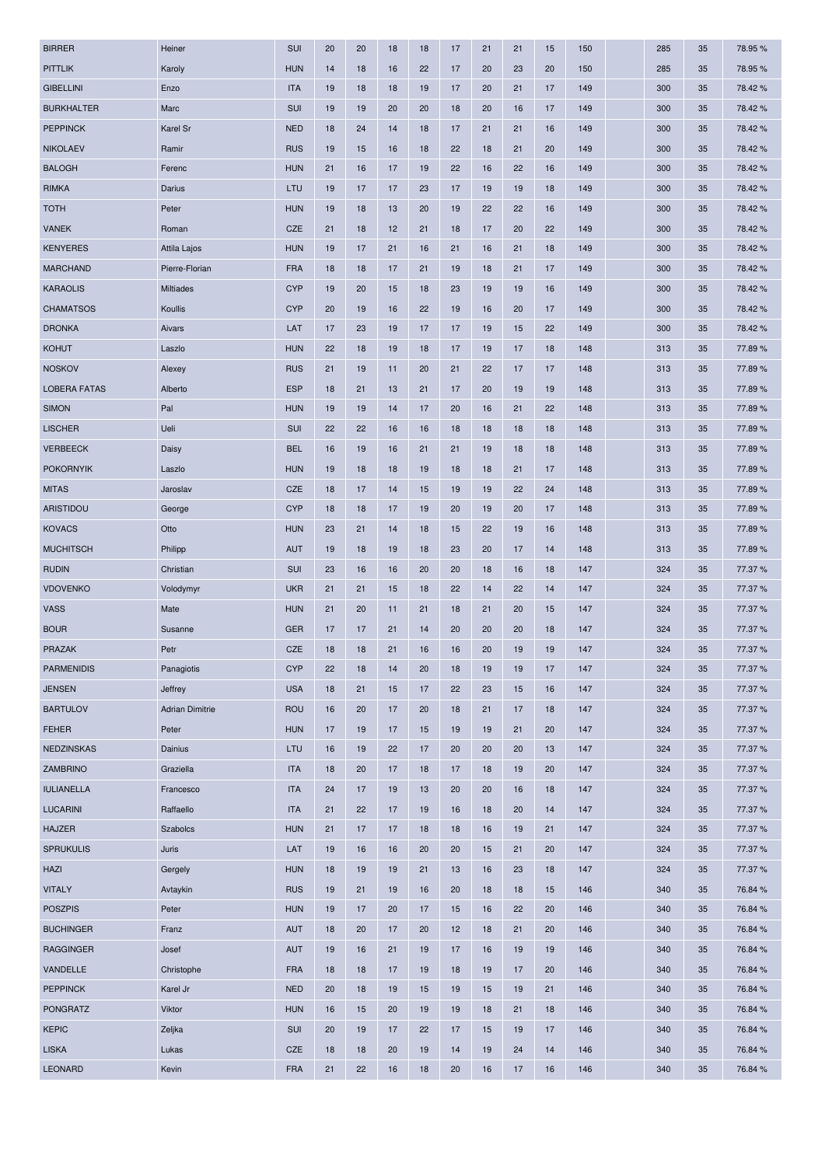| <b>BIRRER</b>       | Heiner                 | SUI        | 20 | 20 | 18 | 18 | 17 | 21 | 21 | 15 | 150 | 285 | 35 | 78.95%  |
|---------------------|------------------------|------------|----|----|----|----|----|----|----|----|-----|-----|----|---------|
| <b>PITTLIK</b>      | Karoly                 | <b>HUN</b> | 14 | 18 | 16 | 22 | 17 | 20 | 23 | 20 | 150 | 285 | 35 | 78.95%  |
| <b>GIBELLINI</b>    | Enzo                   | <b>ITA</b> | 19 | 18 | 18 | 19 | 17 | 20 | 21 | 17 | 149 | 300 | 35 | 78.42%  |
| <b>BURKHALTER</b>   | Marc                   | SUI        | 19 | 19 | 20 | 20 | 18 | 20 | 16 | 17 | 149 | 300 | 35 | 78.42 % |
| <b>PEPPINCK</b>     | Karel Sr               | <b>NED</b> | 18 | 24 | 14 | 18 | 17 | 21 | 21 | 16 | 149 | 300 | 35 | 78.42%  |
| <b>NIKOLAEV</b>     | Ramir                  | <b>RUS</b> | 19 | 15 | 16 | 18 | 22 | 18 | 21 | 20 | 149 | 300 | 35 | 78.42%  |
| <b>BALOGH</b>       | Ferenc                 | <b>HUN</b> | 21 | 16 | 17 | 19 | 22 | 16 | 22 | 16 | 149 | 300 | 35 | 78.42%  |
| <b>RIMKA</b>        | Darius                 | LTU        | 19 | 17 | 17 | 23 | 17 | 19 | 19 | 18 | 149 | 300 | 35 | 78.42%  |
| <b>TOTH</b>         | Peter                  | <b>HUN</b> | 19 | 18 | 13 | 20 | 19 | 22 | 22 | 16 | 149 | 300 | 35 | 78.42%  |
| <b>VANEK</b>        | Roman                  | CZE        | 21 | 18 | 12 | 21 | 18 | 17 | 20 | 22 | 149 | 300 | 35 | 78.42%  |
| <b>KENYERES</b>     | Attila Lajos           | <b>HUN</b> | 19 | 17 | 21 | 16 | 21 | 16 | 21 | 18 | 149 | 300 | 35 | 78.42%  |
| <b>MARCHAND</b>     | Pierre-Florian         | <b>FRA</b> | 18 | 18 | 17 | 21 | 19 | 18 | 21 | 17 | 149 | 300 | 35 | 78.42%  |
| <b>KARAOLIS</b>     | Miltiades              | <b>CYP</b> | 19 | 20 | 15 | 18 | 23 | 19 | 19 | 16 | 149 | 300 | 35 | 78.42%  |
| <b>CHAMATSOS</b>    | Koullis                | <b>CYP</b> | 20 | 19 | 16 | 22 | 19 | 16 | 20 | 17 | 149 | 300 | 35 | 78.42%  |
| <b>DRONKA</b>       | Aivars                 | LAT        | 17 | 23 | 19 | 17 | 17 | 19 | 15 | 22 | 149 | 300 | 35 | 78.42%  |
| <b>KOHUT</b>        | Laszlo                 | <b>HUN</b> | 22 | 18 | 19 | 18 | 17 | 19 | 17 | 18 | 148 | 313 | 35 | 77.89%  |
| <b>NOSKOV</b>       | Alexey                 | <b>RUS</b> | 21 | 19 | 11 | 20 | 21 | 22 | 17 | 17 | 148 | 313 | 35 | 77.89%  |
| <b>LOBERA FATAS</b> | Alberto                | <b>ESP</b> | 18 | 21 | 13 | 21 | 17 | 20 | 19 | 19 | 148 | 313 | 35 | 77.89%  |
| <b>SIMON</b>        | Pal                    | <b>HUN</b> | 19 | 19 | 14 | 17 | 20 | 16 | 21 | 22 | 148 | 313 | 35 | 77.89%  |
| <b>LISCHER</b>      | Ueli                   | SUI        | 22 | 22 | 16 | 16 | 18 | 18 | 18 | 18 | 148 | 313 | 35 | 77.89%  |
| <b>VERBEECK</b>     | Daisy                  | <b>BEL</b> | 16 | 19 | 16 | 21 | 21 | 19 | 18 | 18 | 148 | 313 | 35 | 77.89%  |
| <b>POKORNYIK</b>    | Laszlo                 | <b>HUN</b> | 19 | 18 | 18 | 19 | 18 | 18 | 21 | 17 | 148 | 313 | 35 | 77.89%  |
| <b>MITAS</b>        | Jaroslav               | <b>CZE</b> | 18 | 17 | 14 | 15 | 19 | 19 | 22 | 24 | 148 | 313 | 35 | 77.89%  |
| <b>ARISTIDOU</b>    | George                 | <b>CYP</b> | 18 | 18 | 17 | 19 | 20 | 19 | 20 | 17 | 148 | 313 | 35 | 77.89%  |
| <b>KOVACS</b>       | Otto                   | <b>HUN</b> | 23 | 21 | 14 | 18 | 15 | 22 | 19 | 16 | 148 | 313 | 35 | 77.89%  |
| <b>MUCHITSCH</b>    | Philipp                | <b>AUT</b> | 19 | 18 | 19 | 18 | 23 | 20 | 17 | 14 | 148 | 313 | 35 | 77.89%  |
| <b>RUDIN</b>        | Christian              | SUI        | 23 | 16 | 16 | 20 | 20 | 18 | 16 | 18 | 147 | 324 | 35 | 77.37 % |
| <b>VDOVENKO</b>     | Volodymyr              | <b>UKR</b> | 21 | 21 | 15 | 18 | 22 | 14 | 22 | 14 | 147 | 324 | 35 | 77.37 % |
| <b>VASS</b>         | Mate                   | <b>HUN</b> | 21 | 20 | 11 | 21 | 18 | 21 | 20 | 15 | 147 | 324 | 35 | 77.37 % |
| <b>BOUR</b>         | Susanne                | <b>GER</b> | 17 | 17 | 21 | 14 | 20 | 20 | 20 | 18 | 147 | 324 | 35 | 77.37 % |
| <b>PRAZAK</b>       | Petr                   | <b>CZE</b> | 18 | 18 | 21 | 16 | 16 | 20 | 19 | 19 | 147 | 324 | 35 | 77.37 % |
| <b>PARMENIDIS</b>   | Panagiotis             | <b>CYP</b> | 22 | 18 | 14 | 20 | 18 | 19 | 19 | 17 | 147 | 324 | 35 | 77.37 % |
| <b>JENSEN</b>       | Jeffrey                | <b>USA</b> | 18 | 21 | 15 | 17 | 22 | 23 | 15 | 16 | 147 | 324 | 35 | 77.37 % |
| <b>BARTULOV</b>     | <b>Adrian Dimitrie</b> | <b>ROU</b> | 16 | 20 | 17 | 20 | 18 | 21 | 17 | 18 | 147 | 324 | 35 | 77.37 % |
| <b>FEHER</b>        | Peter                  | <b>HUN</b> | 17 | 19 | 17 | 15 | 19 | 19 | 21 | 20 | 147 | 324 | 35 | 77.37 % |
| <b>NEDZINSKAS</b>   | Dainius                | LTU        | 16 | 19 | 22 | 17 | 20 | 20 | 20 | 13 | 147 | 324 | 35 | 77.37 % |
| ZAMBRINO            | Graziella              | <b>ITA</b> | 18 | 20 | 17 | 18 | 17 | 18 | 19 | 20 | 147 | 324 | 35 | 77.37 % |
| <b>IULIANELLA</b>   | Francesco              | <b>ITA</b> | 24 | 17 | 19 | 13 | 20 | 20 | 16 | 18 | 147 | 324 | 35 | 77.37 % |
| <b>LUCARINI</b>     | Raffaello              | <b>ITA</b> | 21 | 22 | 17 | 19 | 16 | 18 | 20 | 14 | 147 | 324 | 35 | 77.37 % |
| <b>HAJZER</b>       | Szabolcs               | <b>HUN</b> | 21 | 17 | 17 | 18 | 18 | 16 | 19 | 21 | 147 | 324 | 35 | 77.37 % |
| <b>SPRUKULIS</b>    | Juris                  | LAT        | 19 | 16 | 16 | 20 | 20 | 15 | 21 | 20 | 147 | 324 | 35 | 77.37 % |
| HAZI                | Gergely                | <b>HUN</b> | 18 | 19 | 19 | 21 | 13 | 16 | 23 | 18 | 147 | 324 | 35 | 77.37 % |
| <b>VITALY</b>       | Avtaykin               | <b>RUS</b> | 19 | 21 | 19 | 16 | 20 | 18 | 18 | 15 | 146 | 340 | 35 | 76.84 % |
| <b>POSZPIS</b>      | Peter                  | <b>HUN</b> | 19 | 17 | 20 | 17 | 15 | 16 | 22 | 20 | 146 | 340 | 35 | 76.84 % |
| <b>BUCHINGER</b>    | Franz                  | <b>AUT</b> | 18 | 20 | 17 | 20 | 12 | 18 | 21 | 20 | 146 | 340 | 35 | 76.84 % |
| <b>RAGGINGER</b>    | Josef                  | <b>AUT</b> | 19 | 16 | 21 | 19 | 17 | 16 | 19 | 19 | 146 | 340 | 35 | 76.84 % |
| VANDELLE            | Christophe             | <b>FRA</b> | 18 | 18 | 17 | 19 | 18 | 19 | 17 | 20 | 146 | 340 | 35 | 76.84 % |
| <b>PEPPINCK</b>     | Karel Jr               | <b>NED</b> | 20 | 18 | 19 | 15 | 19 | 15 | 19 | 21 | 146 | 340 | 35 | 76.84 % |
| <b>PONGRATZ</b>     | Viktor                 | <b>HUN</b> | 16 | 15 | 20 | 19 | 19 | 18 | 21 | 18 | 146 | 340 | 35 | 76.84 % |
| <b>KEPIC</b>        | Zeljka                 | SUI        | 20 | 19 | 17 | 22 | 17 | 15 | 19 | 17 | 146 | 340 | 35 | 76.84 % |
| <b>LISKA</b>        | Lukas                  | CZE        | 18 | 18 | 20 | 19 | 14 | 19 | 24 | 14 | 146 | 340 | 35 | 76.84 % |
| <b>LEONARD</b>      | Kevin                  | <b>FRA</b> | 21 | 22 | 16 | 18 | 20 | 16 | 17 | 16 | 146 | 340 | 35 | 76.84 % |
|                     |                        |            |    |    |    |    |    |    |    |    |     |     |    |         |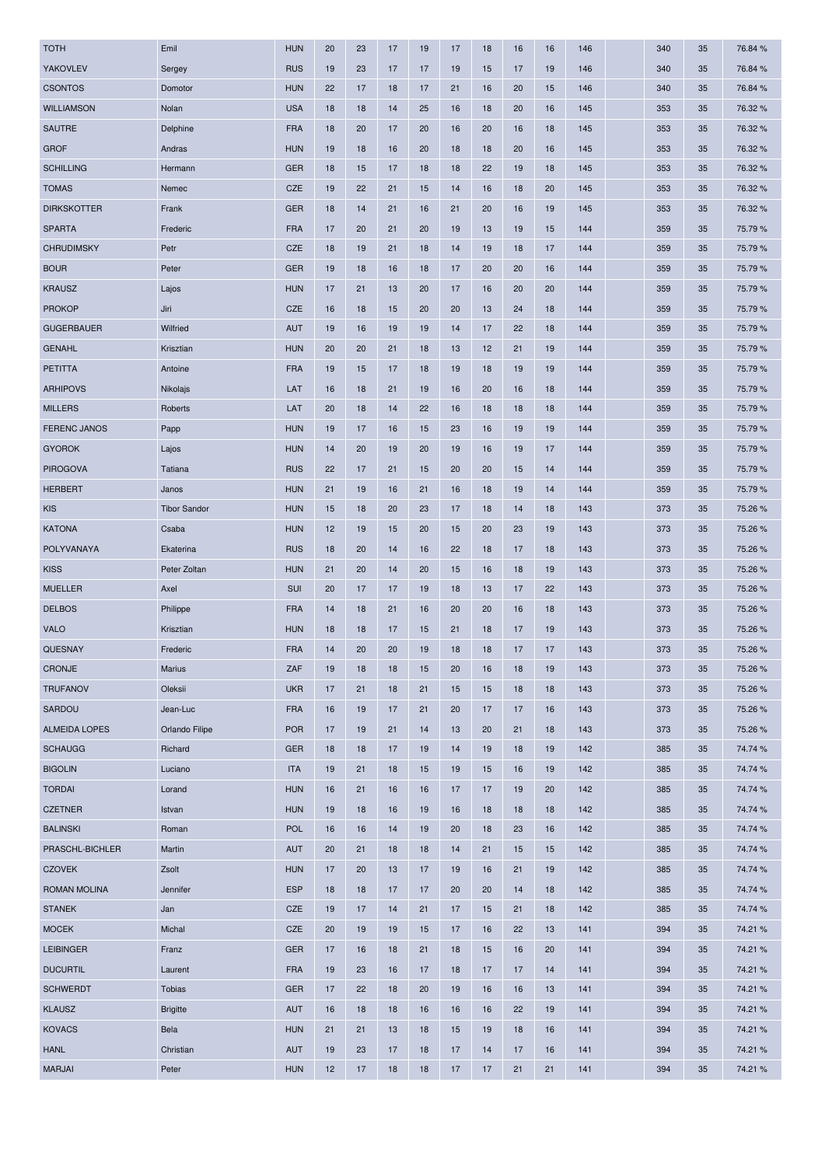| <b>TOTH</b>          | Emil                | <b>HUN</b> | 20 | 23 | 17 | 19 | 17 | 18 | 16 | 16 | 146 | 340 | 35 | 76.84 % |
|----------------------|---------------------|------------|----|----|----|----|----|----|----|----|-----|-----|----|---------|
| <b>YAKOVLEV</b>      | Sergey              | <b>RUS</b> | 19 | 23 | 17 | 17 | 19 | 15 | 17 | 19 | 146 | 340 | 35 | 76.84 % |
| <b>CSONTOS</b>       | Domotor             | <b>HUN</b> | 22 | 17 | 18 | 17 | 21 | 16 | 20 | 15 | 146 | 340 | 35 | 76.84 % |
| <b>WILLIAMSON</b>    | Nolan               | <b>USA</b> | 18 | 18 | 14 | 25 | 16 | 18 | 20 | 16 | 145 | 353 | 35 | 76.32 % |
| SAUTRE               | Delphine            | <b>FRA</b> | 18 | 20 | 17 | 20 | 16 | 20 | 16 | 18 | 145 | 353 | 35 | 76.32 % |
| <b>GROF</b>          | Andras              | <b>HUN</b> | 19 | 18 | 16 | 20 | 18 | 18 | 20 | 16 | 145 | 353 | 35 | 76.32 % |
| <b>SCHILLING</b>     | Hermann             | <b>GER</b> | 18 | 15 | 17 | 18 | 18 | 22 | 19 | 18 | 145 | 353 | 35 | 76.32 % |
| <b>TOMAS</b>         | Nemec               | CZE        | 19 | 22 | 21 | 15 | 14 | 16 | 18 | 20 | 145 | 353 | 35 | 76.32 % |
| <b>DIRKSKOTTER</b>   | Frank               | <b>GER</b> | 18 | 14 | 21 | 16 | 21 | 20 | 16 | 19 | 145 | 353 | 35 | 76.32%  |
| <b>SPARTA</b>        | Frederic            | <b>FRA</b> | 17 | 20 | 21 | 20 | 19 | 13 | 19 | 15 | 144 | 359 | 35 | 75.79%  |
| <b>CHRUDIMSKY</b>    | Petr                | <b>CZE</b> | 18 | 19 | 21 | 18 | 14 | 19 | 18 | 17 | 144 | 359 | 35 | 75.79 % |
| <b>BOUR</b>          | Peter               | <b>GER</b> | 19 | 18 | 16 | 18 | 17 | 20 | 20 | 16 | 144 | 359 | 35 | 75.79%  |
| <b>KRAUSZ</b>        | Lajos               | <b>HUN</b> | 17 | 21 | 13 | 20 | 17 | 16 | 20 | 20 | 144 | 359 | 35 | 75.79 % |
| <b>PROKOP</b>        | Jiri                | CZE        | 16 | 18 | 15 | 20 | 20 | 13 | 24 | 18 | 144 | 359 | 35 | 75.79 % |
| <b>GUGERBAUER</b>    | Wilfried            | <b>AUT</b> | 19 | 16 | 19 | 19 | 14 | 17 | 22 | 18 | 144 | 359 | 35 | 75.79 % |
| <b>GENAHL</b>        | Krisztian           | <b>HUN</b> | 20 | 20 | 21 | 18 | 13 | 12 | 21 | 19 | 144 | 359 | 35 | 75.79 % |
| <b>PETITTA</b>       | Antoine             | <b>FRA</b> | 19 | 15 | 17 | 18 | 19 | 18 | 19 | 19 | 144 | 359 | 35 | 75.79%  |
| <b>ARHIPOVS</b>      | Nikolajs            | LAT        | 16 | 18 | 21 | 19 | 16 | 20 | 16 | 18 | 144 | 359 | 35 | 75.79 % |
| <b>MILLERS</b>       | Roberts             | LAT        | 20 | 18 | 14 | 22 | 16 | 18 | 18 | 18 | 144 | 359 | 35 | 75.79 % |
| <b>FERENC JANOS</b>  | Papp                | <b>HUN</b> | 19 | 17 | 16 | 15 | 23 | 16 | 19 | 19 | 144 | 359 | 35 | 75.79%  |
| <b>GYOROK</b>        | Lajos               | <b>HUN</b> | 14 | 20 | 19 | 20 | 19 | 16 | 19 | 17 | 144 | 359 | 35 | 75.79 % |
| <b>PIROGOVA</b>      | Tatiana             | <b>RUS</b> | 22 | 17 | 21 | 15 | 20 | 20 | 15 | 14 | 144 | 359 | 35 | 75.79%  |
| <b>HERBERT</b>       | Janos               | <b>HUN</b> | 21 | 19 | 16 | 21 | 16 | 18 | 19 | 14 | 144 | 359 | 35 | 75.79 % |
| <b>KIS</b>           | <b>Tibor Sandor</b> | <b>HUN</b> | 15 | 18 | 20 | 23 | 17 | 18 | 14 | 18 | 143 | 373 | 35 | 75.26 % |
| <b>KATONA</b>        | Csaba               | <b>HUN</b> | 12 | 19 | 15 | 20 | 15 | 20 | 23 | 19 | 143 | 373 | 35 | 75.26 % |
| POLYVANAYA           | Ekaterina           | <b>RUS</b> | 18 | 20 | 14 | 16 | 22 | 18 | 17 | 18 | 143 | 373 | 35 | 75.26 % |
| <b>KISS</b>          | Peter Zoltan        | <b>HUN</b> | 21 | 20 | 14 | 20 | 15 | 16 | 18 | 19 | 143 | 373 | 35 | 75.26 % |
| <b>MUELLER</b>       | Axel                | SUI        | 20 | 17 | 17 | 19 | 18 | 13 | 17 | 22 | 143 | 373 | 35 | 75.26 % |
| <b>DELBOS</b>        | Philippe            | <b>FRA</b> | 14 | 18 | 21 | 16 | 20 | 20 | 16 | 18 | 143 | 373 | 35 | 75.26 % |
| <b>VALO</b>          | Krisztian           | <b>HUN</b> | 18 | 18 | 17 | 15 | 21 | 18 | 17 | 19 | 143 | 373 | 35 | 75.26 % |
|                      |                     |            |    |    |    |    |    |    |    | 17 |     |     |    | 75.26 % |
| <b>QUESNAY</b>       | Frederic            | <b>FRA</b> | 14 | 20 | 20 | 19 | 18 | 18 | 17 |    | 143 | 373 | 35 |         |
| CRONJE               | <b>Marius</b>       | ZAF        | 19 | 18 | 18 | 15 | 20 | 16 | 18 | 19 | 143 | 373 | 35 | 75.26 % |
| <b>TRUFANOV</b>      | Oleksii             | <b>UKR</b> | 17 | 21 | 18 | 21 | 15 | 15 | 18 | 18 | 143 | 373 | 35 | 75.26 % |
| SARDOU               | Jean-Luc            | <b>FRA</b> | 16 | 19 | 17 | 21 | 20 | 17 | 17 | 16 | 143 | 373 | 35 | 75.26 % |
| <b>ALMEIDA LOPES</b> | Orlando Filipe      | <b>POR</b> | 17 | 19 | 21 | 14 | 13 | 20 | 21 | 18 | 143 | 373 | 35 | 75.26 % |
| <b>SCHAUGG</b>       | Richard             | <b>GER</b> | 18 | 18 | 17 | 19 | 14 | 19 | 18 | 19 | 142 | 385 | 35 | 74.74 % |
| <b>BIGOLIN</b>       | Luciano             | <b>ITA</b> | 19 | 21 | 18 | 15 | 19 | 15 | 16 | 19 | 142 | 385 | 35 | 74.74 % |
| <b>TORDAI</b>        | Lorand              | <b>HUN</b> | 16 | 21 | 16 | 16 | 17 | 17 | 19 | 20 | 142 | 385 | 35 | 74.74 % |
| <b>CZETNER</b>       | Istvan              | <b>HUN</b> | 19 | 18 | 16 | 19 | 16 | 18 | 18 | 18 | 142 | 385 | 35 | 74.74 % |
| <b>BALINSKI</b>      | Roman               | <b>POL</b> | 16 | 16 | 14 | 19 | 20 | 18 | 23 | 16 | 142 | 385 | 35 | 74.74 % |
| PRASCHL-BICHLER      | Martin              | <b>AUT</b> | 20 | 21 | 18 | 18 | 14 | 21 | 15 | 15 | 142 | 385 | 35 | 74.74 % |
| <b>CZOVEK</b>        | Zsolt               | <b>HUN</b> | 17 | 20 | 13 | 17 | 19 | 16 | 21 | 19 | 142 | 385 | 35 | 74.74 % |
| ROMAN MOLINA         | Jennifer            | <b>ESP</b> | 18 | 18 | 17 | 17 | 20 | 20 | 14 | 18 | 142 | 385 | 35 | 74.74 % |
| <b>STANEK</b>        | Jan                 | CZE        | 19 | 17 | 14 | 21 | 17 | 15 | 21 | 18 | 142 | 385 | 35 | 74.74 % |
| <b>MOCEK</b>         | Michal              | CZE        | 20 | 19 | 19 | 15 | 17 | 16 | 22 | 13 | 141 | 394 | 35 | 74.21 % |
| <b>LEIBINGER</b>     | Franz               | <b>GER</b> | 17 | 16 | 18 | 21 | 18 | 15 | 16 | 20 | 141 | 394 | 35 | 74.21 % |
| <b>DUCURTIL</b>      | Laurent             | <b>FRA</b> | 19 | 23 | 16 | 17 | 18 | 17 | 17 | 14 | 141 | 394 | 35 | 74.21 % |
| <b>SCHWERDT</b>      | Tobias              | <b>GER</b> | 17 | 22 | 18 | 20 | 19 | 16 | 16 | 13 | 141 | 394 | 35 | 74.21 % |
| <b>KLAUSZ</b>        | <b>Brigitte</b>     | <b>AUT</b> | 16 | 18 | 18 | 16 | 16 | 16 | 22 | 19 | 141 | 394 | 35 | 74.21 % |
| <b>KOVACS</b>        | Bela                | <b>HUN</b> | 21 | 21 | 13 | 18 | 15 | 19 | 18 | 16 | 141 | 394 | 35 | 74.21 % |
| <b>HANL</b>          | Christian           | <b>AUT</b> | 19 | 23 | 17 | 18 | 17 | 14 | 17 | 16 | 141 | 394 | 35 | 74.21 % |
| <b>MARJAI</b>        | Peter               | <b>HUN</b> | 12 | 17 | 18 | 18 | 17 | 17 | 21 | 21 | 141 | 394 | 35 | 74.21 % |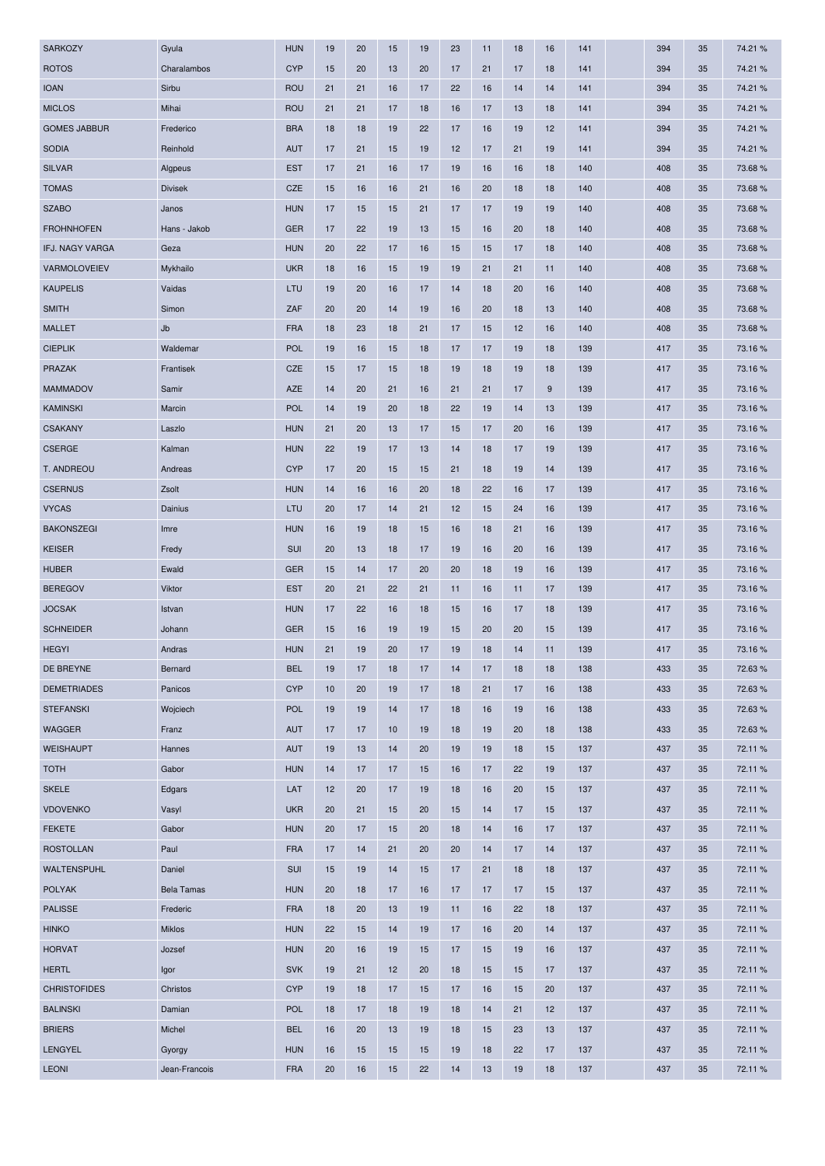| <b>SARKOZY</b>      | Gyula             | <b>HUN</b> | 19 | 20 | 15 | 19 | 23 | 11 | 18 | 16 | 141 | 394 | 35 | 74.21 % |
|---------------------|-------------------|------------|----|----|----|----|----|----|----|----|-----|-----|----|---------|
| <b>ROTOS</b>        | Charalambos       | <b>CYP</b> | 15 | 20 | 13 | 20 | 17 | 21 | 17 | 18 | 141 | 394 | 35 | 74.21 % |
| <b>IOAN</b>         | Sirbu             | <b>ROU</b> | 21 | 21 | 16 | 17 | 22 | 16 | 14 | 14 | 141 | 394 | 35 | 74.21 % |
| <b>MICLOS</b>       | Mihai             | <b>ROU</b> | 21 | 21 | 17 | 18 | 16 | 17 | 13 | 18 | 141 | 394 | 35 | 74.21 % |
| <b>GOMES JABBUR</b> | Frederico         | <b>BRA</b> | 18 | 18 | 19 | 22 | 17 | 16 | 19 | 12 | 141 | 394 | 35 | 74.21 % |
| <b>SODIA</b>        | Reinhold          | <b>AUT</b> | 17 | 21 | 15 | 19 | 12 | 17 | 21 | 19 | 141 | 394 | 35 | 74.21 % |
| <b>SILVAR</b>       | Algpeus           | <b>EST</b> | 17 | 21 | 16 | 17 | 19 | 16 | 16 | 18 | 140 | 408 | 35 | 73.68%  |
| <b>TOMAS</b>        | <b>Divisek</b>    | CZE        | 15 | 16 | 16 | 21 | 16 | 20 | 18 | 18 | 140 | 408 | 35 | 73.68%  |
| <b>SZABO</b>        | Janos             | <b>HUN</b> | 17 | 15 | 15 | 21 | 17 | 17 | 19 | 19 | 140 | 408 | 35 | 73.68%  |
| <b>FROHNHOFEN</b>   | Hans - Jakob      | <b>GER</b> | 17 | 22 | 19 | 13 | 15 | 16 | 20 | 18 | 140 | 408 | 35 | 73.68%  |
| IFJ. NAGY VARGA     | Geza              | <b>HUN</b> | 20 | 22 | 17 | 16 | 15 | 15 | 17 | 18 | 140 | 408 | 35 | 73.68 % |
| VARMOLOVEIEV        | Mykhailo          | <b>UKR</b> | 18 | 16 | 15 | 19 | 19 | 21 | 21 | 11 | 140 | 408 | 35 | 73.68%  |
| <b>KAUPELIS</b>     | Vaidas            | LTU        | 19 | 20 | 16 | 17 | 14 | 18 | 20 | 16 | 140 | 408 | 35 | 73.68%  |
| <b>SMITH</b>        | Simon             | ZAF        | 20 | 20 | 14 | 19 | 16 | 20 | 18 | 13 | 140 | 408 | 35 | 73.68%  |
| <b>MALLET</b>       | Jb                | <b>FRA</b> | 18 | 23 | 18 | 21 | 17 | 15 | 12 | 16 | 140 | 408 | 35 | 73.68%  |
| <b>CIEPLIK</b>      | Waldemar          | <b>POL</b> | 19 | 16 | 15 | 18 | 17 | 17 | 19 | 18 | 139 | 417 | 35 | 73.16 % |
| PRAZAK              | Frantisek         | CZE        | 15 | 17 | 15 | 18 | 19 | 18 | 19 | 18 | 139 | 417 | 35 | 73.16%  |
| <b>MAMMADOV</b>     | Samir             | <b>AZE</b> | 14 | 20 | 21 | 16 | 21 | 21 | 17 | 9  | 139 | 417 | 35 | 73.16%  |
| <b>KAMINSKI</b>     | Marcin            | <b>POL</b> | 14 | 19 | 20 | 18 | 22 | 19 | 14 | 13 | 139 | 417 | 35 | 73.16%  |
| <b>CSAKANY</b>      | Laszlo            | <b>HUN</b> | 21 | 20 | 13 | 17 | 15 | 17 | 20 | 16 | 139 | 417 | 35 | 73.16%  |
| <b>CSERGE</b>       | Kalman            | <b>HUN</b> | 22 | 19 | 17 | 13 | 14 | 18 | 17 | 19 | 139 | 417 | 35 | 73.16%  |
| T. ANDREOU          | Andreas           | <b>CYP</b> | 17 | 20 | 15 | 15 | 21 | 18 | 19 | 14 | 139 | 417 | 35 | 73.16%  |
| <b>CSERNUS</b>      | Zsolt             | <b>HUN</b> | 14 | 16 | 16 | 20 | 18 | 22 | 16 | 17 | 139 | 417 | 35 | 73.16%  |
| <b>VYCAS</b>        | Dainius           | LTU        | 20 | 17 | 14 | 21 | 12 | 15 | 24 | 16 | 139 | 417 | 35 | 73.16%  |
| <b>BAKONSZEGI</b>   | Imre              | <b>HUN</b> | 16 | 19 | 18 | 15 | 16 | 18 | 21 | 16 | 139 | 417 | 35 | 73.16%  |
| <b>KEISER</b>       | Fredy             | SUI        | 20 | 13 | 18 | 17 | 19 | 16 | 20 | 16 | 139 | 417 | 35 | 73.16%  |
| <b>HUBER</b>        | Ewald             | <b>GER</b> | 15 | 14 | 17 | 20 | 20 | 18 | 19 | 16 | 139 | 417 | 35 | 73.16%  |
| <b>BEREGOV</b>      | Viktor            | <b>EST</b> | 20 | 21 | 22 | 21 | 11 | 16 | 11 | 17 | 139 | 417 | 35 | 73.16 % |
| <b>JOCSAK</b>       | Istvan            | <b>HUN</b> | 17 | 22 | 16 | 18 | 15 | 16 | 17 | 18 | 139 | 417 | 35 | 73.16%  |
| <b>SCHNEIDER</b>    | Johann            | <b>GER</b> | 15 | 16 | 19 | 19 | 15 | 20 | 20 | 15 | 139 | 417 | 35 | 73.16 % |
| <b>HEGYI</b>        | Andras            | <b>HUN</b> | 21 | 19 | 20 | 17 | 19 | 18 | 14 | 11 | 139 | 417 | 35 | 73.16%  |
| DE BREYNE           | Bernard           | <b>BEL</b> | 19 | 17 | 18 | 17 | 14 | 17 | 18 | 18 | 138 | 433 | 35 | 72.63%  |
| <b>DEMETRIADES</b>  | Panicos           | <b>CYP</b> | 10 | 20 | 19 | 17 | 18 | 21 | 17 | 16 | 138 | 433 | 35 | 72.63%  |
| <b>STEFANSKI</b>    | Wojciech          | <b>POL</b> | 19 | 19 | 14 | 17 | 18 | 16 | 19 | 16 | 138 | 433 | 35 | 72.63%  |
| <b>WAGGER</b>       | Franz             | <b>AUT</b> | 17 | 17 | 10 | 19 | 18 | 19 | 20 | 18 | 138 | 433 | 35 | 72.63%  |
| <b>WEISHAUPT</b>    | Hannes            | <b>AUT</b> | 19 | 13 | 14 | 20 | 19 | 19 | 18 | 15 | 137 | 437 | 35 | 72.11%  |
| <b>TOTH</b>         | Gabor             | <b>HUN</b> | 14 | 17 | 17 | 15 | 16 | 17 | 22 | 19 | 137 | 437 | 35 | 72.11%  |
| <b>SKELE</b>        | Edgars            | LAT        | 12 | 20 | 17 | 19 | 18 | 16 | 20 | 15 | 137 | 437 | 35 | 72.11%  |
| <b>VDOVENKO</b>     | Vasyl             | <b>UKR</b> | 20 | 21 | 15 | 20 | 15 | 14 | 17 | 15 | 137 | 437 | 35 | 72.11%  |
| <b>FEKETE</b>       | Gabor             | <b>HUN</b> | 20 | 17 | 15 | 20 | 18 | 14 | 16 | 17 | 137 | 437 | 35 | 72.11%  |
| <b>ROSTOLLAN</b>    | Paul              | <b>FRA</b> | 17 | 14 | 21 | 20 | 20 | 14 | 17 | 14 | 137 | 437 | 35 | 72.11%  |
| WALTENSPUHL         | Daniel            | <b>SUI</b> | 15 | 19 | 14 | 15 | 17 | 21 | 18 | 18 | 137 | 437 | 35 | 72.11%  |
| <b>POLYAK</b>       | <b>Bela Tamas</b> | <b>HUN</b> | 20 | 18 | 17 | 16 | 17 | 17 | 17 | 15 | 137 | 437 | 35 | 72.11%  |
| <b>PALISSE</b>      | Frederic          | <b>FRA</b> | 18 | 20 | 13 | 19 | 11 | 16 | 22 | 18 | 137 | 437 | 35 | 72.11%  |
| <b>HINKO</b>        | <b>Miklos</b>     | <b>HUN</b> | 22 | 15 | 14 | 19 | 17 | 16 | 20 | 14 | 137 | 437 | 35 | 72.11%  |
| <b>HORVAT</b>       | Jozsef            | <b>HUN</b> | 20 | 16 | 19 | 15 | 17 | 15 | 19 | 16 | 137 | 437 | 35 | 72.11%  |
|                     |                   |            |    |    |    |    |    |    |    |    |     |     |    |         |
| <b>HERTL</b>        | Igor              | <b>SVK</b> | 19 | 21 | 12 | 20 | 18 | 15 | 15 | 17 | 137 | 437 | 35 | 72.11%  |
| <b>CHRISTOFIDES</b> | Christos          | <b>CYP</b> | 19 | 18 | 17 | 15 | 17 | 16 | 15 | 20 | 137 | 437 | 35 | 72.11 % |
| <b>BALINSKI</b>     | Damian            | <b>POL</b> | 18 | 17 | 18 | 19 | 18 | 14 | 21 | 12 | 137 | 437 | 35 | 72.11%  |
| <b>BRIERS</b>       | Michel            | <b>BEL</b> | 16 | 20 | 13 | 19 | 18 | 15 | 23 | 13 | 137 | 437 | 35 | 72.11 % |
| <b>LENGYEL</b>      | Gyorgy            | <b>HUN</b> | 16 | 15 | 15 | 15 | 19 | 18 | 22 | 17 | 137 | 437 | 35 | 72.11%  |
| <b>LEONI</b>        | Jean-Francois     | <b>FRA</b> | 20 | 16 | 15 | 22 | 14 | 13 | 19 | 18 | 137 | 437 | 35 | 72.11%  |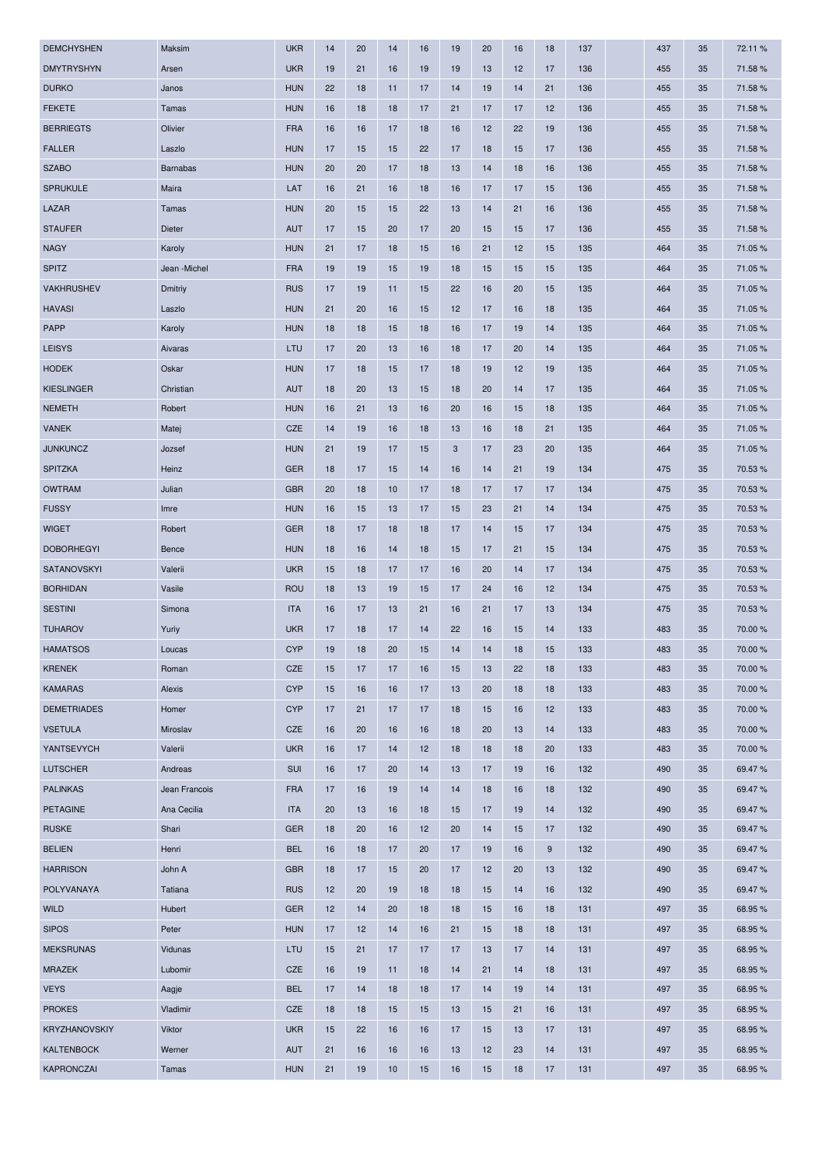| <b>DEMCHYSHEN</b>  | Maksim          | <b>UKR</b> | 14 | 20 | 14 | 16 | 19 | 20 | 16 | 18 | 137 | 437 | 35 | 72.11%  |
|--------------------|-----------------|------------|----|----|----|----|----|----|----|----|-----|-----|----|---------|
| <b>DMYTRYSHYN</b>  | Arsen           | <b>UKR</b> | 19 | 21 | 16 | 19 | 19 | 13 | 12 | 17 | 136 | 455 | 35 | 71.58%  |
| <b>DURKO</b>       | Janos           | <b>HUN</b> | 22 | 18 | 11 | 17 | 14 | 19 | 14 | 21 | 136 | 455 | 35 | 71.58%  |
| <b>FEKETE</b>      | Tamas           | <b>HUN</b> | 16 | 18 | 18 | 17 | 21 | 17 | 17 | 12 | 136 | 455 | 35 | 71.58 % |
| <b>BERRIEGTS</b>   | Olivier         | <b>FRA</b> | 16 | 16 | 17 | 18 | 16 | 12 | 22 | 19 | 136 | 455 | 35 | 71.58%  |
| <b>FALLER</b>      | Laszlo          | <b>HUN</b> | 17 | 15 | 15 | 22 | 17 | 18 | 15 | 17 | 136 | 455 | 35 | 71.58 % |
| <b>SZABO</b>       | <b>Barnabas</b> | <b>HUN</b> | 20 | 20 | 17 | 18 | 13 | 14 | 18 | 16 | 136 | 455 | 35 | 71.58%  |
| <b>SPRUKULE</b>    | Maira           | LAT        | 16 | 21 | 16 | 18 | 16 | 17 | 17 | 15 | 136 | 455 | 35 | 71.58%  |
| LAZAR              | Tamas           | <b>HUN</b> | 20 | 15 | 15 | 22 | 13 | 14 | 21 | 16 | 136 | 455 | 35 | 71.58 % |
| <b>STAUFER</b>     | Dieter          | <b>AUT</b> | 17 | 15 | 20 | 17 | 20 | 15 | 15 | 17 | 136 | 455 | 35 | 71.58%  |
| <b>NAGY</b>        | Karoly          | <b>HUN</b> | 21 | 17 | 18 | 15 | 16 | 21 | 12 | 15 | 135 | 464 | 35 | 71.05%  |
| <b>SPITZ</b>       | Jean -Michel    | <b>FRA</b> | 19 | 19 | 15 | 19 | 18 | 15 | 15 | 15 | 135 | 464 | 35 | 71.05 % |
| <b>VAKHRUSHEV</b>  | Dmitriy         | <b>RUS</b> | 17 | 19 | 11 | 15 | 22 | 16 | 20 | 15 | 135 | 464 | 35 | 71.05%  |
| <b>HAVASI</b>      | Laszlo          | <b>HUN</b> | 21 | 20 | 16 | 15 | 12 | 17 | 16 | 18 | 135 | 464 | 35 | 71.05%  |
| PAPP               | Karoly          | <b>HUN</b> | 18 | 18 | 15 | 18 | 16 | 17 | 19 | 14 | 135 | 464 | 35 | 71.05%  |
| <b>LEISYS</b>      | Aivaras         | LTU        | 17 | 20 | 13 | 16 | 18 | 17 | 20 | 14 | 135 | 464 | 35 | 71.05%  |
| <b>HODEK</b>       | Oskar           | <b>HUN</b> | 17 | 18 | 15 | 17 | 18 | 19 | 12 | 19 | 135 | 464 | 35 | 71.05 % |
| <b>KIESLINGER</b>  | Christian       | <b>AUT</b> | 18 | 20 | 13 | 15 | 18 | 20 | 14 | 17 | 135 | 464 | 35 | 71.05%  |
| <b>NEMETH</b>      | Robert          | <b>HUN</b> | 16 | 21 | 13 | 16 | 20 | 16 | 15 | 18 | 135 | 464 | 35 | 71.05%  |
| <b>VANEK</b>       | Matej           | <b>CZE</b> | 14 | 19 | 16 | 18 | 13 | 16 | 18 | 21 | 135 | 464 | 35 | 71.05%  |
| <b>JUNKUNCZ</b>    | Jozsef          | <b>HUN</b> | 21 | 19 | 17 | 15 | 3  | 17 | 23 | 20 | 135 | 464 | 35 | 71.05%  |
| <b>SPITZKA</b>     | Heinz           | <b>GER</b> | 18 | 17 | 15 | 14 | 16 | 14 | 21 | 19 | 134 | 475 | 35 | 70.53%  |
| <b>OWTRAM</b>      | Julian          | <b>GBR</b> | 20 | 18 | 10 | 17 | 18 | 17 | 17 | 17 | 134 | 475 | 35 | 70.53 % |
| <b>FUSSY</b>       | Imre            | <b>HUN</b> | 16 | 15 | 13 | 17 | 15 | 23 | 21 | 14 | 134 | 475 | 35 | 70.53%  |
| <b>WIGET</b>       | Robert          | <b>GER</b> | 18 | 17 | 18 | 18 | 17 | 14 | 15 | 17 | 134 | 475 | 35 | 70.53%  |
| <b>DOBORHEGYI</b>  | Bence           | <b>HUN</b> | 18 | 16 | 14 | 18 | 15 | 17 | 21 | 15 | 134 | 475 | 35 | 70.53%  |
| SATANOVSKYI        | Valerii         | <b>UKR</b> | 15 | 18 | 17 | 17 | 16 | 20 | 14 | 17 | 134 | 475 | 35 | 70.53%  |
| <b>BORHIDAN</b>    | Vasile          | <b>ROU</b> | 18 | 13 | 19 | 15 | 17 | 24 | 16 | 12 | 134 | 475 | 35 | 70.53%  |
| <b>SESTINI</b>     | Simona          | <b>ITA</b> | 16 | 17 | 13 | 21 | 16 | 21 | 17 | 13 | 134 | 475 | 35 | 70.53%  |
| <b>TUHAROV</b>     | Yuriy           | <b>UKR</b> | 17 | 18 | 17 | 14 | 22 | 16 | 15 | 14 | 133 | 483 | 35 | 70.00 % |
| <b>HAMATSOS</b>    | Loucas          | <b>CYP</b> | 19 | 18 | 20 | 15 | 14 | 14 | 18 | 15 | 133 | 483 | 35 | 70.00 % |
| <b>KRENEK</b>      | Roman           | <b>CZE</b> | 15 | 17 | 17 | 16 | 15 | 13 | 22 | 18 | 133 | 483 | 35 | 70.00 % |
| <b>KAMARAS</b>     | Alexis          | <b>CYP</b> | 15 | 16 | 16 | 17 | 13 | 20 | 18 | 18 | 133 | 483 | 35 | 70.00 % |
| <b>DEMETRIADES</b> | Homer           | <b>CYP</b> | 17 | 21 | 17 | 17 | 18 | 15 | 16 | 12 | 133 | 483 | 35 | 70.00 % |
| <b>VSETULA</b>     | Miroslav        | CZE        | 16 | 20 | 16 | 16 | 18 | 20 | 13 | 14 | 133 | 483 | 35 | 70.00 % |
| YANTSEVYCH         | Valerii         | <b>UKR</b> | 16 | 17 | 14 | 12 | 18 | 18 | 18 | 20 | 133 | 483 | 35 | 70.00 % |
| <b>LUTSCHER</b>    | Andreas         | <b>SUI</b> | 16 | 17 | 20 | 14 | 13 | 17 | 19 | 16 | 132 | 490 | 35 | 69.47 % |
| <b>PALINKAS</b>    | Jean Francois   | <b>FRA</b> | 17 | 16 | 19 | 14 | 14 | 18 | 16 | 18 | 132 | 490 | 35 | 69.47 % |
| <b>PETAGINE</b>    | Ana Cecilia     | <b>ITA</b> | 20 | 13 | 16 | 18 | 15 | 17 | 19 | 14 | 132 | 490 | 35 | 69.47%  |
| <b>RUSKE</b>       | Shari           | <b>GER</b> | 18 | 20 | 16 | 12 | 20 | 14 | 15 | 17 | 132 | 490 | 35 | 69.47 % |
| <b>BELIEN</b>      | Henri           | <b>BEL</b> | 16 | 18 | 17 | 20 | 17 | 19 | 16 | 9  | 132 | 490 | 35 | 69.47%  |
| <b>HARRISON</b>    | John A          | <b>GBR</b> | 18 | 17 | 15 | 20 | 17 | 12 | 20 | 13 | 132 | 490 | 35 | 69.47%  |
| POLYVANAYA         | Tatiana         | <b>RUS</b> | 12 | 20 | 19 | 18 | 18 | 15 | 14 | 16 | 132 | 490 | 35 | 69.47 % |
| <b>WILD</b>        | Hubert          | <b>GER</b> | 12 | 14 | 20 | 18 | 18 | 15 | 16 | 18 | 131 | 497 | 35 | 68.95%  |
| <b>SIPOS</b>       | Peter           | <b>HUN</b> | 17 | 12 | 14 | 16 | 21 | 15 | 18 | 18 | 131 | 497 | 35 | 68.95 % |
| <b>MEKSRUNAS</b>   | Vidunas         | LTU        | 15 | 21 | 17 | 17 | 17 | 13 | 17 | 14 | 131 | 497 | 35 | 68.95%  |
| <b>MRAZEK</b>      | Lubomir         | CZE        | 16 | 19 | 11 | 18 | 14 | 21 | 14 | 18 | 131 | 497 | 35 | 68.95%  |
| <b>VEYS</b>        | Aagje           | <b>BEL</b> | 17 | 14 | 18 | 18 | 17 | 14 | 19 | 14 | 131 | 497 | 35 | 68.95%  |
| <b>PROKES</b>      | Vladimir        | CZE        | 18 | 18 | 15 | 15 | 13 | 15 | 21 | 16 | 131 | 497 | 35 | 68.95%  |
| KRYZHANOVSKIY      | Viktor          | <b>UKR</b> | 15 | 22 | 16 | 16 | 17 | 15 | 13 | 17 | 131 | 497 | 35 | 68.95%  |
| <b>KALTENBOCK</b>  | Werner          | <b>AUT</b> | 21 | 16 | 16 | 16 | 13 | 12 | 23 | 14 | 131 | 497 | 35 | 68.95 % |
| <b>KAPRONCZAI</b>  | Tamas           | <b>HUN</b> | 21 | 19 | 10 | 15 | 16 | 15 | 18 | 17 | 131 | 497 | 35 | 68.95%  |
|                    |                 |            |    |    |    |    |    |    |    |    |     |     |    |         |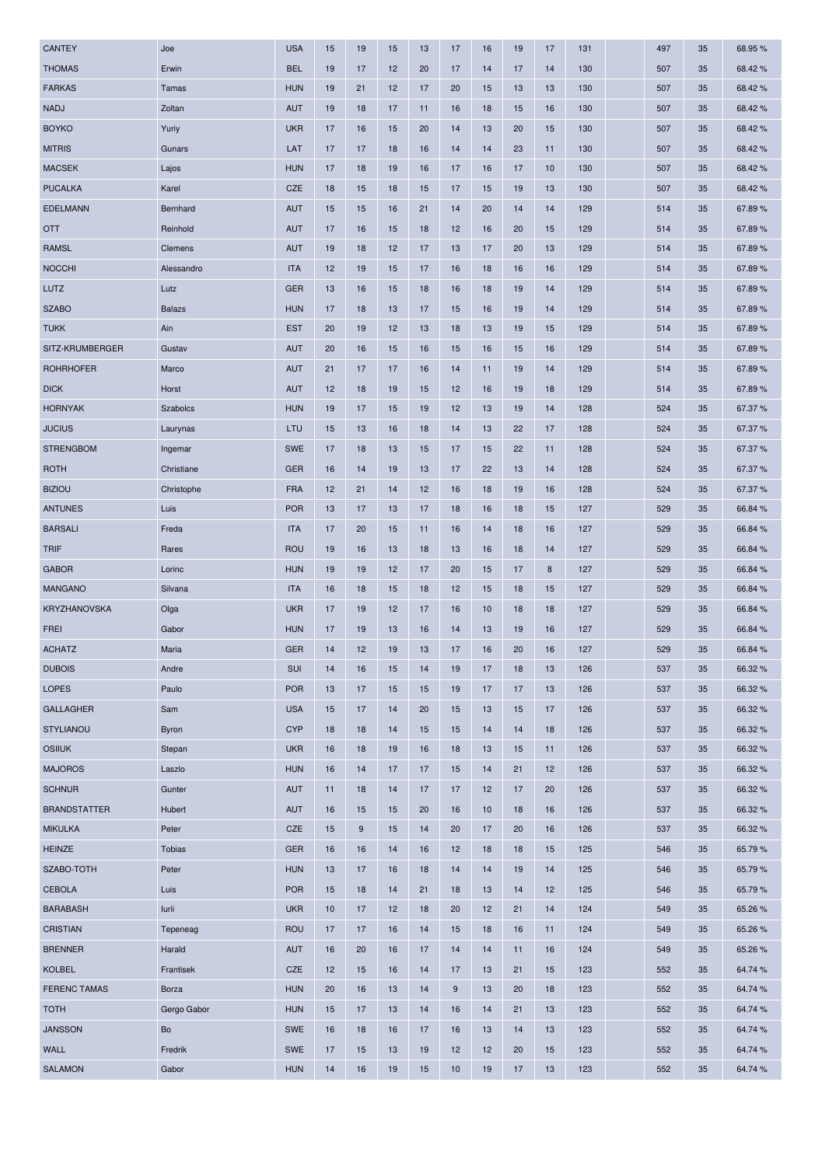| <b>CANTEY</b>                         | Joe             | <b>USA</b>        | 15       | 19 | 15       | 13 | 17       | 16       | 19       | 17       | 131        | 497        | 35       | 68.95%            |
|---------------------------------------|-----------------|-------------------|----------|----|----------|----|----------|----------|----------|----------|------------|------------|----------|-------------------|
| <b>THOMAS</b>                         | Erwin           | <b>BEL</b>        | 19       | 17 | 12       | 20 | 17       | 14       | 17       | 14       | 130        | 507        | 35       | 68.42%            |
| <b>FARKAS</b>                         | Tamas           | <b>HUN</b>        | 19       | 21 | 12       | 17 | 20       | 15       | 13       | 13       | 130        | 507        | 35       | 68.42%            |
| <b>NADJ</b>                           | Zoltan          | <b>AUT</b>        | 19       | 18 | 17       | 11 | 16       | 18       | 15       | 16       | 130        | 507        | 35       | 68.42%            |
| <b>BOYKO</b>                          | Yuriy           | <b>UKR</b>        | 17       | 16 | 15       | 20 | 14       | 13       | 20       | 15       | 130        | 507        | 35       | 68.42%            |
| <b>MITRIS</b>                         | Gunars          | LAT               | 17       | 17 | 18       | 16 | 14       | 14       | 23       | 11       | 130        | 507        | 35       | 68.42%            |
| <b>MACSEK</b>                         | Lajos           | <b>HUN</b>        | 17       | 18 | 19       | 16 | 17       | 16       | 17       | 10       | 130        | 507        | 35       | 68.42%            |
| <b>PUCALKA</b>                        | Karel           | CZE               | 18       | 15 | 18       | 15 | 17       | 15       | 19       | 13       | 130        | 507        | 35       | 68.42%            |
| <b>EDELMANN</b>                       | Bernhard        | <b>AUT</b>        | 15       | 15 | 16       | 21 | 14       | 20       | 14       | 14       | 129        | 514        | 35       | 67.89%            |
| <b>OTT</b>                            | Reinhold        | <b>AUT</b>        | 17       | 16 | 15       | 18 | 12       | 16       | 20       | 15       | 129        | 514        | 35       | 67.89%            |
| <b>RAMSL</b>                          | Clemens         | <b>AUT</b>        | 19       | 18 | 12       | 17 | 13       | 17       | 20       | 13       | 129        | 514        | 35       | 67.89%            |
| <b>NOCCHI</b>                         | Alessandro      | <b>ITA</b>        | 12       | 19 | 15       | 17 | 16       | 18       | 16       | 16       | 129        | 514        | 35       | 67.89%            |
| LUTZ                                  | Lutz            | <b>GER</b>        | 13       | 16 | 15       | 18 | 16       | 18       | 19       | 14       | 129        | 514        | 35       | 67.89%            |
| <b>SZABO</b>                          | <b>Balazs</b>   | <b>HUN</b>        | 17       | 18 | 13       | 17 | 15       | 16       | 19       | 14       | 129        | 514        | 35       | 67.89%            |
| <b>TUKK</b>                           | Ain             | <b>EST</b>        | 20       | 19 | 12       | 13 | 18       | 13       | 19       | 15       | 129        | 514        | 35       | 67.89%            |
| SITZ-KRUMBERGER                       | Gustav          | <b>AUT</b>        | 20       | 16 | 15       | 16 | 15       | 16       | 15       | 16       | 129        | 514        | 35       | 67.89%            |
| <b>ROHRHOFER</b>                      | Marco           | <b>AUT</b>        | 21       | 17 | 17       | 16 | 14       | 11       | 19       | 14       | 129        | 514        | 35       | 67.89%            |
| <b>DICK</b>                           | Horst           | <b>AUT</b>        | 12       | 18 | 19       | 15 | 12       | 16       | 19       | 18       | 129        | 514        | 35       | 67.89%            |
| <b>HORNYAK</b>                        | Szabolcs        | <b>HUN</b>        | 19       | 17 | 15       | 19 | 12       | 13       | 19       | 14       | 128        | 524        | 35       | 67.37 %           |
| <b>JUCIUS</b>                         | Laurynas        | LTU               | 15       | 13 | 16       | 18 | 14       | 13       | 22       | 17       | 128        | 524        | 35       | 67.37%            |
| <b>STRENGBOM</b>                      | Ingemar         | <b>SWE</b>        | 17       | 18 | 13       | 15 | 17       | 15       | 22       | 11       | 128        | 524        | 35       | 67.37 %           |
| <b>ROTH</b>                           | Christiane      | <b>GER</b>        | 16       | 14 | 19       | 13 | 17       | 22       | 13       | 14       | 128        | 524        | 35       | 67.37%            |
| <b>BIZIOU</b>                         | Christophe      | <b>FRA</b>        | 12       | 21 | 14       | 12 | 16       | 18       | 19       | 16       | 128        | 524        | 35       | 67.37%            |
| <b>ANTUNES</b>                        | Luis            | <b>POR</b>        | 13       | 17 | 13       | 17 | 18       | 16       | 18       | 15       | 127        | 529        | 35       | 66.84 %           |
| <b>BARSALI</b>                        | Freda           | <b>ITA</b>        | 17       | 20 | 15       | 11 | 16       | 14       | 18       | 16       | 127        | 529        | 35       | 66.84 %           |
| <b>TRIF</b>                           | Rares           | <b>ROU</b>        | 19       | 16 | 13       | 18 | 13       | 16       | 18       | 14       | 127        | 529        | 35       | 66.84 %           |
| <b>GABOR</b>                          | Lorinc          | <b>HUN</b>        | 19       | 19 | 12       | 17 | 20       | 15       | 17       | 8        | 127        | 529        | 35       | 66.84 %           |
| <b>MANGANO</b>                        | Silvana         | <b>ITA</b>        | 16       | 18 | 15       | 18 | 12       | 15       | 18       | 15       | 127        | 529        | 35       | 66.84 %           |
| <b>KRYZHANOVSKA</b>                   | Olga            | <b>UKR</b>        | 17       | 19 | 12       | 17 | 16       | 10       | 18       | 18       | 127        | 529        | 35       | 66.84 %           |
| FREI                                  | Gabor           | <b>HUN</b>        | 17       | 19 | 13       | 16 | 14       | 13       | 19       | 16       | 127        | 529        | 35       | 66.84 %           |
| <b>ACHATZ</b>                         | Maria           | <b>GER</b>        | 14       | 12 | 19       | 13 | 17       | 16       | 20       | 16       | 127        | 529        | 35       | 66.84 %           |
| <b>DUBOIS</b>                         | Andre           | SUI               | 14       | 16 | 15       | 14 | 19       | 17       | 18       | 13       | 126        | 537        | 35       | 66.32%            |
| <b>LOPES</b>                          | Paulo           | <b>POR</b>        | 13       | 17 | 15       | 15 | 19       | 17       | 17       | 13       | 126        | 537        | 35       | 66.32 %           |
| <b>GALLAGHER</b>                      | Sam             | <b>USA</b>        | 15       | 17 | 14       | 20 | 15       | 13       | 15       | 17       | 126        | 537        | 35       | 66.32 %           |
| <b>STYLIANOU</b>                      | Byron           | <b>CYP</b>        | 18       | 18 | 14       | 15 | 15       | 14       | 14       | 18       | 126        | 537        | 35       | 66.32%            |
| <b>OSIIUK</b>                         | Stepan          | <b>UKR</b>        | 16       | 18 | 19       | 16 | 18       | 13       | 15       | 11       | 126        | 537        | 35       | 66.32 %           |
| <b>MAJOROS</b>                        | Laszlo          | <b>HUN</b>        | 16       | 14 | 17       | 17 | 15       | 14       | 21       | 12       | 126        | 537        | 35       | 66.32 %           |
| <b>SCHNUR</b>                         | Gunter          | <b>AUT</b>        | 11       | 18 | 14       | 17 | 17       | 12       | 17       | 20       | 126        | 537        | 35       | 66.32 %           |
|                                       |                 |                   |          |    |          |    |          |          |          |          |            |            |          |                   |
| <b>BRANDSTATTER</b><br><b>MIKULKA</b> | Hubert<br>Peter | <b>AUT</b><br>CZE | 16<br>15 | 15 | 15<br>15 | 20 | 16<br>20 | 10<br>17 | 18<br>20 | 16<br>16 | 126<br>126 | 537<br>537 | 35<br>35 | 66.32 %<br>66.32% |
|                                       |                 |                   |          | 9  |          | 14 |          |          |          |          |            |            |          |                   |
| <b>HEINZE</b>                         | <b>Tobias</b>   | <b>GER</b>        | 16       | 16 | 14       | 16 | 12       | 18       | 18       | 15       | 125        | 546        | 35       | 65.79%            |
| SZABO-TOTH                            | Peter           | <b>HUN</b>        | 13       | 17 | 16       | 18 | 14       | 14       | 19       | 14       | 125        | 546        | 35       | 65.79%            |
| <b>CEBOLA</b>                         | Luis            | <b>POR</b>        | 15       | 18 | 14       | 21 | 18       | 13       | 14       | 12       | 125        | 546        | 35       | 65.79%            |
| <b>BARABASH</b>                       | lurii           | <b>UKR</b>        | 10       | 17 | 12       | 18 | 20       | 12       | 21       | 14       | 124        | 549        | 35       | 65.26 %           |
| <b>CRISTIAN</b>                       | Tepeneag        | <b>ROU</b>        | 17       | 17 | 16       | 14 | 15       | 18       | 16       | 11       | 124        | 549        | 35       | 65.26 %           |
| <b>BRENNER</b>                        | Harald          | <b>AUT</b>        | 16       | 20 | 16       | 17 | 14       | 14       | 11       | 16       | 124        | 549        | 35       | 65.26%            |
| <b>KOLBEL</b>                         | Frantisek       | CZE               | 12       | 15 | 16       | 14 | 17       | 13       | 21       | 15       | 123        | 552        | 35       | 64.74 %           |
| <b>FERENC TAMAS</b>                   | Borza           | <b>HUN</b>        | 20       | 16 | 13       | 14 | 9        | 13       | 20       | 18       | 123        | 552        | 35       | 64.74 %           |
| <b>TOTH</b>                           | Gergo Gabor     | <b>HUN</b>        | 15       | 17 | 13       | 14 | 16       | 14       | 21       | 13       | 123        | 552        | 35       | 64.74 %           |
| <b>JANSSON</b>                        | Bo              | <b>SWE</b>        | 16       | 18 | 16       | 17 | 16       | 13       | 14       | 13       | 123        | 552        | 35       | 64.74 %           |
| <b>WALL</b>                           | Fredrik         | SWE               | 17       | 15 | 13       | 19 | 12       | 12       | 20       | 15       | 123        | 552        | 35       | 64.74 %           |
| <b>SALAMON</b>                        | Gabor           | <b>HUN</b>        | 14       | 16 | 19       | 15 | 10       | 19       | 17       | 13       | 123        | 552        | 35       | 64.74 %           |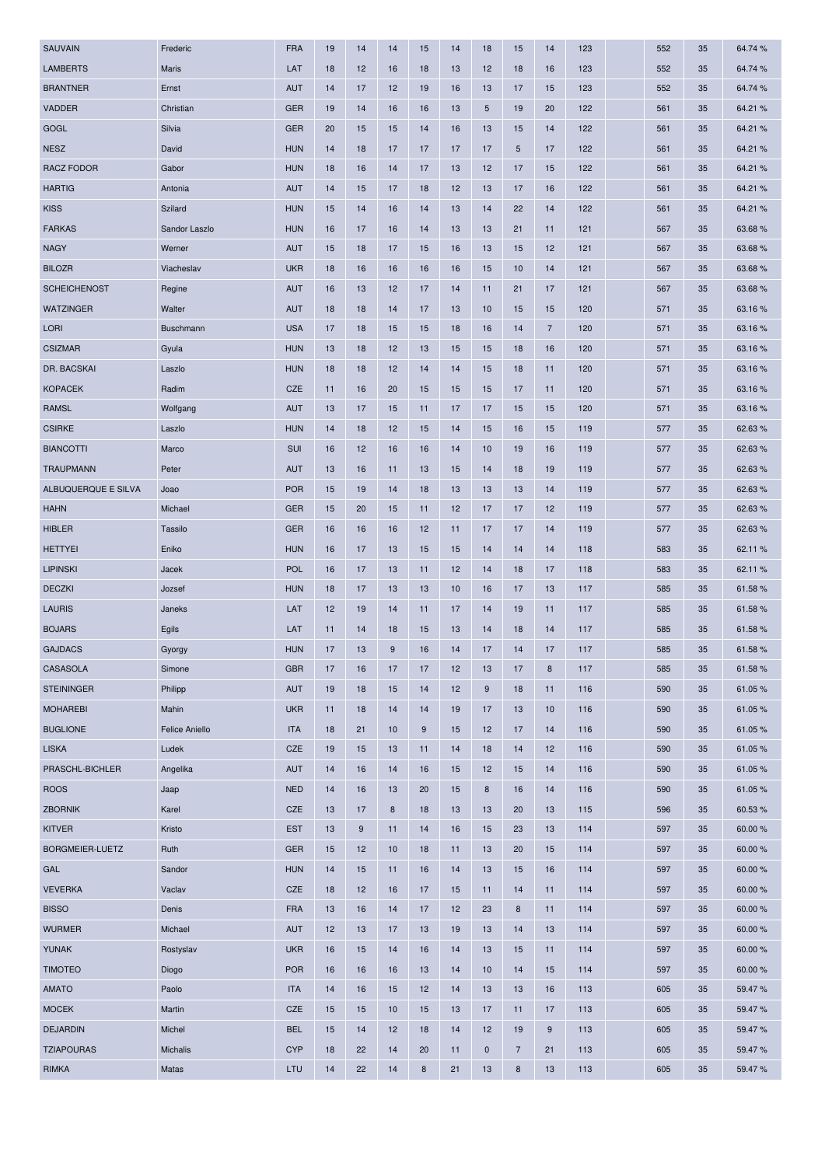| <b>SAUVAIN</b>      | Frederic       | <b>FRA</b> | 19 | 14    | 14 | 15               | 14 | 18          | 15             | 14             | 123 | 552 | 35 | 64.74 % |
|---------------------|----------------|------------|----|-------|----|------------------|----|-------------|----------------|----------------|-----|-----|----|---------|
| <b>LAMBERTS</b>     | Maris          | LAT        | 18 | 12    | 16 | 18               | 13 | 12          | 18             | 16             | 123 | 552 | 35 | 64.74 % |
| <b>BRANTNER</b>     | Ernst          | <b>AUT</b> | 14 | 17    | 12 | 19               | 16 | 13          | 17             | 15             | 123 | 552 | 35 | 64.74 % |
| VADDER              | Christian      | <b>GER</b> | 19 | 14    | 16 | 16               | 13 | 5           | 19             | 20             | 122 | 561 | 35 | 64.21 % |
| GOGL                | Silvia         | <b>GER</b> | 20 | 15    | 15 | 14               | 16 | 13          | 15             | 14             | 122 | 561 | 35 | 64.21 % |
| <b>NESZ</b>         | David          | <b>HUN</b> | 14 | 18    | 17 | 17               | 17 | 17          | 5              | 17             | 122 | 561 | 35 | 64.21 % |
| <b>RACZ FODOR</b>   | Gabor          | <b>HUN</b> | 18 | 16    | 14 | 17               | 13 | 12          | 17             | 15             | 122 | 561 | 35 | 64.21 % |
| <b>HARTIG</b>       | Antonia        | <b>AUT</b> | 14 | 15    | 17 | 18               | 12 | 13          | 17             | 16             | 122 | 561 | 35 | 64.21 % |
| <b>KISS</b>         | Szilard        | <b>HUN</b> | 15 | 14    | 16 | 14               | 13 | 14          | 22             | 14             | 122 | 561 | 35 | 64.21 % |
| <b>FARKAS</b>       | Sandor Laszlo  | <b>HUN</b> | 16 | 17    | 16 | 14               | 13 | 13          | 21             | 11             | 121 | 567 | 35 | 63.68%  |
| <b>NAGY</b>         | Werner         | <b>AUT</b> | 15 | 18    | 17 | 15               | 16 | 13          | 15             | 12             | 121 | 567 | 35 | 63.68%  |
| <b>BILOZR</b>       | Viacheslav     | <b>UKR</b> | 18 | 16    | 16 | 16               | 16 | 15          | 10             | 14             | 121 | 567 | 35 | 63.68%  |
| <b>SCHEICHENOST</b> | Regine         | <b>AUT</b> | 16 | 13    | 12 | 17               | 14 | 11          | 21             | 17             | 121 | 567 | 35 | 63.68%  |
| <b>WATZINGER</b>    | Walter         | <b>AUT</b> | 18 | 18    | 14 | 17               | 13 | 10          | 15             | 15             | 120 | 571 | 35 | 63.16%  |
| <b>LORI</b>         | Buschmann      | <b>USA</b> | 17 | 18    | 15 | 15               | 18 | 16          | 14             | $\overline{7}$ | 120 | 571 | 35 | 63.16%  |
| <b>CSIZMAR</b>      | Gyula          | <b>HUN</b> | 13 | 18    | 12 | 13               | 15 | 15          | 18             | 16             | 120 | 571 | 35 | 63.16 % |
| DR. BACSKAI         | Laszlo         | <b>HUN</b> | 18 | 18    | 12 | 14               | 14 | 15          | 18             | 11             | 120 | 571 | 35 | 63.16%  |
| <b>KOPACEK</b>      | Radim          | CZE        | 11 | 16    | 20 | 15               | 15 | 15          | 17             | 11             | 120 | 571 | 35 | 63.16%  |
| <b>RAMSL</b>        | Wolfgang       | <b>AUT</b> | 13 | 17    | 15 | 11               | 17 | 17          | 15             | 15             | 120 | 571 | 35 | 63.16%  |
| <b>CSIRKE</b>       | Laszlo         | <b>HUN</b> | 14 | 18    | 12 | 15               | 14 | 15          | 16             | 15             | 119 | 577 | 35 | 62.63%  |
| <b>BIANCOTTI</b>    | Marco          | SUI        | 16 | 12    | 16 | 16               | 14 | 10          | 19             | 16             | 119 | 577 | 35 | 62.63%  |
| <b>TRAUPMANN</b>    | Peter          | <b>AUT</b> | 13 | 16    | 11 | 13               | 15 | 14          | 18             | 19             | 119 | 577 | 35 | 62.63%  |
| ALBUQUERQUE E SILVA | Joao           | <b>POR</b> | 15 | 19    | 14 | 18               | 13 | 13          | 13             | 14             | 119 | 577 | 35 | 62.63%  |
| <b>HAHN</b>         | Michael        | <b>GER</b> | 15 | 20    | 15 | 11               | 12 | 17          | 17             | 12             | 119 | 577 | 35 | 62.63%  |
| <b>HIBLER</b>       | Tassilo        | <b>GER</b> | 16 | 16    | 16 | 12               | 11 | 17          | 17             | 14             | 119 | 577 | 35 | 62.63%  |
| <b>HETTYEI</b>      | Eniko          | <b>HUN</b> | 16 | 17    | 13 | 15               | 15 | 14          | 14             | 14             | 118 | 583 | 35 | 62.11%  |
| <b>LIPINSKI</b>     | Jacek          | <b>POL</b> | 16 | 17    | 13 | 11               | 12 | 14          | 18             | 17             | 118 | 583 | 35 | 62.11 % |
| <b>DECZKI</b>       | Jozsef         | <b>HUN</b> | 18 | 17    | 13 | 13               | 10 | 16          | 17             | 13             | 117 | 585 | 35 | 61.58 % |
| <b>LAURIS</b>       | Janeks         | LAT        | 12 | 19    | 14 | 11               | 17 | 14          | 19             | 11             | 117 | 585 | 35 | 61.58%  |
| <b>BOJARS</b>       | Egils          | LAT        | 11 | 14    | 18 | 15               | 13 | 14          | 18             | 14             | 117 | 585 | 35 | 61.58 % |
| <b>GAJDACS</b>      | Gyorgy         | <b>HUN</b> | 17 | 13    | 9  | 16               | 14 | 17          | 14             | 17             | 117 | 585 | 35 | 61.58%  |
| CASASOLA            | Simone         | <b>GBR</b> | 17 | 16    | 17 | 17               | 12 | 13          | 17             | 8              | 117 | 585 | 35 | 61.58%  |
| <b>STEININGER</b>   | Philipp        | <b>AUT</b> | 19 | 18    | 15 | 14               | 12 | 9           | 18             | 11             | 116 | 590 | 35 | 61.05%  |
| <b>MOHAREBI</b>     | Mahin          | <b>UKR</b> | 11 | 18    | 14 | 14               | 19 | 17          | 13             | 10             | 116 | 590 | 35 | 61.05%  |
| <b>BUGLIONE</b>     | Felice Aniello | <b>ITA</b> | 18 | 21    | 10 | $\boldsymbol{9}$ | 15 | 12          | 17             | 14             | 116 | 590 | 35 | 61.05%  |
| <b>LISKA</b>        | Ludek          | CZE        | 19 | 15    | 13 | 11               | 14 | 18          | 14             | 12             | 116 | 590 | 35 | 61.05%  |
| PRASCHL-BICHLER     | Angelika       | <b>AUT</b> | 14 | 16    | 14 | 16               | 15 | 12          | 15             | 14             | 116 | 590 | 35 | 61.05%  |
| <b>ROOS</b>         | Jaap           | <b>NED</b> | 14 | 16    | 13 | 20               | 15 | 8           | 16             | 14             | 116 | 590 | 35 | 61.05%  |
| <b>ZBORNIK</b>      | Karel          | CZE        | 13 | 17    | 8  | 18               | 13 | 13          | 20             | 13             | 115 | 596 | 35 | 60.53%  |
| <b>KITVER</b>       | Kristo         | <b>EST</b> | 13 | $9\,$ | 11 | 14               | 16 | 15          | 23             | 13             | 114 | 597 | 35 | 60.00 % |
| BORGMEIER-LUETZ     | Ruth           | <b>GER</b> | 15 | 12    | 10 | 18               | 11 | 13          | 20             | 15             | 114 | 597 | 35 | 60.00 % |
| GAL                 | Sandor         | <b>HUN</b> | 14 | 15    | 11 | 16               | 14 | 13          | 15             | 16             | 114 | 597 | 35 | 60.00 % |
| <b>VEVERKA</b>      | Vaclav         | CZE        | 18 | 12    | 16 | 17               | 15 | 11          | 14             | 11             | 114 | 597 | 35 | 60.00 % |
| <b>BISSO</b>        | Denis          | <b>FRA</b> | 13 | 16    | 14 | 17               | 12 | 23          | $\bf8$         | 11             | 114 | 597 | 35 | 60.00 % |
| <b>WURMER</b>       | Michael        | <b>AUT</b> | 12 | 13    | 17 | 13               | 19 | 13          | 14             | 13             | 114 | 597 | 35 | 60.00 % |
| <b>YUNAK</b>        | Rostyslav      | <b>UKR</b> | 16 | 15    | 14 | 16               | 14 | 13          | 15             | 11             | 114 | 597 | 35 | 60.00 % |
| <b>TIMOTEO</b>      | Diogo          | <b>POR</b> | 16 | 16    | 16 | 13               | 14 | 10          | 14             | 15             | 114 | 597 | 35 | 60.00 % |
| <b>AMATO</b>        | Paolo          | <b>ITA</b> | 14 | 16    | 15 | 12               | 14 | 13          | 13             | 16             | 113 | 605 | 35 | 59.47%  |
| <b>MOCEK</b>        | Martin         | CZE        | 15 | 15    | 10 | 15               | 13 | 17          | 11             | 17             | 113 | 605 | 35 | 59.47%  |
| <b>DEJARDIN</b>     | Michel         | <b>BEL</b> | 15 | 14    | 12 | 18               | 14 | 12          | 19             | 9              | 113 | 605 | 35 | 59.47%  |
| <b>TZIAPOURAS</b>   | Michalis       | <b>CYP</b> | 18 | 22    | 14 | 20               | 11 | $\mathbf 0$ | $\overline{7}$ | 21             | 113 | 605 | 35 | 59.47%  |
| <b>RIMKA</b>        | Matas          | LTU        | 14 | 22    | 14 | 8                | 21 | 13          | 8              | 13             | 113 | 605 | 35 | 59.47%  |
|                     |                |            |    |       |    |                  |    |             |                |                |     |     |    |         |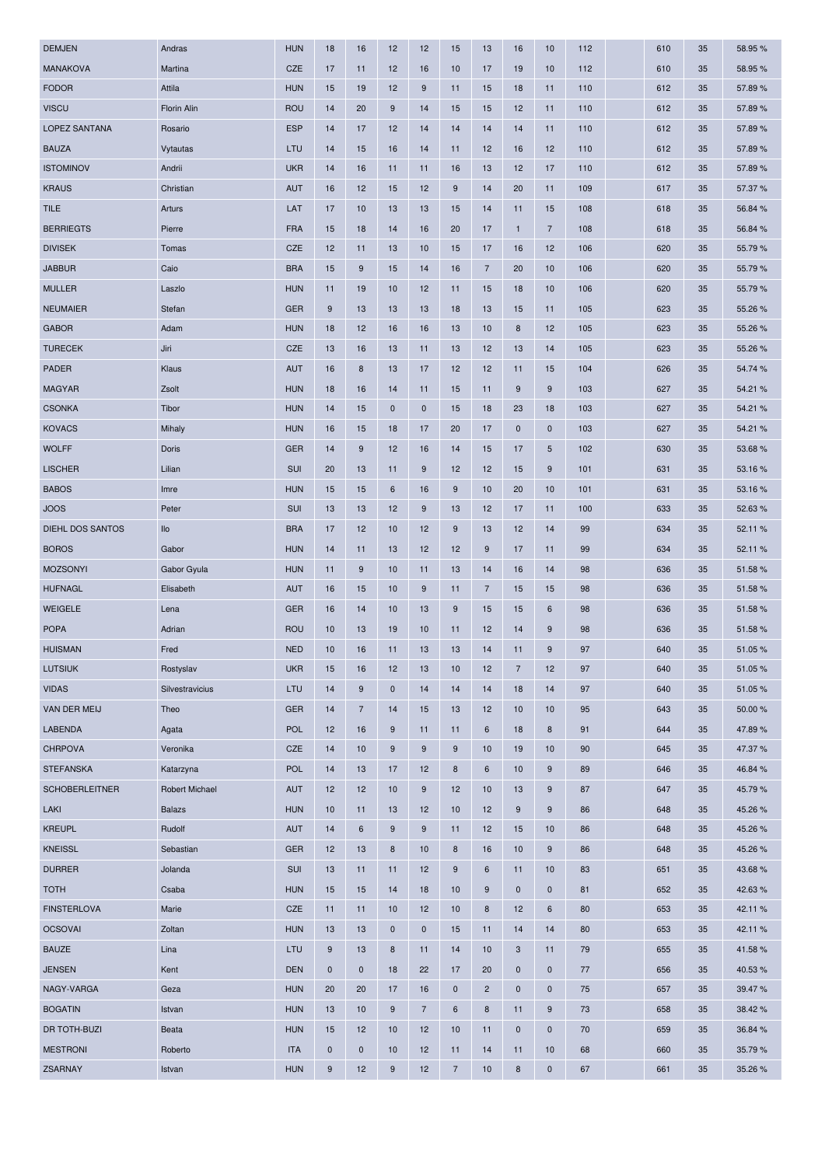| DEMJEN                | Andras          | <b>HUN</b> | 18          | 16             | 12               | 12             | 15               | 13             | 16             | 10               | 112 | 610 | 35 | 58.95 % |
|-----------------------|-----------------|------------|-------------|----------------|------------------|----------------|------------------|----------------|----------------|------------------|-----|-----|----|---------|
| <b>MANAKOVA</b>       | Martina         | <b>CZE</b> | 17          | 11             | 12               | 16             | 10               | 17             | 19             | 10               | 112 | 610 | 35 | 58.95 % |
| <b>FODOR</b>          | Attila          | <b>HUN</b> | 15          | 19             | 12               | 9              | 11               | 15             | 18             | 11               | 110 | 612 | 35 | 57.89%  |
| <b>VISCU</b>          | Florin Alin     | <b>ROU</b> | 14          | 20             | 9                | 14             | 15               | 15             | 12             | 11               | 110 | 612 | 35 | 57.89 % |
| LOPEZ SANTANA         | Rosario         | <b>ESP</b> | 14          | 17             | 12               | 14             | 14               | 14             | 14             | 11               | 110 | 612 | 35 | 57.89%  |
| <b>BAUZA</b>          | Vytautas        | LTU        | 14          | 15             | 16               | 14             | 11               | 12             | 16             | 12               | 110 | 612 | 35 | 57.89%  |
| <b>ISTOMINOV</b>      | Andrii          | <b>UKR</b> | 14          | 16             | 11               | 11             | 16               | 13             | 12             | 17               | 110 | 612 | 35 | 57.89 % |
| <b>KRAUS</b>          | Christian       | <b>AUT</b> | 16          | 12             | 15               | 12             | 9                | 14             | 20             | 11               | 109 | 617 | 35 | 57.37 % |
| <b>TILE</b>           | Arturs          | LAT        | 17          | 10             | 13               | 13             | 15               | 14             | 11             | 15               | 108 | 618 | 35 | 56.84 % |
| <b>BERRIEGTS</b>      | Pierre          | <b>FRA</b> | 15          | 18             | 14               | 16             | 20               | 17             | $\mathbf{1}$   | $\overline{7}$   | 108 | 618 | 35 | 56.84 % |
| <b>DIVISEK</b>        | Tomas           | CZE        | 12          | 11             | 13               | 10             | 15               | 17             | 16             | 12               | 106 | 620 | 35 | 55.79 % |
| <b>JABBUR</b>         | Caio            | <b>BRA</b> | 15          | $9\,$          | 15               | 14             | 16               | $\overline{7}$ | 20             | 10               | 106 | 620 | 35 | 55.79%  |
| <b>MULLER</b>         | Laszlo          | <b>HUN</b> | 11          | 19             | 10               | 12             | 11               | 15             | 18             | 10               | 106 | 620 | 35 | 55.79 % |
| <b>NEUMAIER</b>       | Stefan          | <b>GER</b> | 9           | 13             | 13               | 13             | 18               | 13             | 15             | 11               | 105 | 623 | 35 | 55.26 % |
| <b>GABOR</b>          | Adam            | <b>HUN</b> | 18          | 12             | 16               | 16             | 13               | 10             | 8              | 12               | 105 | 623 | 35 | 55.26 % |
| <b>TURECEK</b>        | Jiri            | <b>CZE</b> | 13          | 16             | 13               | 11             | 13               | 12             | 13             | 14               | 105 | 623 | 35 | 55.26 % |
| <b>PADER</b>          | Klaus           | <b>AUT</b> | 16          | 8              | 13               | 17             | 12               | 12             | 11             | 15               | 104 | 626 | 35 | 54.74 % |
| <b>MAGYAR</b>         | Zsolt           | <b>HUN</b> | 18          | 16             | 14               | 11             | 15               | 11             | 9              | 9                | 103 | 627 | 35 | 54.21 % |
|                       |                 |            |             |                |                  |                |                  |                |                |                  |     |     |    |         |
| <b>CSONKA</b>         | Tibor           | <b>HUN</b> | 14          | 15             | $\mathbf 0$      | $\mathbf 0$    | 15               | 18             | 23             | 18               | 103 | 627 | 35 | 54.21 % |
| <b>KOVACS</b>         | Mihaly          | <b>HUN</b> | 16          | 15             | 18               | 17             | 20               | 17             | $\pmb{0}$      | $\mathbf 0$      | 103 | 627 | 35 | 54.21 % |
| <b>WOLFF</b>          | Doris           | <b>GER</b> | 14          | 9              | 12               | 16             | 14               | 15             | 17             | 5                | 102 | 630 | 35 | 53.68%  |
| <b>LISCHER</b>        | Lilian          | SUI        | 20          | 13             | 11               | 9              | 12               | 12             | 15             | 9                | 101 | 631 | 35 | 53.16%  |
| <b>BABOS</b>          | Imre            | <b>HUN</b> | 15          | 15             | 6                | 16             | 9                | 10             | 20             | 10               | 101 | 631 | 35 | 53.16 % |
| <b>JOOS</b>           | Peter           | <b>SUI</b> | 13          | 13             | 12               | $9\,$          | 13               | 12             | 17             | 11               | 100 | 633 | 35 | 52.63%  |
| DIEHL DOS SANTOS      | IIO             | <b>BRA</b> | 17          | 12             | 10               | 12             | $9\,$            | 13             | 12             | 14               | 99  | 634 | 35 | 52.11%  |
| <b>BOROS</b>          | Gabor           | <b>HUN</b> | 14          | 11             | 13               | 12             | 12               | 9              | 17             | 11               | 99  | 634 | 35 | 52.11%  |
| <b>MOZSONYI</b>       | Gabor Gyula     | <b>HUN</b> | 11          | 9              | 10               | 11             | 13               | 14             | 16             | 14               | 98  | 636 | 35 | 51.58%  |
| <b>HUFNAGL</b>        | Elisabeth       | <b>AUT</b> | 16          | 15             | 10               | 9              | 11               | 7              | 15             | 15               | 98  | 636 | 35 | 51.58 % |
| <b>WEIGELE</b>        | Lena            | <b>GER</b> | 16          | 14             | 10               | 13             | 9                | 15             | 15             | 6                | 98  | 636 | 35 | 51.58%  |
| <b>POPA</b>           | Adrian          | <b>ROU</b> | 10          | 13             | 19               | 10             | 11               | 12             | 14             | 9                | 98  | 636 | 35 | 51.58 % |
| <b>HUISMAN</b>        | Fred            | <b>NED</b> | 10          | 16             | 11               | 13             | 13               | 14             | 11             | $\boldsymbol{9}$ | 97  | 640 | 35 | 51.05%  |
| <b>LUTSIUK</b>        | Rostyslav       | <b>UKR</b> | 15          | 16             | 12               | 13             | 10               | 12             | $\overline{7}$ | 12               | 97  | 640 | 35 | 51.05 % |
| <b>VIDAS</b>          | Silvestravicius | LTU        | 14          | 9              | $\mathbf 0$      | 14             | 14               | 14             | 18             | 14               | 97  | 640 | 35 | 51.05%  |
| VAN DER MEIJ          | Theo            | <b>GER</b> | 14          | $\overline{7}$ | 14               | 15             | 13               | 12             | 10             | 10               | 95  | 643 | 35 | 50.00 % |
| LABENDA               | Agata           | <b>POL</b> | 12          | 16             | 9                | 11             | 11               | 6              | 18             | 8                | 91  | 644 | 35 | 47.89%  |
| <b>CHRPOVA</b>        | Veronika        | CZE        | 14          | 10             | 9                | $9\,$          | $9\,$            | 10             | 19             | 10               | 90  | 645 | 35 | 47.37 % |
| <b>STEFANSKA</b>      | Katarzyna       | <b>POL</b> | 14          | 13             | 17               | 12             | 8                | 6              | 10             | 9                | 89  | 646 | 35 | 46.84 % |
| <b>SCHOBERLEITNER</b> | Robert Michael  | <b>AUT</b> | 12          | 12             | 10               | $9\,$          | 12               | 10             | 13             | 9                | 87  | 647 | 35 | 45.79%  |
| LAKI                  | <b>Balazs</b>   | <b>HUN</b> | 10          | 11             | 13               | 12             | 10               | 12             | $9\,$          | 9                | 86  | 648 | 35 | 45.26 % |
| <b>KREUPL</b>         | Rudolf          | <b>AUT</b> | 14          | 6              | 9                | 9              | 11               | 12             | 15             | 10               | 86  | 648 | 35 | 45.26%  |
| <b>KNEISSL</b>        | Sebastian       | <b>GER</b> | 12          | 13             | 8                | 10             | 8                | 16             | 10             | $9\,$            | 86  | 648 | 35 | 45.26 % |
| <b>DURRER</b>         | Jolanda         | SUI        | 13          | 11             | 11               | 12             | $9\,$            | 6              | 11             | 10               | 83  | 651 | 35 | 43.68%  |
| <b>TOTH</b>           | Csaba           | <b>HUN</b> | 15          | 15             | 14               | 18             | 10               | 9              | $\pmb{0}$      | $\mathbf 0$      | 81  | 652 | 35 | 42.63%  |
| <b>FINSTERLOVA</b>    | Marie           | CZE        | 11          | 11             | 10               | 12             | 10               | $\bf8$         | 12             | $6\phantom{1}6$  | 80  | 653 | 35 | 42.11%  |
| <b>OCSOVAI</b>        | Zoltan          | <b>HUN</b> | 13          | 13             | $\pmb{0}$        | $\mathbf 0$    | 15               | 11             | 14             | 14               | 80  | 653 | 35 | 42.11 % |
| <b>BAUZE</b>          | Lina            | LTU        | 9           | 13             | 8                | 11             | 14               | 10             | 3              | 11               | 79  | 655 | 35 | 41.58%  |
| <b>JENSEN</b>         | Kent            | <b>DEN</b> | $\mathbf 0$ | $\mathbf 0$    | 18               | 22             | 17               | 20             | $\mathbf 0$    | $\mathbf 0$      | 77  | 656 | 35 | 40.53 % |
| NAGY-VARGA            | Geza            | <b>HUN</b> | 20          | 20             | 17               | 16             | $\pmb{0}$        | $\overline{a}$ | $\pmb{0}$      | $\mathbf 0$      | 75  | 657 | 35 | 39.47 % |
| <b>BOGATIN</b>        | Istvan          | <b>HUN</b> | 13          | 10             | $9\,$            | $\overline{7}$ | $\boldsymbol{6}$ | $\bf8$         | 11             | 9                | 73  | 658 | 35 | 38.42%  |
| DR TOTH-BUZI          | <b>Beata</b>    | <b>HUN</b> | 15          | 12             | 10               | 12             | 10               | 11             | $\pmb{0}$      | $\mathbf 0$      | 70  | 659 | 35 | 36.84 % |
| <b>MESTRONI</b>       | Roberto         | <b>ITA</b> | $\pmb{0}$   | $\mathbf 0$    | 10               | 12             | 11               | 14             | 11             | 10               | 68  | 660 | 35 | 35.79 % |
| ZSARNAY               |                 | <b>HUN</b> | 9           | 12             | $\boldsymbol{9}$ | 12             | $\overline{7}$   | 10             | $\bf8$         | $\pmb{0}$        | 67  | 661 | 35 | 35.26 % |
|                       | Istvan          |            |             |                |                  |                |                  |                |                |                  |     |     |    |         |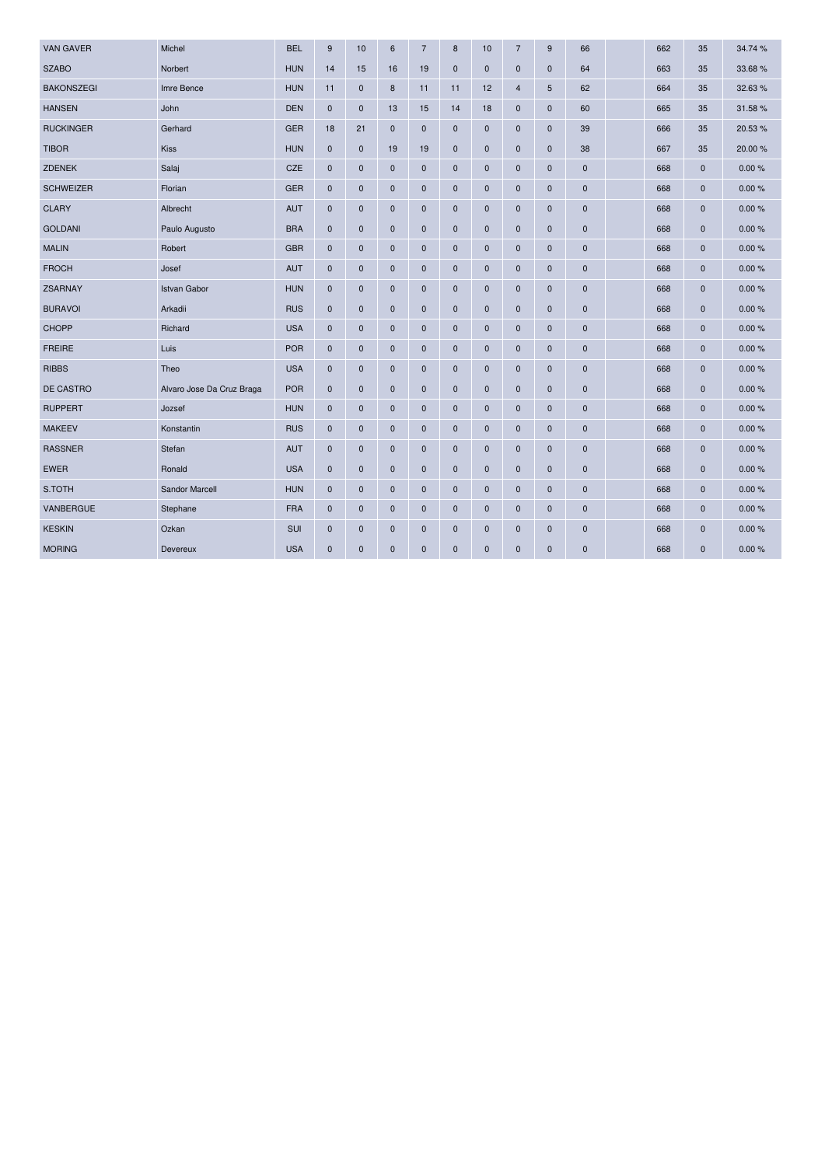| <b>VAN GAVER</b>  | Michel                    | <b>BEL</b> | 9           | 10          | 6           | $\overline{7}$ | 8           | 10          | $\overline{7}$ | 9           | 66          | 662 | 35           | 34.74 % |
|-------------------|---------------------------|------------|-------------|-------------|-------------|----------------|-------------|-------------|----------------|-------------|-------------|-----|--------------|---------|
| <b>SZABO</b>      | Norbert                   | <b>HUN</b> | 14          | 15          | 16          | 19             | $\mathbf 0$ | $\pmb{0}$   | $\pmb{0}$      | $\mathbf 0$ | 64          | 663 | 35           | 33.68%  |
| <b>BAKONSZEGI</b> | Imre Bence                | <b>HUN</b> | 11          | $\mathbf 0$ | 8           | 11             | 11          | 12          | 4              | 5           | 62          | 664 | 35           | 32.63%  |
| <b>HANSEN</b>     | John                      | <b>DEN</b> | $\mathbf 0$ | $\mathbf 0$ | 13          | 15             | 14          | 18          | $\mathbf 0$    | $\mathbf 0$ | 60          | 665 | 35           | 31.58%  |
| <b>RUCKINGER</b>  | Gerhard                   | <b>GER</b> | 18          | 21          | $\mathbf 0$ | $\pmb{0}$      | $\mathbf 0$ | $\pmb{0}$   | 0              | $\mathbf 0$ | 39          | 666 | 35           | 20.53%  |
| <b>TIBOR</b>      | Kiss                      | <b>HUN</b> | $\mathbf 0$ | $\mathbf 0$ | 19          | 19             | $\mathbf 0$ | $\mathbf 0$ | $\pmb{0}$      | $\mathbf 0$ | 38          | 667 | 35           | 20.00 % |
| <b>ZDENEK</b>     | Salaj                     | CZE        | $\mathbf 0$ | $\mathbf 0$ | $\pmb{0}$   | $\bf 0$        | $\mathbf 0$ | $\mathbf 0$ | $\mathbf 0$    | $\mathbf 0$ | $\mathbf 0$ | 668 | $\mathbf 0$  | 0.00%   |
| <b>SCHWEIZER</b>  | Florian                   | <b>GER</b> | $\mathbf 0$ | $\mathbf 0$ | $\pmb{0}$   | $\bf 0$        | $\mathbf 0$ | $\pmb{0}$   | $\pmb{0}$      | $\mathbf 0$ | 0           | 668 | $\mathbf 0$  | 0.00%   |
| <b>CLARY</b>      | Albrecht                  | <b>AUT</b> | $\mathbf 0$ | $\pmb{0}$   | $\mathbf 0$ | $\mathbf 0$    | $\mathbf 0$ | $\mathbf 0$ | $\pmb{0}$      | $\mathbf 0$ | 0           | 668 | $\mathbf 0$  | 0.00%   |
| <b>GOLDANI</b>    | Paulo Augusto             | <b>BRA</b> | $\mathbf 0$ | $\mathbf 0$ | $\pmb{0}$   | $\mathbf 0$    | $\mathbf 0$ | $\pmb{0}$   | $\mathbf 0$    | $\mathbf 0$ | $\mathbf 0$ | 668 | $\mathbf 0$  | 0.00%   |
| <b>MALIN</b>      | Robert                    | <b>GBR</b> | $\pmb{0}$   | $\pmb{0}$   | $\pmb{0}$   | $\mathbf 0$    | $\mathbf 0$ | $\pmb{0}$   | $\pmb{0}$      | $\mathbf 0$ | 0           | 668 | $\mathbf 0$  | 0.00%   |
| <b>FROCH</b>      | Josef                     | <b>AUT</b> | $\mathbf 0$ | $\mathbf 0$ | $\mathbf 0$ | $\bf 0$        | $\mathbf 0$ | $\mathbf 0$ | 0              | $\mathbf 0$ | 0           | 668 | $\mathbf 0$  | 0.00%   |
| <b>ZSARNAY</b>    | <b>Istvan Gabor</b>       | <b>HUN</b> | $\mathbf 0$ | $\mathbf 0$ | $\mathbf 0$ | $\mathbf 0$    | $\mathbf 0$ | $\mathbf 0$ | $\mathbf 0$    | $\mathbf 0$ | $\mathbf 0$ | 668 | $\mathbf 0$  | 0.00%   |
| <b>BURAVOI</b>    | Arkadii                   | <b>RUS</b> | $\pmb{0}$   | $\pmb{0}$   | $\mathbf 0$ | $\mathbf 0$    | $\pmb{0}$   | $\pmb{0}$   | 0              | $\pmb{0}$   | $\pmb{0}$   | 668 | $\mathbf 0$  | 0.00%   |
| <b>CHOPP</b>      | Richard                   | <b>USA</b> | $\mathbf 0$ | $\mathbf 0$ | $\pmb{0}$   | $\mathbf 0$    | $\mathbf 0$ | $\mathbf 0$ | $\mathbf 0$    | $\mathbf 0$ | $\mathbf 0$ | 668 | $\mathbf 0$  | 0.00%   |
| <b>FREIRE</b>     | Luis                      | <b>POR</b> | $\mathbf 0$ | $\mathbf 0$ | $\pmb{0}$   | $\mathbf 0$    | $\mathbf 0$ | $\mathbf 0$ | $\mathbf 0$    | $\mathbf 0$ | $\mathbf 0$ | 668 | $\mathbf 0$  | 0.00%   |
| <b>RIBBS</b>      | Theo                      | <b>USA</b> | $\pmb{0}$   | $\mathbf 0$ | $\pmb{0}$   | $\bf 0$        | $\mathbf 0$ | $\pmb{0}$   | $\pmb{0}$      | $\mathbf 0$ | 0           | 668 | $\mathbf 0$  | 0.00%   |
| DE CASTRO         | Alvaro Jose Da Cruz Braga | <b>POR</b> | $\mathbf 0$ | $\pmb{0}$   | $\mathbf 0$ | $\mathbf 0$    | $\mathbf 0$ | $\mathbf 0$ | $\pmb{0}$      | $\pmb{0}$   | 0           | 668 | $\mathbf 0$  | 0.00%   |
| <b>RUPPERT</b>    | Jozsef                    | <b>HUN</b> | $\mathbf 0$ | $\pmb{0}$   | $\pmb{0}$   | $\mathbf 0$    | $\mathbf 0$ | $\pmb{0}$   | $\pmb{0}$      | $\mathbf 0$ | $\mathbf 0$ | 668 | $\mathbf 0$  | 0.00%   |
| <b>MAKEEV</b>     | Konstantin                | <b>RUS</b> | $\pmb{0}$   | $\pmb{0}$   | $\pmb{0}$   | $\mathbf 0$    | $\mathbf 0$ | $\pmb{0}$   | $\pmb{0}$      | $\mathbf 0$ | 0           | 668 | $\mathbf 0$  | 0.00%   |
| <b>RASSNER</b>    | Stefan                    | <b>AUT</b> | $\mathbf 0$ | $\mathbf 0$ | $\mathbf 0$ | $\mathbf 0$    | $\mathbf 0$ | $\mathbf 0$ | 0              | $\mathbf 0$ | 0           | 668 | $\mathbf 0$  | 0.00%   |
| <b>EWER</b>       | Ronald                    | <b>USA</b> | $\mathbf 0$ | $\mathbf 0$ | $\mathbf 0$ | $\mathbf 0$    | $\mathbf 0$ | $\pmb{0}$   | $\mathbf 0$    | $\mathbf 0$ | $\mathbf 0$ | 668 | $\mathbf 0$  | 0.00%   |
| S.TOTH            | <b>Sandor Marcell</b>     | <b>HUN</b> | $\pmb{0}$   | $\pmb{0}$   | $\mathbf 0$ | $\bf 0$        | $\pmb{0}$   | $\pmb{0}$   | 0              | $\pmb{0}$   | $\pmb{0}$   | 668 | $\mathbf 0$  | 0.00%   |
| VANBERGUE         | Stephane                  | <b>FRA</b> | $\mathbf 0$ | $\mathbf 0$ | $\bf{0}$    | $\mathbf 0$    | $\mathbf 0$ | $\mathbf 0$ | $\mathbf 0$    | $\mathbf 0$ | $\mathbf 0$ | 668 | $\mathbf 0$  | 0.00%   |
| <b>KESKIN</b>     | Ozkan                     | SUI        | $\mathbf 0$ | $\mathbf 0$ | $\mathbf 0$ | $\mathbf 0$    | $\mathbf 0$ | $\mathbf 0$ | $\mathbf 0$    | $\mathbf 0$ | $\mathbf 0$ | 668 | $\mathbf 0$  | 0.00%   |
| <b>MORING</b>     | Devereux                  | <b>USA</b> | $\mathbf 0$ | $\mathbf 0$ | $\pmb{0}$   | $\mathbf{0}$   | $\mathbf 0$ | $\pmb{0}$   | 0              | $\mathbf 0$ | $\mathbf 0$ | 668 | $\mathbf{0}$ | 0.00%   |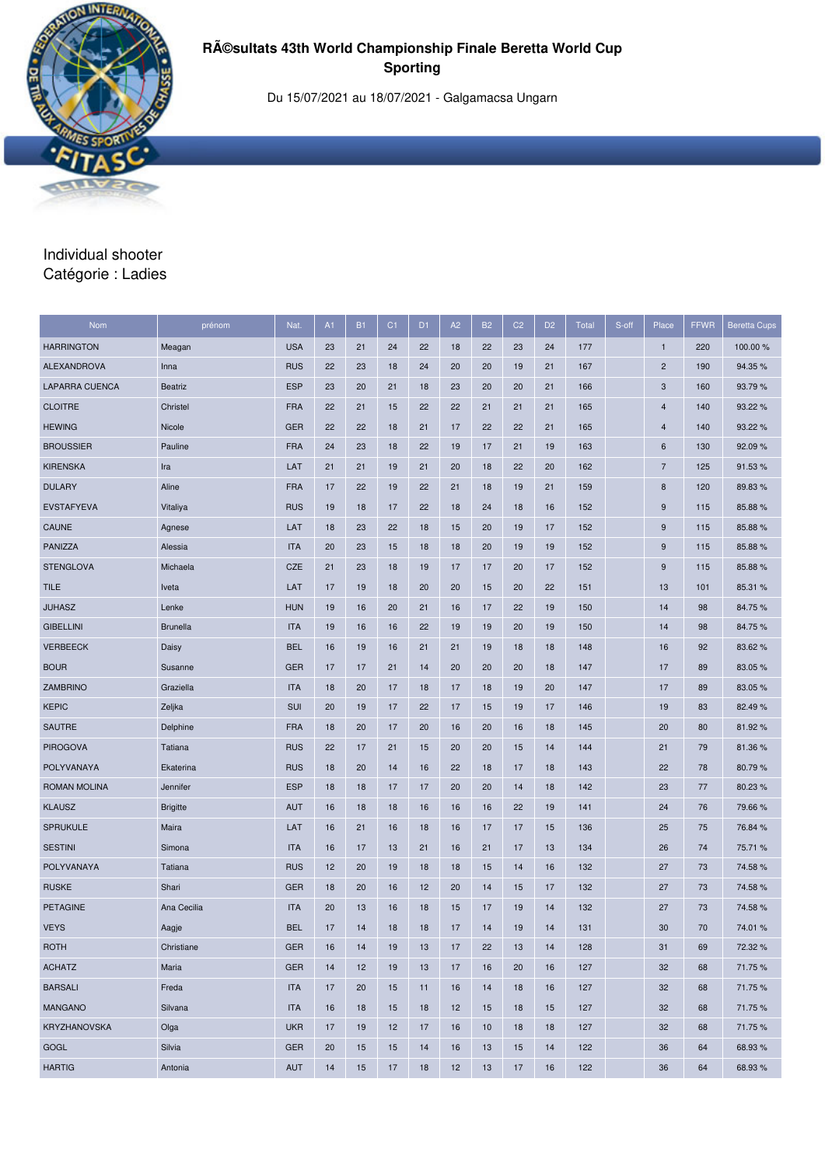

Du 15/07/2021 au 18/07/2021 - Galgamacsa Ungarn

### Individual shooter Catégorie : Ladies

| Nom               | prénom          | Nat.       | A1 | <b>B1</b> | C <sub>1</sub> | D <sub>1</sub> | A2 | <b>B2</b> | C <sub>2</sub> | D <sub>2</sub> | <b>Total</b> | S-off | Place                   | <b>FFWR</b> | <b>Beretta Cups</b> |
|-------------------|-----------------|------------|----|-----------|----------------|----------------|----|-----------|----------------|----------------|--------------|-------|-------------------------|-------------|---------------------|
| <b>HARRINGTON</b> | Meagan          | <b>USA</b> | 23 | 21        | 24             | 22             | 18 | 22        | 23             | 24             | 177          |       | $\mathbf{1}$            | 220         | 100.00 %            |
| ALEXANDROVA       | Inna            | <b>RUS</b> | 22 | 23        | 18             | 24             | 20 | 20        | 19             | 21             | 167          |       | $\overline{\mathbf{c}}$ | 190         | 94.35%              |
| LAPARRA CUENCA    | <b>Beatriz</b>  | <b>ESP</b> | 23 | 20        | 21             | 18             | 23 | 20        | 20             | 21             | 166          |       | 3                       | 160         | 93.79 %             |
| <b>CLOITRE</b>    | Christel        | <b>FRA</b> | 22 | 21        | 15             | 22             | 22 | 21        | 21             | 21             | 165          |       | $\overline{4}$          | 140         | 93.22 %             |
| <b>HEWING</b>     | Nicole          | <b>GER</b> | 22 | 22        | 18             | 21             | 17 | 22        | 22             | 21             | 165          |       | 4                       | 140         | 93.22 %             |
| <b>BROUSSIER</b>  | Pauline         | <b>FRA</b> | 24 | 23        | 18             | 22             | 19 | 17        | 21             | 19             | 163          |       | 6                       | 130         | 92.09%              |
| <b>KIRENSKA</b>   | Ira             | LAT        | 21 | 21        | 19             | 21             | 20 | 18        | 22             | 20             | 162          |       | $\overline{7}$          | 125         | 91.53%              |
| <b>DULARY</b>     | Aline           | <b>FRA</b> | 17 | 22        | 19             | 22             | 21 | 18        | 19             | 21             | 159          |       | 8                       | 120         | 89.83 %             |
| <b>EVSTAFYEVA</b> | Vitaliya        | <b>RUS</b> | 19 | 18        | 17             | 22             | 18 | 24        | 18             | 16             | 152          |       | 9                       | 115         | 85.88%              |
| <b>CAUNE</b>      | Agnese          | LAT        | 18 | 23        | 22             | 18             | 15 | 20        | 19             | 17             | 152          |       | 9                       | 115         | 85.88%              |
| <b>PANIZZA</b>    | Alessia         | <b>ITA</b> | 20 | 23        | 15             | 18             | 18 | 20        | 19             | 19             | 152          |       | 9                       | 115         | 85.88%              |
| <b>STENGLOVA</b>  | Michaela        | <b>CZE</b> | 21 | 23        | 18             | 19             | 17 | 17        | 20             | 17             | 152          |       | 9                       | 115         | 85.88%              |
| <b>TILE</b>       | Iveta           | LAT        | 17 | 19        | 18             | 20             | 20 | 15        | 20             | 22             | 151          |       | 13                      | 101         | 85.31 %             |
| <b>JUHASZ</b>     | Lenke           | <b>HUN</b> | 19 | 16        | 20             | 21             | 16 | 17        | 22             | 19             | 150          |       | 14                      | 98          | 84.75%              |
| <b>GIBELLINI</b>  | <b>Brunella</b> | <b>ITA</b> | 19 | 16        | 16             | 22             | 19 | 19        | 20             | 19             | 150          |       | 14                      | 98          | 84.75%              |
| <b>VERBEECK</b>   | Daisy           | <b>BEL</b> | 16 | 19        | 16             | 21             | 21 | 19        | 18             | 18             | 148          |       | 16                      | 92          | 83.62%              |
| <b>BOUR</b>       | Susanne         | <b>GER</b> | 17 | 17        | 21             | 14             | 20 | 20        | 20             | 18             | 147          |       | 17                      | 89          | 83.05%              |
| ZAMBRINO          | Graziella       | <b>ITA</b> | 18 | 20        | 17             | 18             | 17 | 18        | 19             | 20             | 147          |       | 17                      | 89          | 83.05%              |
| <b>KEPIC</b>      | Zeljka          | SUI        | 20 | 19        | 17             | 22             | 17 | 15        | 19             | 17             | 146          |       | 19                      | 83          | 82.49%              |
| SAUTRE            | Delphine        | <b>FRA</b> | 18 | 20        | 17             | 20             | 16 | 20        | 16             | 18             | 145          |       | 20                      | 80          | 81.92%              |
| <b>PIROGOVA</b>   | Tatiana         | <b>RUS</b> | 22 | 17        | 21             | 15             | 20 | 20        | 15             | 14             | 144          |       | 21                      | 79          | 81.36%              |
| POLYVANAYA        | Ekaterina       | <b>RUS</b> | 18 | 20        | 14             | 16             | 22 | 18        | 17             | 18             | 143          |       | 22                      | 78          | 80.79%              |
| ROMAN MOLINA      | Jennifer        | <b>ESP</b> | 18 | 18        | 17             | 17             | 20 | 20        | 14             | 18             | 142          |       | 23                      | 77          | 80.23%              |
| <b>KLAUSZ</b>     | <b>Brigitte</b> | <b>AUT</b> | 16 | 18        | 18             | 16             | 16 | 16        | 22             | 19             | 141          |       | 24                      | 76          | 79.66 %             |
| <b>SPRUKULE</b>   | Maira           | LAT        | 16 | 21        | 16             | 18             | 16 | 17        | 17             | 15             | 136          |       | 25                      | 75          | 76.84 %             |
| <b>SESTINI</b>    | Simona          | <b>ITA</b> | 16 | 17        | 13             | 21             | 16 | 21        | 17             | 13             | 134          |       | 26                      | 74          | 75.71 %             |
| POLYVANAYA        | Tatiana         | <b>RUS</b> | 12 | 20        | 19             | 18             | 18 | 15        | 14             | 16             | 132          |       | 27                      | 73          | 74.58%              |
| <b>RUSKE</b>      | Shari           | <b>GER</b> | 18 | 20        | 16             | 12             | 20 | 14        | 15             | 17             | 132          |       | 27                      | 73          | 74.58%              |
| <b>PETAGINE</b>   | Ana Cecilia     | <b>ITA</b> | 20 | 13        | 16             | 18             | 15 | 17        | 19             | 14             | 132          |       | 27                      | 73          | 74.58%              |
| <b>VEYS</b>       | Aagje           | <b>BEL</b> | 17 | 14        | 18             | 18             | 17 | 14        | 19             | 14             | 131          |       | 30                      | 70          | 74.01%              |
| <b>ROTH</b>       | Christiane      | <b>GER</b> | 16 | 14        | 19             | 13             | 17 | 22        | 13             | 14             | 128          |       | 31                      | 69          | 72.32 %             |
| <b>ACHATZ</b>     | Maria           | <b>GER</b> | 14 | 12        | 19             | 13             | 17 | 16        | 20             | 16             | 127          |       | 32                      | 68          | 71.75%              |
| <b>BARSALI</b>    | Freda           | <b>ITA</b> | 17 | 20        | 15             | 11             | 16 | 14        | 18             | 16             | 127          |       | 32                      | 68          | 71.75%              |
| <b>MANGANO</b>    | Silvana         | <b>ITA</b> | 16 | 18        | 15             | 18             | 12 | 15        | 18             | 15             | 127          |       | 32                      | 68          | 71.75%              |
| KRYZHANOVSKA      | Olga            | <b>UKR</b> | 17 | 19        | 12             | 17             | 16 | 10        | 18             | 18             | 127          |       | 32                      | 68          | 71.75%              |
| GOGL              | Silvia          | <b>GER</b> | 20 | 15        | 15             | 14             | 16 | 13        | 15             | 14             | 122          |       | 36                      | 64          | 68.93%              |
| <b>HARTIG</b>     | Antonia         | <b>AUT</b> | 14 | 15        | 17             | 18             | 12 | 13        | 17             | 16             | 122          |       | 36                      | 64          | 68.93%              |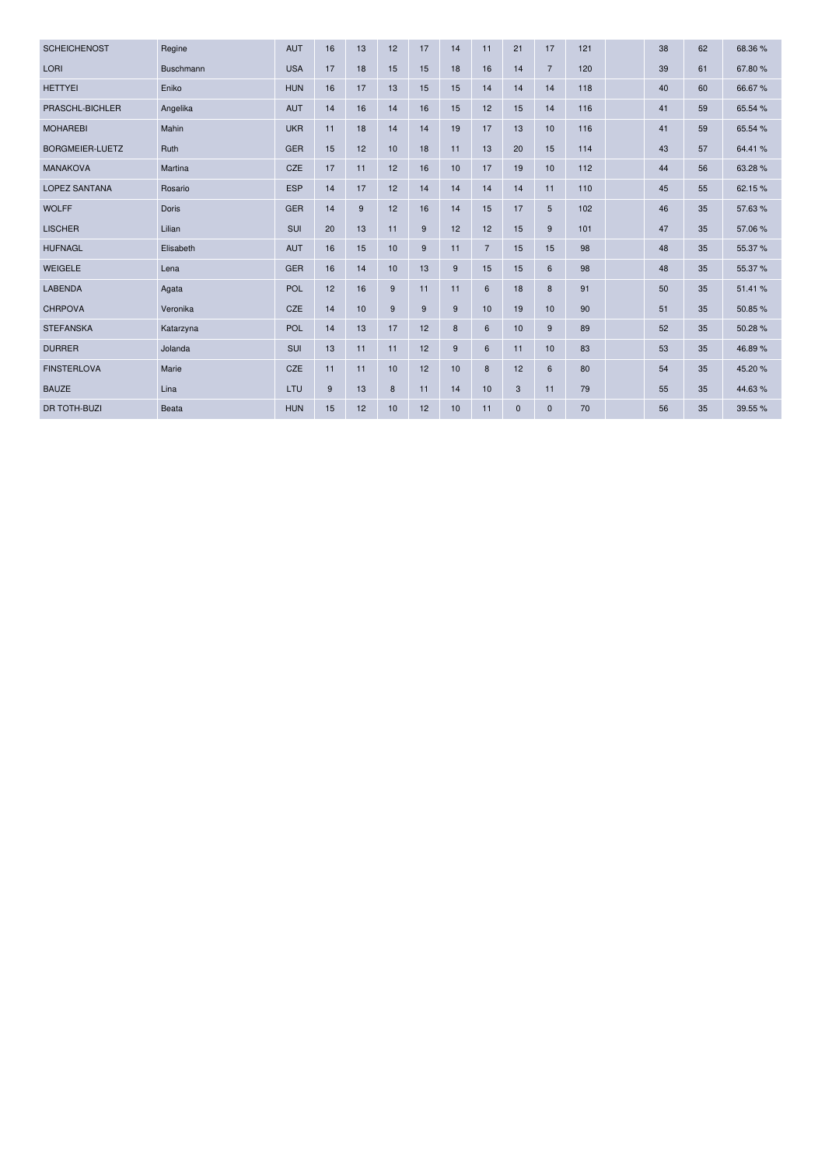| <b>SCHEICHENOST</b>    | Regine       | AUT        | 16 | 13             | 12 | 17 | 14 | 11             | 21           | 17             | 121 | 38 | 62 | 68.36%  |
|------------------------|--------------|------------|----|----------------|----|----|----|----------------|--------------|----------------|-----|----|----|---------|
| LORI                   | Buschmann    | <b>USA</b> | 17 | 18             | 15 | 15 | 18 | 16             | 14           | $\overline{7}$ | 120 | 39 | 61 | 67.80%  |
| <b>HETTYEI</b>         | Eniko        | <b>HUN</b> | 16 | 17             | 13 | 15 | 15 | 14             | 14           | 14             | 118 | 40 | 60 | 66.67%  |
| PRASCHL-BICHLER        | Angelika     | <b>AUT</b> | 14 | 16             | 14 | 16 | 15 | 12             | 15           | 14             | 116 | 41 | 59 | 65.54 % |
| <b>MOHAREBI</b>        | Mahin        | <b>UKR</b> | 11 | 18             | 14 | 14 | 19 | 17             | 13           | 10             | 116 | 41 | 59 | 65.54 % |
| <b>BORGMEIER-LUETZ</b> | Ruth         | <b>GER</b> | 15 | 12             | 10 | 18 | 11 | 13             | 20           | 15             | 114 | 43 | 57 | 64.41%  |
| <b>MANAKOVA</b>        | Martina      | CZE        | 17 | 11             | 12 | 16 | 10 | 17             | 19           | 10             | 112 | 44 | 56 | 63.28%  |
| <b>LOPEZ SANTANA</b>   | Rosario      | <b>ESP</b> | 14 | 17             | 12 | 14 | 14 | 14             | 14           | 11             | 110 | 45 | 55 | 62.15%  |
| <b>WOLFF</b>           | <b>Doris</b> | <b>GER</b> | 14 | $\overline{9}$ | 12 | 16 | 14 | 15             | 17           | 5              | 102 | 46 | 35 | 57.63%  |
| <b>LISCHER</b>         | Lilian       | SUI        | 20 | 13             | 11 | 9  | 12 | 12             | 15           | 9              | 101 | 47 | 35 | 57.06 % |
| <b>HUFNAGL</b>         | Elisabeth    | <b>AUT</b> | 16 | 15             | 10 | 9  | 11 | $\overline{7}$ | 15           | 15             | 98  | 48 | 35 | 55.37 % |
| <b>WEIGELE</b>         | Lena         | <b>GER</b> | 16 | 14             | 10 | 13 | 9  | 15             | 15           | 6              | 98  | 48 | 35 | 55.37 % |
| <b>LABENDA</b>         | Agata        | <b>POL</b> | 12 | 16             | 9  | 11 | 11 | 6              | 18           | 8              | 91  | 50 | 35 | 51.41%  |
| <b>CHRPOVA</b>         | Veronika     | CZE        | 14 | 10             | 9  | 9  | 9  | 10             | 19           | 10             | 90  | 51 | 35 | 50.85%  |
| <b>STEFANSKA</b>       | Katarzyna    | <b>POL</b> | 14 | 13             | 17 | 12 | 8  | 6              | 10           | 9              | 89  | 52 | 35 | 50.28%  |
| <b>DURRER</b>          | Jolanda      | SUI        | 13 | 11             | 11 | 12 | 9  | 6              | 11           | 10             | 83  | 53 | 35 | 46.89%  |
| <b>FINSTERLOVA</b>     | Marie        | CZE        | 11 | 11             | 10 | 12 | 10 | 8              | 12           | 6              | 80  | 54 | 35 | 45.20%  |
| <b>BAUZE</b>           | Lina         | LTU        | 9  | 13             | 8  | 11 | 14 | 10             | $\mathbf{3}$ | 11             | 79  | 55 | 35 | 44.63%  |
| <b>DR TOTH-BUZI</b>    | Beata        | <b>HUN</b> | 15 | 12             | 10 | 12 | 10 | 11             | $\mathbf 0$  | $\mathbf 0$    | 70  | 56 | 35 | 39.55 % |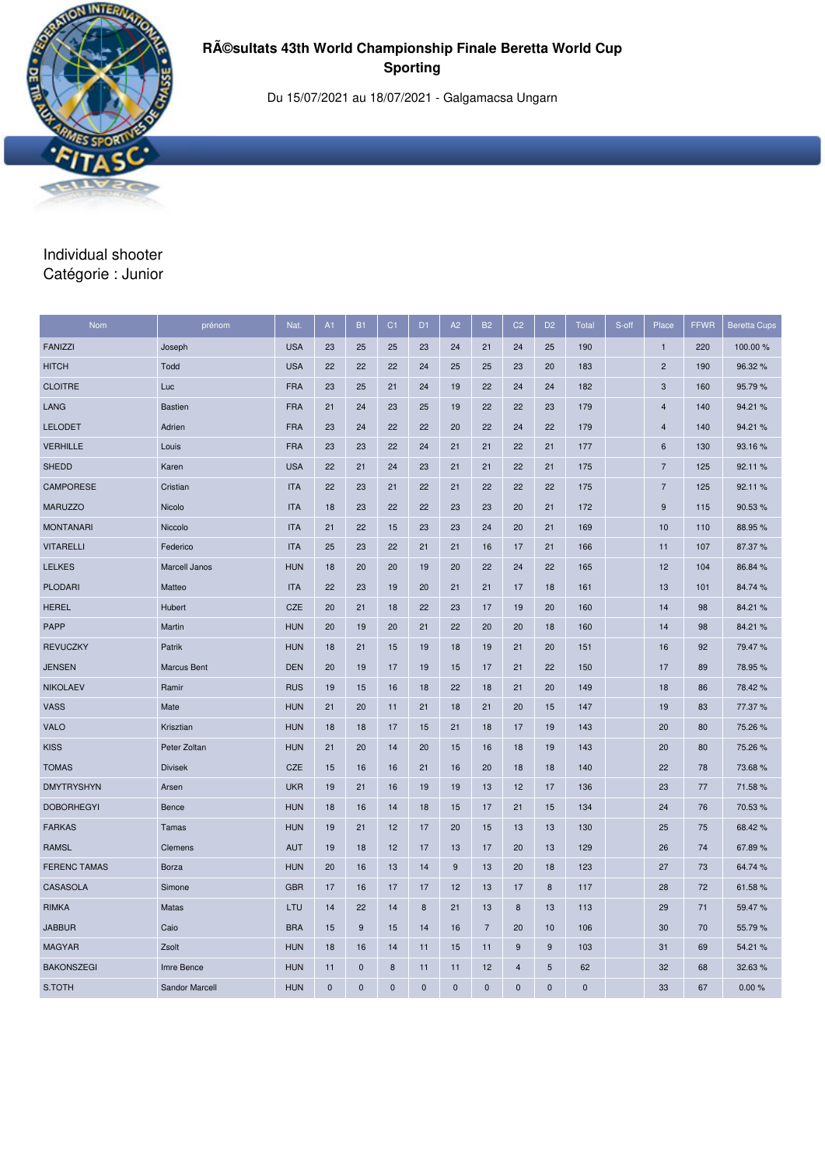

Du 15/07/2021 au 18/07/2021 - Galgamacsa Ungarn

### Individual shooter Catégorie : Junior

| <b>Nom</b>          | prénom         | Nat.       | A1        | <b>B1</b>   | C <sub>1</sub> | D <sub>1</sub>   | A2           | <b>B2</b>      | C <sub>2</sub> | D <sub>2</sub> | <b>Total</b> | S-off | Place          | <b>FFWR</b> | <b>Beretta Cups</b> |
|---------------------|----------------|------------|-----------|-------------|----------------|------------------|--------------|----------------|----------------|----------------|--------------|-------|----------------|-------------|---------------------|
| <b>FANIZZI</b>      | Joseph         | <b>USA</b> | 23        | 25          | 25             | 23               | 24           | 21             | 24             | 25             | 190          |       | $\mathbf{1}$   | 220         | 100.00 %            |
| <b>HITCH</b>        | Todd           | <b>USA</b> | 22        | 22          | 22             | 24               | 25           | 25             | 23             | 20             | 183          |       | $\overline{c}$ | 190         | 96.32 %             |
| <b>CLOITRE</b>      | Luc            | <b>FRA</b> | 23        | 25          | 21             | 24               | 19           | 22             | 24             | 24             | 182          |       | 3              | 160         | 95.79%              |
| LANG                | <b>Bastien</b> | <b>FRA</b> | 21        | 24          | 23             | 25               | 19           | 22             | 22             | 23             | 179          |       | 4              | 140         | 94.21%              |
| <b>LELODET</b>      | Adrien         | <b>FRA</b> | 23        | 24          | 22             | 22               | 20           | 22             | 24             | 22             | 179          |       | $\overline{4}$ | 140         | 94.21%              |
| <b>VERHILLE</b>     | Louis          | <b>FRA</b> | 23        | 23          | 22             | 24               | 21           | 21             | 22             | 21             | 177          |       | 6              | 130         | 93.16%              |
| <b>SHEDD</b>        | Karen          | <b>USA</b> | 22        | 21          | 24             | 23               | 21           | 21             | 22             | 21             | 175          |       | $\overline{7}$ | 125         | 92.11%              |
| CAMPORESE           | Cristian       | <b>ITA</b> | 22        | 23          | 21             | 22               | 21           | 22             | 22             | 22             | 175          |       | 7              | 125         | 92.11%              |
| <b>MARUZZO</b>      | Nicolo         | <b>ITA</b> | 18        | 23          | 22             | 22               | 23           | 23             | 20             | 21             | 172          |       | 9              | 115         | 90.53%              |
| <b>MONTANARI</b>    | Niccolo        | <b>ITA</b> | 21        | 22          | 15             | 23               | 23           | 24             | 20             | 21             | 169          |       | 10             | 110         | 88.95%              |
| <b>VITARELLI</b>    | Federico       | <b>ITA</b> | 25        | 23          | 22             | 21               | 21           | 16             | 17             | 21             | 166          |       | 11             | 107         | 87.37%              |
| <b>LELKES</b>       | Marcell Janos  | <b>HUN</b> | 18        | 20          | 20             | 19               | 20           | 22             | 24             | 22             | 165          |       | 12             | 104         | 86.84 %             |
| <b>PLODARI</b>      | Matteo         | <b>ITA</b> | 22        | 23          | 19             | 20               | 21           | 21             | 17             | 18             | 161          |       | 13             | 101         | 84.74 %             |
| <b>HEREL</b>        | Hubert         | <b>CZE</b> | 20        | 21          | 18             | 22               | 23           | 17             | 19             | 20             | 160          |       | 14             | 98          | 84.21%              |
| <b>PAPP</b>         | Martin         | <b>HUN</b> | 20        | 19          | 20             | 21               | 22           | 20             | 20             | 18             | 160          |       | 14             | 98          | 84.21%              |
| <b>REVUCZKY</b>     | Patrik         | <b>HUN</b> | 18        | 21          | 15             | 19               | 18           | 19             | 21             | 20             | 151          |       | 16             | 92          | 79.47%              |
| <b>JENSEN</b>       | Marcus Bent    | <b>DEN</b> | 20        | 19          | 17             | 19               | 15           | 17             | 21             | 22             | 150          |       | 17             | 89          | 78.95%              |
| <b>NIKOLAEV</b>     | Ramir          | <b>RUS</b> | 19        | 15          | 16             | 18               | 22           | 18             | 21             | 20             | 149          |       | 18             | 86          | 78.42%              |
| <b>VASS</b>         | Mate           | <b>HUN</b> | 21        | 20          | 11             | 21               | 18           | 21             | 20             | 15             | 147          |       | 19             | 83          | 77.37 %             |
| <b>VALO</b>         | Krisztian      | <b>HUN</b> | 18        | 18          | 17             | 15               | 21           | 18             | 17             | 19             | 143          |       | 20             | 80          | 75.26 %             |
| <b>KISS</b>         | Peter Zoltan   | <b>HUN</b> | 21        | 20          | 14             | 20               | 15           | 16             | 18             | 19             | 143          |       | 20             | 80          | 75.26 %             |
| <b>TOMAS</b>        | <b>Divisek</b> | <b>CZE</b> | 15        | 16          | 16             | 21               | 16           | 20             | 18             | 18             | 140          |       | 22             | 78          | 73.68%              |
| <b>DMYTRYSHYN</b>   | Arsen          | <b>UKR</b> | 19        | 21          | 16             | 19               | 19           | 13             | 12             | 17             | 136          |       | 23             | 77          | 71.58%              |
| <b>DOBORHEGYI</b>   | <b>Bence</b>   | <b>HUN</b> | 18        | 16          | 14             | 18               | 15           | 17             | 21             | 15             | 134          |       | 24             | 76          | 70.53 %             |
| <b>FARKAS</b>       | Tamas          | <b>HUN</b> | 19        | 21          | 12             | 17               | 20           | 15             | 13             | 13             | 130          |       | 25             | 75          | 68.42%              |
| <b>RAMSL</b>        | Clemens        | <b>AUT</b> | 19        | 18          | 12             | 17               | 13           | 17             | 20             | 13             | 129          |       | 26             | 74          | 67.89%              |
| <b>FERENC TAMAS</b> | <b>Borza</b>   | <b>HUN</b> | 20        | 16          | 13             | 14               | 9            | 13             | 20             | 18             | 123          |       | 27             | 73          | 64.74 %             |
| CASASOLA            | Simone         | <b>GBR</b> | 17        | 16          | 17             | 17               | 12           | 13             | 17             | $\bf8$         | 117          |       | 28             | 72          | 61.58%              |
| <b>RIMKA</b>        | Matas          | LTU        | 14        | 22          | 14             | $\boldsymbol{8}$ | 21           | 13             | 8              | 13             | 113          |       | 29             | 71          | 59.47%              |
| <b>JABBUR</b>       | Caio           | <b>BRA</b> | 15        | $9\,$       | 15             | 14               | 16           | $\overline{7}$ | 20             | 10             | 106          |       | 30             | 70          | 55.79%              |
| <b>MAGYAR</b>       | Zsolt          | <b>HUN</b> | 18        | 16          | 14             | 11               | 15           | 11             | 9              | 9              | 103          |       | 31             | 69          | 54.21 %             |
| <b>BAKONSZEGI</b>   | Imre Bence     | <b>HUN</b> | 11        | $\mathbf 0$ | 8              | 11               | 11           | 12             | 4              | 5              | 62           |       | 32             | 68          | 32.63 %             |
| S.TOTH              | Sandor Marcell | <b>HUN</b> | $\pmb{0}$ | $\mathbf 0$ | $\mathbf 0$    | $\mathbf 0$      | $\mathbf{0}$ | $\mathbf 0$    | $\mathbf 0$    | $\mathbf{0}$   | $\mathbf{0}$ |       | 33             | 67          | 0.00%               |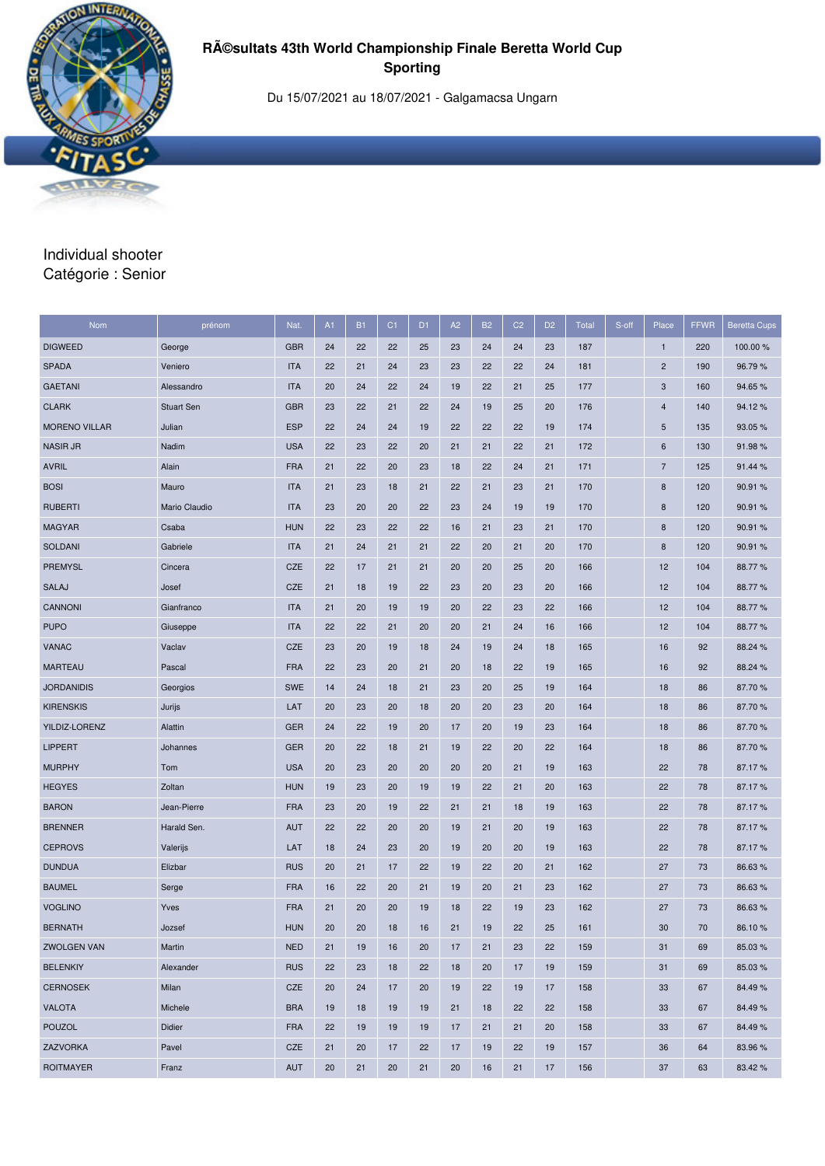

Du 15/07/2021 au 18/07/2021 - Galgamacsa Ungarn

#### Individual shooter Catégorie : Senior

| Nom                  | prénom            | Nat.       | A1 | <b>B1</b> | C <sub>1</sub> | D <sub>1</sub> | A2 | <b>B2</b> | C <sub>2</sub> | D <sub>2</sub> | Total | S-off | Place          | <b>FFWR</b> | <b>Beretta Cups</b> |
|----------------------|-------------------|------------|----|-----------|----------------|----------------|----|-----------|----------------|----------------|-------|-------|----------------|-------------|---------------------|
| <b>DIGWEED</b>       | George            | <b>GBR</b> | 24 | 22        | 22             | 25             | 23 | 24        | 24             | 23             | 187   |       | $\mathbf{1}$   | 220         | 100.00 %            |
| <b>SPADA</b>         | Veniero           | <b>ITA</b> | 22 | 21        | 24             | 23             | 23 | 22        | 22             | 24             | 181   |       | $\overline{2}$ | 190         | 96.79%              |
| <b>GAETANI</b>       | Alessandro        | <b>ITA</b> | 20 | 24        | 22             | 24             | 19 | 22        | 21             | 25             | 177   |       | 3              | 160         | 94.65%              |
| <b>CLARK</b>         | <b>Stuart Sen</b> | <b>GBR</b> | 23 | 22        | 21             | 22             | 24 | 19        | 25             | 20             | 176   |       | $\overline{4}$ | 140         | 94.12%              |
| <b>MORENO VILLAR</b> | Julian            | <b>ESP</b> | 22 | 24        | 24             | 19             | 22 | 22        | 22             | 19             | 174   |       | 5              | 135         | 93.05%              |
| <b>NASIR JR</b>      | Nadim             | <b>USA</b> | 22 | 23        | 22             | 20             | 21 | 21        | 22             | 21             | 172   |       | 6              | 130         | 91.98%              |
| <b>AVRIL</b>         | Alain             | <b>FRA</b> | 21 | 22        | 20             | 23             | 18 | 22        | 24             | 21             | 171   |       | $\overline{7}$ | 125         | 91.44 %             |
| <b>BOSI</b>          | Mauro             | <b>ITA</b> | 21 | 23        | 18             | 21             | 22 | 21        | 23             | 21             | 170   |       | $\bf 8$        | 120         | 90.91%              |
| <b>RUBERTI</b>       | Mario Claudio     | <b>ITA</b> | 23 | 20        | 20             | 22             | 23 | 24        | 19             | 19             | 170   |       | $\bf 8$        | 120         | 90.91 %             |
| <b>MAGYAR</b>        | Csaba             | <b>HUN</b> | 22 | 23        | 22             | 22             | 16 | 21        | 23             | 21             | 170   |       | 8              | 120         | 90.91 %             |
| SOLDANI              | Gabriele          | <b>ITA</b> | 21 | 24        | 21             | 21             | 22 | 20        | 21             | 20             | 170   |       | 8              | 120         | 90.91 %             |
| <b>PREMYSL</b>       | Cincera           | <b>CZE</b> | 22 | 17        | 21             | 21             | 20 | 20        | 25             | 20             | 166   |       | 12             | 104         | 88.77%              |
| SALAJ                | Josef             | <b>CZE</b> | 21 | 18        | 19             | 22             | 23 | 20        | 23             | 20             | 166   |       | 12             | 104         | 88.77%              |
| CANNONI              | Gianfranco        | <b>ITA</b> | 21 | 20        | 19             | 19             | 20 | 22        | 23             | 22             | 166   |       | 12             | 104         | 88.77%              |
| <b>PUPO</b>          | Giuseppe          | <b>ITA</b> | 22 | 22        | 21             | 20             | 20 | 21        | 24             | 16             | 166   |       | 12             | 104         | 88.77%              |
| <b>VANAC</b>         | Vaclav            | <b>CZE</b> | 23 | 20        | 19             | 18             | 24 | 19        | 24             | 18             | 165   |       | 16             | 92          | 88.24 %             |
| <b>MARTEAU</b>       | Pascal            | <b>FRA</b> | 22 | 23        | 20             | 21             | 20 | 18        | 22             | 19             | 165   |       | 16             | 92          | 88.24 %             |
| <b>JORDANIDIS</b>    | Georgios          | <b>SWE</b> | 14 | 24        | 18             | 21             | 23 | 20        | 25             | 19             | 164   |       | 18             | 86          | 87.70 %             |
| <b>KIRENSKIS</b>     | Jurijs            | LAT        | 20 | 23        | 20             | 18             | 20 | 20        | 23             | 20             | 164   |       | 18             | 86          | 87.70 %             |
| YILDIZ-LORENZ        | Alattin           | <b>GER</b> | 24 | 22        | 19             | 20             | 17 | 20        | 19             | 23             | 164   |       | 18             | 86          | 87.70 %             |
| <b>LIPPERT</b>       | Johannes          | <b>GER</b> | 20 | 22        | 18             | 21             | 19 | 22        | 20             | 22             | 164   |       | 18             | 86          | 87.70 %             |
| <b>MURPHY</b>        | Tom               | <b>USA</b> | 20 | 23        | 20             | 20             | 20 | 20        | 21             | 19             | 163   |       | 22             | 78          | 87.17%              |
| <b>HEGYES</b>        | Zoltan            | <b>HUN</b> | 19 | 23        | 20             | 19             | 19 | 22        | 21             | 20             | 163   |       | 22             | 78          | 87.17%              |
| <b>BARON</b>         | Jean-Pierre       | <b>FRA</b> | 23 | 20        | 19             | 22             | 21 | 21        | 18             | 19             | 163   |       | 22             | 78          | 87.17%              |
| <b>BRENNER</b>       | Harald Sen.       | <b>AUT</b> | 22 | 22        | 20             | 20             | 19 | 21        | 20             | 19             | 163   |       | 22             | 78          | 87.17%              |
| <b>CEPROVS</b>       | Valerijs          | LAT        | 18 | 24        | 23             | 20             | 19 | 20        | 20             | 19             | 163   |       | 22             | 78          | 87.17%              |
| <b>DUNDUA</b>        | Elizbar           | <b>RUS</b> | 20 | 21        | 17             | 22             | 19 | 22        | 20             | 21             | 162   |       | 27             | 73          | 86.63%              |
| <b>BAUMEL</b>        | Serge             | <b>FRA</b> | 16 | 22        | 20             | 21             | 19 | 20        | 21             | 23             | 162   |       | 27             | 73          | 86.63%              |
| <b>VOGLINO</b>       | Yves              | <b>FRA</b> | 21 | 20        | 20             | 19             | 18 | 22        | 19             | 23             | 162   |       | 27             | 73          | 86.63%              |
| <b>BERNATH</b>       | Jozsef            | <b>HUN</b> | 20 | 20        | 18             | 16             | 21 | 19        | 22             | 25             | 161   |       | 30             | 70          | 86.10%              |
| <b>ZWOLGEN VAN</b>   | Martin            | <b>NED</b> | 21 | 19        | 16             | 20             | 17 | 21        | 23             | 22             | 159   |       | 31             | 69          | 85.03%              |
| <b>BELENKIY</b>      | Alexander         | <b>RUS</b> | 22 | 23        | 18             | 22             | 18 | 20        | 17             | 19             | 159   |       | 31             | 69          | 85.03%              |
| <b>CERNOSEK</b>      | Milan             | CZE        | 20 | 24        | 17             | 20             | 19 | 22        | 19             | 17             | 158   |       | 33             | 67          | 84.49%              |
| <b>VALOTA</b>        | Michele           | <b>BRA</b> | 19 | 18        | 19             | 19             | 21 | 18        | 22             | 22             | 158   |       | 33             | 67          | 84.49%              |
| <b>POUZOL</b>        | Didier            | <b>FRA</b> | 22 | 19        | 19             | 19             | 17 | 21        | 21             | 20             | 158   |       | 33             | 67          | 84.49%              |
| ZAZVORKA             | Pavel             | CZE        | 21 | 20        | 17             | 22             | 17 | 19        | 22             | 19             | 157   |       | 36             | 64          | 83.96%              |
| <b>ROITMAYER</b>     | Franz             | <b>AUT</b> | 20 | 21        | 20             | 21             | 20 | 16        | 21             | 17             | 156   |       | 37             | 63          | 83.42%              |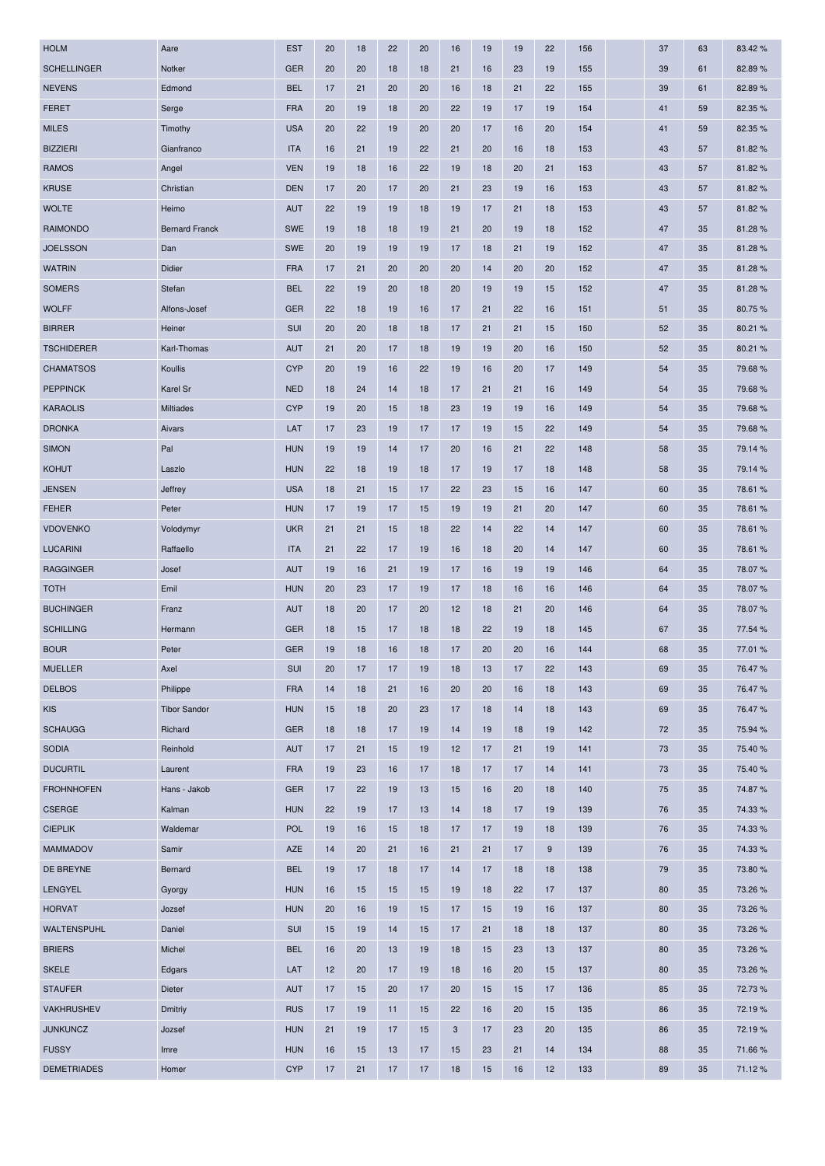| <b>HOLM</b>        | Aare                  | <b>EST</b> | 20 | 18 | 22 | 20 | 16 | 19 | 19 | 22 | 156 | 37 | 63 | 83.42%  |
|--------------------|-----------------------|------------|----|----|----|----|----|----|----|----|-----|----|----|---------|
| <b>SCHELLINGER</b> | Notker                | <b>GER</b> | 20 | 20 | 18 | 18 | 21 | 16 | 23 | 19 | 155 | 39 | 61 | 82.89%  |
| <b>NEVENS</b>      | Edmond                | <b>BEL</b> | 17 | 21 | 20 | 20 | 16 | 18 | 21 | 22 | 155 | 39 | 61 | 82.89%  |
| <b>FERET</b>       | Serge                 | <b>FRA</b> | 20 | 19 | 18 | 20 | 22 | 19 | 17 | 19 | 154 | 41 | 59 | 82.35 % |
| <b>MILES</b>       | Timothy               | <b>USA</b> | 20 | 22 | 19 | 20 | 20 | 17 | 16 | 20 | 154 | 41 | 59 | 82.35 % |
| <b>BIZZIERI</b>    | Gianfranco            | <b>ITA</b> | 16 | 21 | 19 | 22 | 21 | 20 | 16 | 18 | 153 | 43 | 57 | 81.82%  |
| <b>RAMOS</b>       | Angel                 | <b>VEN</b> | 19 | 18 | 16 | 22 | 19 | 18 | 20 | 21 | 153 | 43 | 57 | 81.82%  |
| <b>KRUSE</b>       | Christian             | <b>DEN</b> | 17 | 20 | 17 | 20 | 21 | 23 | 19 | 16 | 153 | 43 | 57 | 81.82%  |
| <b>WOLTE</b>       | Heimo                 | <b>AUT</b> | 22 | 19 | 19 | 18 | 19 | 17 | 21 | 18 | 153 | 43 | 57 | 81.82%  |
| <b>RAIMONDO</b>    | <b>Bernard Franck</b> | <b>SWE</b> | 19 | 18 | 18 | 19 | 21 | 20 | 19 | 18 | 152 | 47 | 35 | 81.28%  |
| <b>JOELSSON</b>    | Dan                   | <b>SWE</b> | 20 | 19 | 19 | 19 | 17 | 18 | 21 | 19 | 152 | 47 | 35 | 81.28%  |
| <b>WATRIN</b>      | Didier                | <b>FRA</b> | 17 | 21 | 20 | 20 | 20 | 14 | 20 | 20 | 152 | 47 | 35 | 81.28%  |
| <b>SOMERS</b>      | Stefan                | <b>BEL</b> | 22 | 19 | 20 | 18 | 20 | 19 | 19 | 15 | 152 | 47 | 35 | 81.28%  |
| <b>WOLFF</b>       | Alfons-Josef          | <b>GER</b> | 22 | 18 | 19 | 16 | 17 | 21 | 22 | 16 | 151 | 51 | 35 | 80.75%  |
| <b>BIRRER</b>      | Heiner                | SUI        | 20 | 20 | 18 | 18 | 17 | 21 | 21 | 15 | 150 | 52 | 35 | 80.21%  |
| <b>TSCHIDERER</b>  | Karl-Thomas           | <b>AUT</b> | 21 | 20 | 17 | 18 | 19 | 19 | 20 | 16 | 150 | 52 | 35 | 80.21 % |
| <b>CHAMATSOS</b>   | Koullis               | <b>CYP</b> | 20 | 19 | 16 | 22 | 19 | 16 | 20 | 17 | 149 | 54 | 35 | 79.68%  |
| <b>PEPPINCK</b>    | Karel Sr              | <b>NED</b> | 18 | 24 | 14 | 18 | 17 | 21 | 21 | 16 | 149 | 54 | 35 | 79.68 % |
| <b>KARAOLIS</b>    | Miltiades             | <b>CYP</b> | 19 | 20 | 15 | 18 | 23 | 19 | 19 | 16 | 149 | 54 | 35 | 79.68%  |
| <b>DRONKA</b>      | Aivars                | LAT        | 17 | 23 | 19 | 17 | 17 | 19 | 15 | 22 | 149 | 54 | 35 | 79.68%  |
| <b>SIMON</b>       | Pal                   | <b>HUN</b> | 19 | 19 | 14 | 17 | 20 | 16 | 21 | 22 | 148 | 58 | 35 | 79.14 % |
| <b>KOHUT</b>       | Laszlo                | <b>HUN</b> | 22 | 18 | 19 | 18 | 17 | 19 | 17 | 18 | 148 | 58 | 35 | 79.14 % |
| <b>JENSEN</b>      | Jeffrey               | <b>USA</b> | 18 | 21 | 15 | 17 | 22 | 23 | 15 | 16 | 147 | 60 | 35 | 78.61 % |
| <b>FEHER</b>       | Peter                 | <b>HUN</b> | 17 | 19 | 17 | 15 | 19 | 19 | 21 | 20 | 147 | 60 | 35 | 78.61 % |
| <b>VDOVENKO</b>    | Volodymyr             | <b>UKR</b> | 21 | 21 | 15 | 18 | 22 | 14 | 22 | 14 | 147 | 60 | 35 | 78.61 % |
| <b>LUCARINI</b>    | Raffaello             | <b>ITA</b> | 21 | 22 | 17 | 19 | 16 | 18 | 20 | 14 | 147 | 60 | 35 | 78.61 % |
| <b>RAGGINGER</b>   | Josef                 | <b>AUT</b> | 19 | 16 | 21 | 19 | 17 | 16 | 19 | 19 | 146 | 64 | 35 | 78.07%  |
| <b>TOTH</b>        | Emil                  | <b>HUN</b> | 20 | 23 | 17 | 19 | 17 | 18 | 16 | 16 | 146 | 64 | 35 | 78.07%  |
| <b>BUCHINGER</b>   | Franz                 | <b>AUT</b> | 18 | 20 | 17 | 20 | 12 | 18 | 21 | 20 | 146 | 64 | 35 | 78.07%  |
| <b>SCHILLING</b>   | Hermann               | <b>GER</b> | 18 | 15 | 17 | 18 | 18 | 22 | 19 | 18 | 145 | 67 | 35 | 77.54 % |
| <b>BOUR</b>        | Peter                 | <b>GER</b> | 19 | 18 | 16 | 18 | 17 | 20 | 20 | 16 | 144 | 68 | 35 | 77.01 % |
| <b>MUELLER</b>     | Axel                  | <b>SUI</b> | 20 | 17 | 17 | 19 | 18 | 13 | 17 | 22 | 143 | 69 | 35 | 76.47%  |
| <b>DELBOS</b>      | Philippe              | <b>FRA</b> | 14 | 18 | 21 | 16 | 20 | 20 | 16 | 18 | 143 | 69 | 35 | 76.47%  |
| <b>KIS</b>         | <b>Tibor Sandor</b>   | <b>HUN</b> | 15 | 18 | 20 | 23 | 17 | 18 | 14 | 18 | 143 | 69 | 35 | 76.47%  |
| <b>SCHAUGG</b>     | Richard               | <b>GER</b> | 18 | 18 | 17 | 19 | 14 | 19 | 18 | 19 | 142 | 72 | 35 | 75.94 % |
| <b>SODIA</b>       | Reinhold              | <b>AUT</b> | 17 | 21 | 15 | 19 | 12 | 17 | 21 | 19 | 141 | 73 | 35 | 75.40 % |
| <b>DUCURTIL</b>    | Laurent               | <b>FRA</b> | 19 | 23 | 16 | 17 | 18 | 17 | 17 | 14 | 141 | 73 | 35 | 75.40 % |
| <b>FROHNHOFEN</b>  | Hans - Jakob          | <b>GER</b> | 17 | 22 | 19 | 13 | 15 | 16 | 20 | 18 | 140 | 75 | 35 | 74.87%  |
| <b>CSERGE</b>      | Kalman                | <b>HUN</b> | 22 | 19 | 17 | 13 | 14 | 18 | 17 | 19 | 139 | 76 | 35 | 74.33%  |
| <b>CIEPLIK</b>     | Waldemar              | <b>POL</b> | 19 | 16 | 15 | 18 | 17 | 17 | 19 | 18 | 139 | 76 | 35 | 74.33%  |
| <b>MAMMADOV</b>    | Samir                 | <b>AZE</b> | 14 | 20 | 21 | 16 | 21 | 21 | 17 | 9  | 139 | 76 | 35 | 74.33%  |
| DE BREYNE          | Bernard               | <b>BEL</b> | 19 | 17 | 18 | 17 | 14 | 17 | 18 | 18 | 138 | 79 | 35 | 73.80 % |
| LENGYEL            | Gyorgy                | <b>HUN</b> | 16 | 15 | 15 | 15 | 19 | 18 | 22 | 17 | 137 | 80 | 35 | 73.26 % |
| <b>HORVAT</b>      | Jozsef                | <b>HUN</b> | 20 | 16 | 19 | 15 | 17 | 15 | 19 | 16 | 137 | 80 | 35 | 73.26 % |
| WALTENSPUHL        | Daniel                | <b>SUI</b> | 15 | 19 | 14 | 15 | 17 | 21 | 18 | 18 | 137 | 80 | 35 | 73.26 % |
| <b>BRIERS</b>      | Michel                | <b>BEL</b> | 16 | 20 | 13 | 19 | 18 | 15 | 23 | 13 | 137 | 80 | 35 | 73.26 % |
| <b>SKELE</b>       | Edgars                | LAT        | 12 | 20 | 17 | 19 | 18 | 16 | 20 | 15 | 137 | 80 | 35 | 73.26 % |
| <b>STAUFER</b>     | Dieter                | <b>AUT</b> | 17 | 15 | 20 | 17 | 20 | 15 | 15 | 17 | 136 | 85 | 35 | 72.73%  |
| <b>VAKHRUSHEV</b>  | <b>Dmitriy</b>        | <b>RUS</b> | 17 | 19 | 11 | 15 | 22 | 16 | 20 | 15 | 135 | 86 | 35 | 72.19%  |
| <b>JUNKUNCZ</b>    | Jozsef                | <b>HUN</b> | 21 | 19 | 17 | 15 | 3  | 17 | 23 | 20 | 135 | 86 | 35 | 72.19%  |
| <b>FUSSY</b>       | Imre                  | <b>HUN</b> | 16 | 15 | 13 | 17 | 15 | 23 | 21 | 14 | 134 | 88 | 35 | 71.66%  |
| <b>DEMETRIADES</b> | Homer                 | <b>CYP</b> | 17 | 21 | 17 | 17 | 18 | 15 | 16 | 12 | 133 | 89 | 35 | 71.12%  |
|                    |                       |            |    |    |    |    |    |    |    |    |     |    |    |         |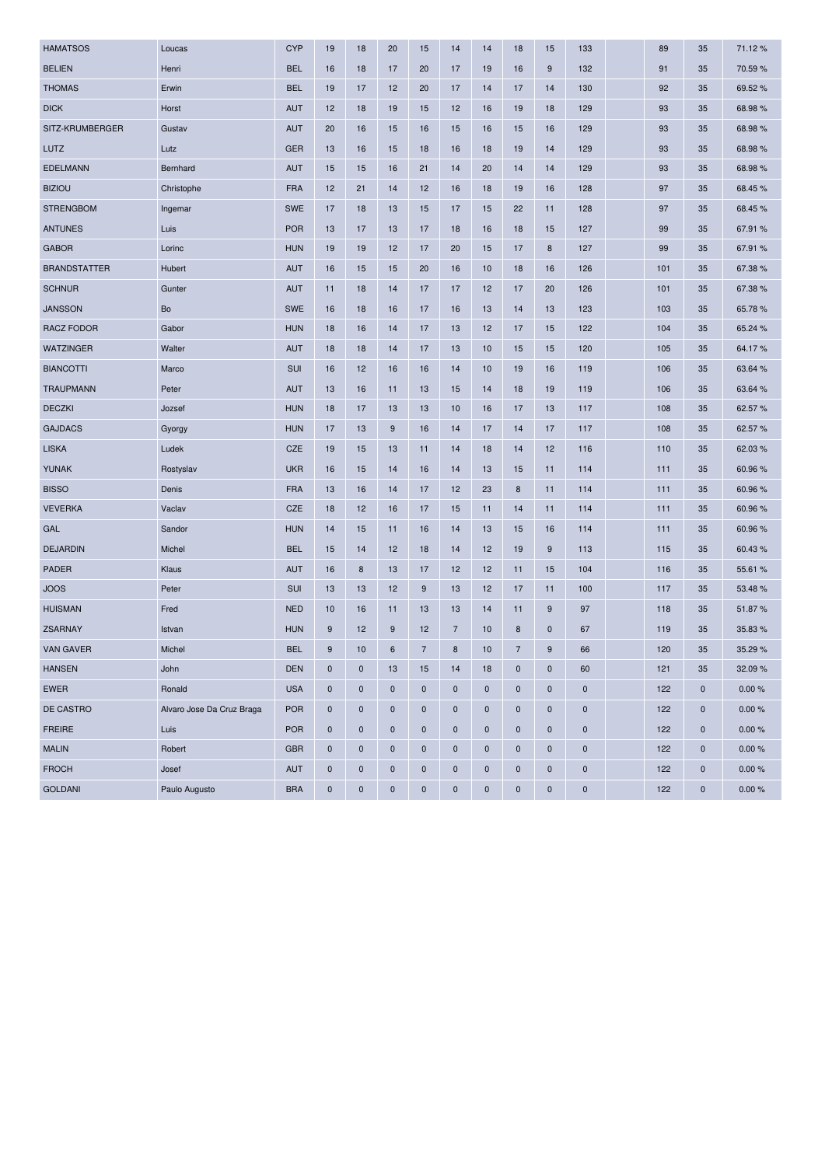| <b>HAMATSOS</b>     | Loucas                    | <b>CYP</b> | 19          | 18          | 20          | 15             | 14             | 14          | 18             | 15          | 133       | 89  | 35          | 71.12%  |
|---------------------|---------------------------|------------|-------------|-------------|-------------|----------------|----------------|-------------|----------------|-------------|-----------|-----|-------------|---------|
| <b>BELIEN</b>       | Henri                     | <b>BEL</b> | 16          | 18          | 17          | 20             | 17             | 19          | 16             | $9\,$       | 132       | 91  | 35          | 70.59%  |
| <b>THOMAS</b>       | Erwin                     | <b>BEL</b> | 19          | 17          | 12          | 20             | 17             | 14          | 17             | 14          | 130       | 92  | 35          | 69.52%  |
| <b>DICK</b>         | Horst                     | <b>AUT</b> | 12          | 18          | 19          | 15             | 12             | 16          | 19             | 18          | 129       | 93  | 35          | 68.98%  |
| SITZ-KRUMBERGER     | Gustav                    | <b>AUT</b> | 20          | 16          | 15          | 16             | 15             | 16          | 15             | 16          | 129       | 93  | 35          | 68.98%  |
| LUTZ                | Lutz                      | <b>GER</b> | 13          | 16          | 15          | 18             | 16             | 18          | 19             | 14          | 129       | 93  | 35          | 68.98%  |
| <b>EDELMANN</b>     | Bernhard                  | <b>AUT</b> | 15          | 15          | 16          | 21             | 14             | 20          | 14             | 14          | 129       | 93  | 35          | 68.98%  |
| <b>BIZIOU</b>       | Christophe                | <b>FRA</b> | 12          | 21          | 14          | 12             | 16             | 18          | 19             | 16          | 128       | 97  | 35          | 68.45 % |
| <b>STRENGBOM</b>    | Ingemar                   | <b>SWE</b> | 17          | 18          | 13          | 15             | 17             | 15          | 22             | 11          | 128       | 97  | 35          | 68.45%  |
| <b>ANTUNES</b>      | Luis                      | <b>POR</b> | 13          | 17          | 13          | 17             | 18             | 16          | 18             | 15          | 127       | 99  | 35          | 67.91 % |
| <b>GABOR</b>        | Lorinc                    | <b>HUN</b> | 19          | 19          | 12          | 17             | 20             | 15          | 17             | 8           | 127       | 99  | 35          | 67.91 % |
| <b>BRANDSTATTER</b> | Hubert                    | <b>AUT</b> | 16          | 15          | 15          | 20             | 16             | 10          | 18             | 16          | 126       | 101 | 35          | 67.38%  |
| <b>SCHNUR</b>       | Gunter                    | <b>AUT</b> | 11          | 18          | 14          | 17             | 17             | 12          | 17             | 20          | 126       | 101 | 35          | 67.38%  |
| <b>JANSSON</b>      | Bo                        | <b>SWE</b> | 16          | 18          | 16          | 17             | 16             | 13          | 14             | 13          | 123       | 103 | 35          | 65.78%  |
| <b>RACZ FODOR</b>   | Gabor                     | <b>HUN</b> | 18          | 16          | 14          | 17             | 13             | 12          | 17             | 15          | 122       | 104 | 35          | 65.24 % |
| <b>WATZINGER</b>    | Walter                    | <b>AUT</b> | 18          | 18          | 14          | 17             | 13             | 10          | 15             | 15          | 120       | 105 | 35          | 64.17%  |
| <b>BIANCOTTI</b>    | Marco                     | SUI        | 16          | 12          | 16          | 16             | 14             | 10          | 19             | 16          | 119       | 106 | 35          | 63.64 % |
| <b>TRAUPMANN</b>    | Peter                     | <b>AUT</b> | 13          | 16          | 11          | 13             | 15             | 14          | 18             | 19          | 119       | 106 | 35          | 63.64 % |
| <b>DECZKI</b>       | Jozsef                    | <b>HUN</b> | 18          | 17          | 13          | 13             | 10             | 16          | 17             | 13          | 117       | 108 | 35          | 62.57%  |
| <b>GAJDACS</b>      | Gyorgy                    | <b>HUN</b> | 17          | 13          | 9           | 16             | 14             | 17          | 14             | 17          | 117       | 108 | 35          | 62.57 % |
| <b>LISKA</b>        | Ludek                     | CZE        | 19          | 15          | 13          | 11             | 14             | 18          | 14             | 12          | 116       | 110 | 35          | 62.03%  |
| <b>YUNAK</b>        | Rostyslav                 | <b>UKR</b> | 16          | 15          | 14          | 16             | 14             | 13          | 15             | 11          | 114       | 111 | 35          | 60.96%  |
| <b>BISSO</b>        | Denis                     | <b>FRA</b> | 13          | 16          | 14          | 17             | 12             | 23          | 8              | 11          | 114       | 111 | 35          | 60.96 % |
| <b>VEVERKA</b>      | Vaclav                    | <b>CZE</b> | 18          | 12          | 16          | 17             | 15             | 11          | 14             | 11          | 114       | 111 | 35          | 60.96%  |
| GAL                 | Sandor                    | <b>HUN</b> | 14          | 15          | 11          | 16             | 14             | 13          | 15             | 16          | 114       | 111 | 35          | 60.96%  |
| <b>DEJARDIN</b>     | Michel                    | <b>BEL</b> | 15          | 14          | 12          | 18             | 14             | 12          | 19             | $9\,$       | 113       | 115 | 35          | 60.43%  |
| <b>PADER</b>        | Klaus                     | <b>AUT</b> | 16          | 8           | 13          | 17             | 12             | 12          | 11             | 15          | 104       | 116 | 35          | 55.61 % |
| <b>JOOS</b>         | Peter                     | <b>SUI</b> | 13          | 13          | 12          | 9              | 13             | 12          | 17             | 11          | 100       | 117 | 35          | 53.48%  |
| <b>HUISMAN</b>      | Fred                      | <b>NED</b> | 10          | 16          | 11          | 13             | 13             | 14          | 11             | $9\,$       | 97        | 118 | 35          | 51.87%  |
| <b>ZSARNAY</b>      | Istvan                    | <b>HUN</b> | 9           | 12          | 9           | 12             | $\overline{7}$ | 10          | 8              | $\mathbf 0$ | 67        | 119 | 35          | 35.83 % |
| <b>VAN GAVER</b>    | Michel                    | <b>BEL</b> | 9           | 10          | 6           | $\overline{7}$ | 8              | 10          | $\overline{7}$ | 9           | 66        | 120 | 35          | 35.29 % |
| <b>HANSEN</b>       | John                      | <b>DEN</b> | $\pmb{0}$   | $\pmb{0}$   | 13          | 15             | 14             | 18          | $\pmb{0}$      | $\pmb{0}$   | 60        | 121 | 35          | 32.09%  |
| <b>EWER</b>         | Ronald                    | <b>USA</b> | $\pmb{0}$   | $\pmb{0}$   | $\pmb{0}$   | $\pmb{0}$      | $\pmb{0}$      | 0           | $\pmb{0}$      | $\pmb{0}$   | 0         | 122 | $\mathbf 0$ | 0.00%   |
| DE CASTRO           | Alvaro Jose Da Cruz Braga | <b>POR</b> | $\mathbf 0$ | $\mathbf 0$ | $\pmb{0}$   | $\pmb{0}$      | $\pmb{0}$      | $\mathbf 0$ | $\pmb{0}$      | $\pmb{0}$   | 0         | 122 | $\mathbf 0$ | 0.00%   |
| <b>FREIRE</b>       | Luis                      | <b>POR</b> | $\mathbf 0$ | $\pmb{0}$   | $\pmb{0}$   | $\pmb{0}$      | $\mathbf 0$    | $\bf{0}$    | $\pmb{0}$      | $\mathbf 0$ | 0         | 122 | $\mathbf 0$ | 0.00%   |
| <b>MALIN</b>        | Robert                    | <b>GBR</b> | $\pmb{0}$   | $\pmb{0}$   | $\mathbf 0$ | $\mathbf 0$    | $\mathbf 0$    | $\bf{0}$    | $\pmb{0}$      | $\mathbf 0$ | 0         | 122 | $\mathbf 0$ | 0.00%   |
| <b>FROCH</b>        | Josef                     | <b>AUT</b> | $\mathbf 0$ | $\mathbf 0$ | $\pmb{0}$   | $\pmb{0}$      | $\pmb{0}$      | 0           | $\pmb{0}$      | $\pmb{0}$   | $\pmb{0}$ | 122 | $\mathbf 0$ | 0.00%   |
| <b>GOLDANI</b>      | Paulo Augusto             | <b>BRA</b> | $\pmb{0}$   | $\pmb{0}$   | $\pmb{0}$   | $\pmb{0}$      | $\pmb{0}$      | $\pmb{0}$   | $\pmb{0}$      | $\pmb{0}$   | 0         | 122 | $\mathbf 0$ | 0.00%   |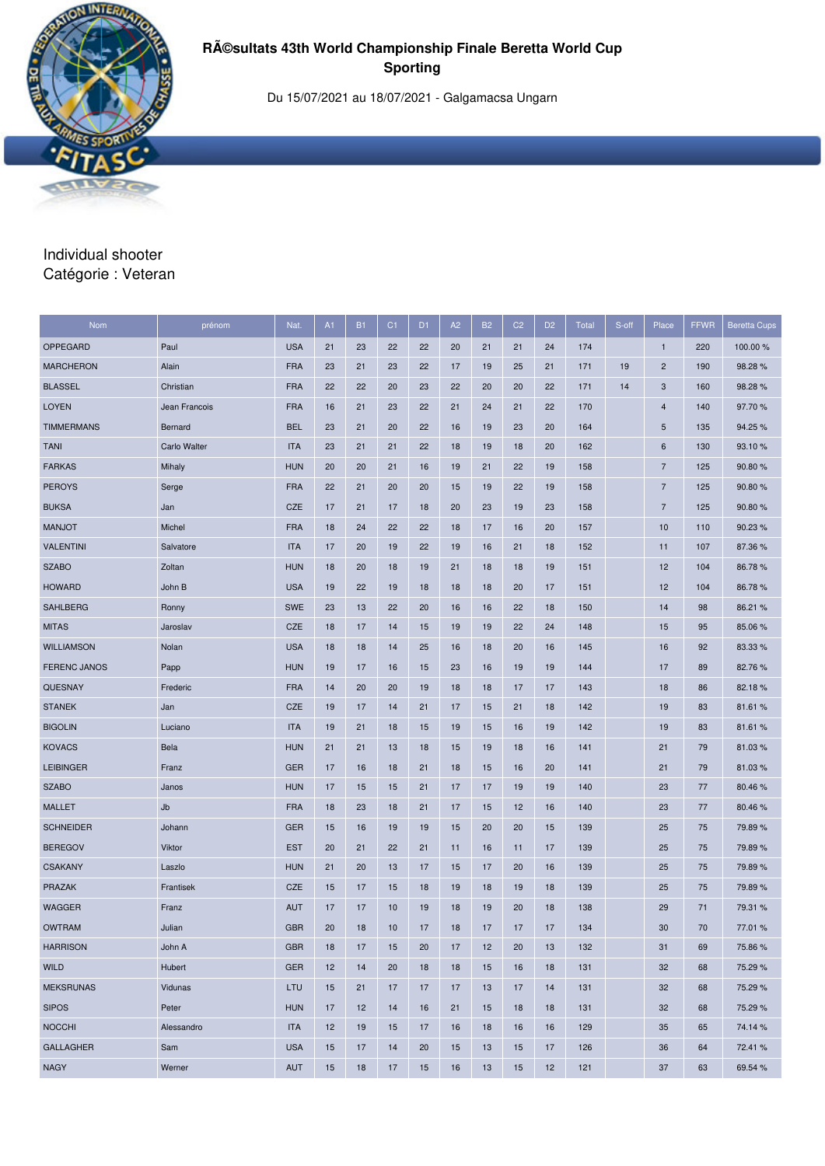

Du 15/07/2021 au 18/07/2021 - Galgamacsa Ungarn

#### Individual shooter Catégorie : Veteran

| Nom                 | prénom        | Nat.       | A1 | <b>B1</b> | C <sub>1</sub> | D <sub>1</sub> | A2 | <b>B2</b> | C <sub>2</sub> | D <sub>2</sub> | Total | S-off | Place          | FFWR | <b>Beretta Cups</b> |
|---------------------|---------------|------------|----|-----------|----------------|----------------|----|-----------|----------------|----------------|-------|-------|----------------|------|---------------------|
| OPPEGARD            | Paul          | <b>USA</b> | 21 | 23        | 22             | 22             | 20 | 21        | 21             | 24             | 174   |       | $\mathbf{1}$   | 220  | 100.00 %            |
| <b>MARCHERON</b>    | Alain         | <b>FRA</b> | 23 | 21        | 23             | 22             | 17 | 19        | 25             | 21             | 171   | 19    | $\overline{c}$ | 190  | 98.28%              |
| <b>BLASSEL</b>      | Christian     | <b>FRA</b> | 22 | 22        | 20             | 23             | 22 | 20        | 20             | 22             | 171   | 14    | 3              | 160  | 98.28%              |
| <b>LOYEN</b>        | Jean Francois | <b>FRA</b> | 16 | 21        | 23             | 22             | 21 | 24        | 21             | 22             | 170   |       | $\overline{4}$ | 140  | 97.70%              |
| <b>TIMMERMANS</b>   | Bernard       | <b>BEL</b> | 23 | 21        | 20             | 22             | 16 | 19        | 23             | 20             | 164   |       | 5              | 135  | 94.25 %             |
| <b>TANI</b>         | Carlo Walter  | <b>ITA</b> | 23 | 21        | 21             | 22             | 18 | 19        | 18             | 20             | 162   |       | 6              | 130  | 93.10%              |
| <b>FARKAS</b>       | Mihaly        | <b>HUN</b> | 20 | 20        | 21             | 16             | 19 | 21        | 22             | 19             | 158   |       | $\overline{7}$ | 125  | 90.80%              |
| <b>PEROYS</b>       | Serge         | <b>FRA</b> | 22 | 21        | 20             | 20             | 15 | 19        | 22             | 19             | 158   |       | $\overline{7}$ | 125  | 90.80%              |
| <b>BUKSA</b>        | Jan           | <b>CZE</b> | 17 | 21        | 17             | 18             | 20 | 23        | 19             | 23             | 158   |       | $\overline{7}$ | 125  | 90.80%              |
| <b>MANJOT</b>       | Michel        | <b>FRA</b> | 18 | 24        | 22             | 22             | 18 | 17        | 16             | 20             | 157   |       | 10             | 110  | 90.23%              |
| <b>VALENTINI</b>    | Salvatore     | <b>ITA</b> | 17 | 20        | 19             | 22             | 19 | 16        | 21             | 18             | 152   |       | 11             | 107  | 87.36 %             |
| <b>SZABO</b>        | Zoltan        | <b>HUN</b> | 18 | 20        | 18             | 19             | 21 | 18        | 18             | 19             | 151   |       | 12             | 104  | 86.78%              |
| <b>HOWARD</b>       | John B        | <b>USA</b> | 19 | 22        | 19             | 18             | 18 | 18        | 20             | 17             | 151   |       | 12             | 104  | 86.78%              |
| <b>SAHLBERG</b>     | Ronny         | <b>SWE</b> | 23 | 13        | 22             | 20             | 16 | 16        | 22             | 18             | 150   |       | 14             | 98   | 86.21 %             |
| <b>MITAS</b>        | Jaroslav      | CZE        | 18 | 17        | 14             | 15             | 19 | 19        | 22             | 24             | 148   |       | 15             | 95   | 85.06%              |
| <b>WILLIAMSON</b>   | Nolan         | <b>USA</b> | 18 | 18        | 14             | 25             | 16 | 18        | 20             | 16             | 145   |       | 16             | 92   | 83.33 %             |
| <b>FERENC JANOS</b> | Papp          | <b>HUN</b> | 19 | 17        | 16             | 15             | 23 | 16        | 19             | 19             | 144   |       | 17             | 89   | 82.76%              |
| <b>QUESNAY</b>      | Frederic      | <b>FRA</b> | 14 | 20        | 20             | 19             | 18 | 18        | 17             | 17             | 143   |       | 18             | 86   | 82.18%              |
| <b>STANEK</b>       | Jan           | CZE        | 19 | 17        | 14             | 21             | 17 | 15        | 21             | 18             | 142   |       | 19             | 83   | 81.61%              |
| <b>BIGOLIN</b>      | Luciano       | <b>ITA</b> | 19 | 21        | 18             | 15             | 19 | 15        | 16             | 19             | 142   |       | 19             | 83   | 81.61%              |
| <b>KOVACS</b>       | Bela          | <b>HUN</b> | 21 | 21        | 13             | 18             | 15 | 19        | 18             | 16             | 141   |       | 21             | 79   | 81.03%              |
| <b>LEIBINGER</b>    | Franz         | <b>GER</b> | 17 | 16        | 18             | 21             | 18 | 15        | 16             | 20             | 141   |       | 21             | 79   | 81.03%              |
| <b>SZABO</b>        | Janos         | <b>HUN</b> | 17 | 15        | 15             | 21             | 17 | 17        | 19             | 19             | 140   |       | 23             | 77   | 80.46%              |
| <b>MALLET</b>       | Jb            | <b>FRA</b> | 18 | 23        | 18             | 21             | 17 | 15        | 12             | 16             | 140   |       | 23             | 77   | 80.46%              |
| <b>SCHNEIDER</b>    | Johann        | <b>GER</b> | 15 | 16        | 19             | 19             | 15 | 20        | 20             | 15             | 139   |       | 25             | 75   | 79.89%              |
| <b>BEREGOV</b>      | Viktor        | <b>EST</b> | 20 | 21        | 22             | 21             | 11 | 16        | 11             | 17             | 139   |       | 25             | 75   | 79.89%              |
| <b>CSAKANY</b>      | Laszlo        | <b>HUN</b> | 21 | 20        | 13             | 17             | 15 | 17        | 20             | 16             | 139   |       | 25             | 75   | 79.89%              |
| PRAZAK              | Frantisek     | <b>CZE</b> | 15 | 17        | 15             | 18             | 19 | 18        | 19             | 18             | 139   |       | 25             | 75   | 79.89%              |
| <b>WAGGER</b>       | Franz         | <b>AUT</b> | 17 | 17        | 10             | 19             | 18 | 19        | 20             | 18             | 138   |       | 29             | 71   | 79.31 %             |
| <b>OWTRAM</b>       | Julian        | <b>GBR</b> | 20 | 18        | 10             | 17             | 18 | 17        | 17             | 17             | 134   |       | 30             | 70   | 77.01%              |
| <b>HARRISON</b>     | John A        | <b>GBR</b> | 18 | 17        | 15             | 20             | 17 | 12        | 20             | 13             | 132   |       | 31             | 69   | 75.86%              |
| <b>WILD</b>         | Hubert        | <b>GER</b> | 12 | 14        | 20             | 18             | 18 | 15        | 16             | 18             | 131   |       | 32             | 68   | 75.29 %             |
| <b>MEKSRUNAS</b>    | Vidunas       | LTU        | 15 | 21        | 17             | 17             | 17 | 13        | 17             | 14             | 131   |       | 32             | 68   | 75.29 %             |
| <b>SIPOS</b>        | Peter         | <b>HUN</b> | 17 | 12        | 14             | 16             | 21 | 15        | 18             | 18             | 131   |       | 32             | 68   | 75.29 %             |
| <b>NOCCHI</b>       | Alessandro    | <b>ITA</b> | 12 | 19        | 15             | 17             | 16 | 18        | 16             | 16             | 129   |       | 35             | 65   | 74.14 %             |
| <b>GALLAGHER</b>    | Sam           | <b>USA</b> | 15 | 17        | 14             | 20             | 15 | 13        | 15             | 17             | 126   |       | 36             | 64   | 72.41 %             |
| <b>NAGY</b>         | Werner        | <b>AUT</b> | 15 | 18        | 17             | 15             | 16 | 13        | 15             | 12             | 121   |       | 37             | 63   | 69.54 %             |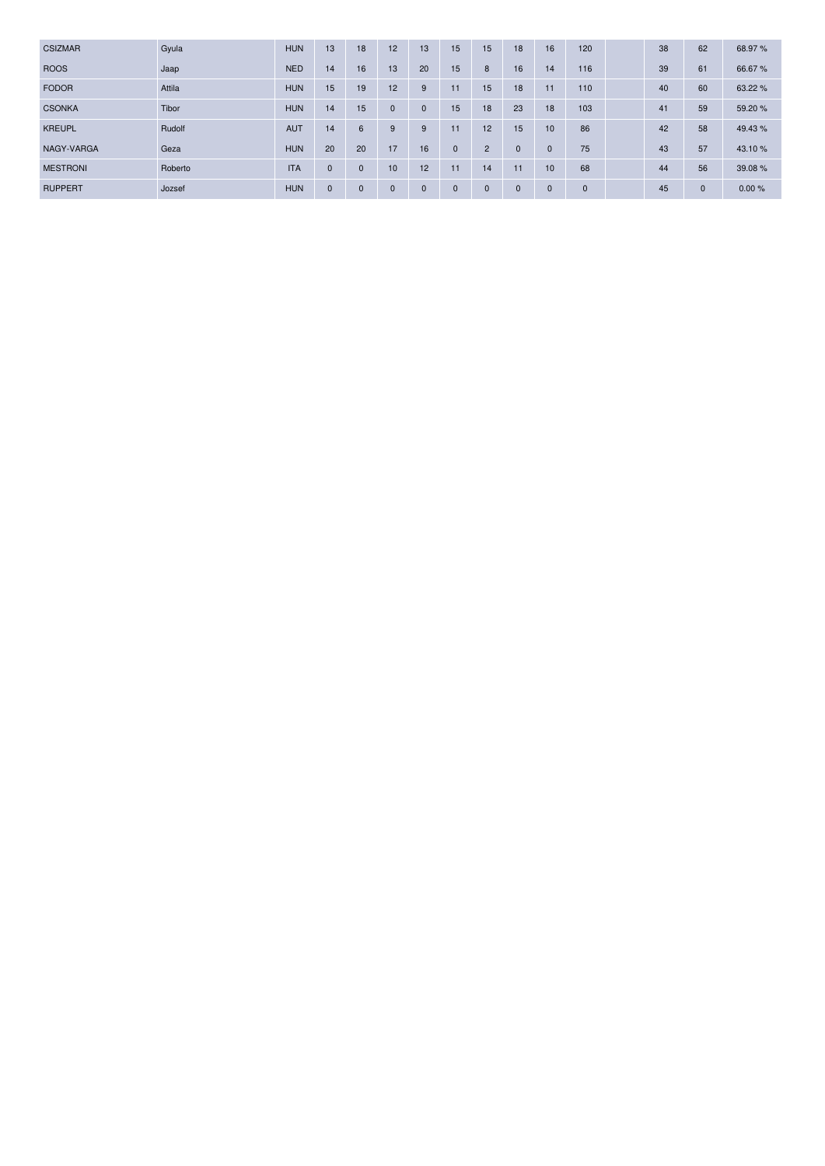| <b>CSIZMAR</b>  | Gyula   | <b>HUN</b> | 13           | 18           | 12           | 13           | 15           | 15             | 18           | 16           | 120          | 38 | 62           | 68.97%  |
|-----------------|---------|------------|--------------|--------------|--------------|--------------|--------------|----------------|--------------|--------------|--------------|----|--------------|---------|
| <b>ROOS</b>     | Jaap    | <b>NED</b> | 14           | 16           | 13           | 20           | 15           | 8              | 16           | 14           | 116          | 39 | 61           | 66.67%  |
| <b>FODOR</b>    | Attila  | <b>HUN</b> | 15           | 19           | 12           | 9            | 11           | 15             | 18           | 11           | 110          | 40 | 60           | 63.22 % |
| <b>CSONKA</b>   | Tibor   | <b>HUN</b> | 14           | 15           | $\Omega$     | $\mathbf{0}$ | 15           | 18             | 23           | 18           | 103          | 41 | 59           | 59.20 % |
| <b>KREUPL</b>   | Rudolf  | <b>AUT</b> | 14           | 6            | 9            | 9            | 11           | 12             | 15           | 10           | 86           | 42 | 58           | 49.43 % |
| NAGY-VARGA      | Geza    | <b>HUN</b> | 20           | 20           | 17           | 16           | $\mathbf{0}$ | $\overline{2}$ | $\mathbf{0}$ | $\mathbf{0}$ | 75           | 43 | 57           | 43.10 % |
| <b>MESTRONI</b> | Roberto | <b>ITA</b> | $\mathbf{0}$ | $\mathbf{0}$ | 10           | 12           | 11           | 14             | 11           | 10           | 68           | 44 | 56           | 39.08%  |
| <b>RUPPERT</b>  | Jozsef  | <b>HUN</b> | $\mathbf{0}$ | $\mathbf 0$  | $\mathbf{0}$ | $\mathbf 0$  | $\mathbf{0}$ | $\mathbf{0}$   | $\mathbf{0}$ | $\mathbf{0}$ | $\mathbf{0}$ | 45 | $\mathbf{0}$ | 0.00%   |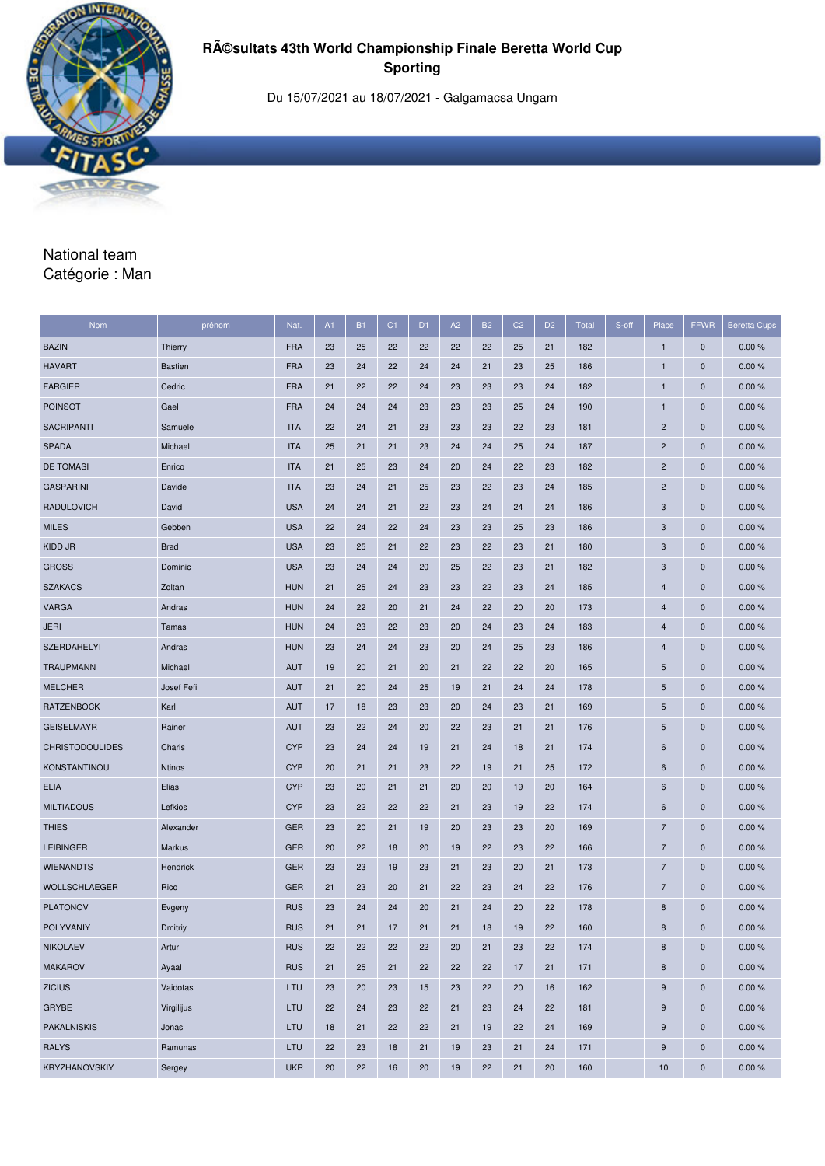

Du 15/07/2021 au 18/07/2021 - Galgamacsa Ungarn

# National team Catégorie : Man

| Nom                    | prénom         | Nat.       | A1 | <b>B1</b> | C <sub>1</sub> | D <sub>1</sub> | A2 | <b>B2</b> | C <sub>2</sub> | D <sub>2</sub> | <b>Total</b> | S-off | Place                   | <b>FFWR</b>  | <b>Beretta Cups</b> |
|------------------------|----------------|------------|----|-----------|----------------|----------------|----|-----------|----------------|----------------|--------------|-------|-------------------------|--------------|---------------------|
| <b>BAZIN</b>           | Thierry        | <b>FRA</b> | 23 | 25        | 22             | 22             | 22 | 22        | 25             | 21             | 182          |       | $\mathbf{1}$            | $\bf{0}$     | 0.00%               |
| <b>HAVART</b>          | <b>Bastien</b> | <b>FRA</b> | 23 | 24        | 22             | 24             | 24 | 21        | 23             | 25             | 186          |       | 1                       | $\mathbf 0$  | 0.00%               |
| <b>FARGIER</b>         | Cedric         | <b>FRA</b> | 21 | 22        | 22             | 24             | 23 | 23        | 23             | 24             | 182          |       | 1                       | $\bf{0}$     | 0.00%               |
| <b>POINSOT</b>         | Gael           | <b>FRA</b> | 24 | 24        | 24             | 23             | 23 | 23        | 25             | 24             | 190          |       | 1                       | $\mathbf 0$  | 0.00%               |
| <b>SACRIPANTI</b>      | Samuele        | <b>ITA</b> | 22 | 24        | 21             | 23             | 23 | 23        | 22             | 23             | 181          |       | $\overline{c}$          | $\mathbf 0$  | 0.00%               |
| <b>SPADA</b>           | Michael        | <b>ITA</b> | 25 | 21        | 21             | 23             | 24 | 24        | 25             | 24             | 187          |       | $\overline{\mathbf{c}}$ | $\bf{0}$     | 0.00%               |
| <b>DE TOMASI</b>       | Enrico         | <b>ITA</b> | 21 | 25        | 23             | 24             | 20 | 24        | 22             | 23             | 182          |       | $\overline{c}$          | $\pmb{0}$    | 0.00%               |
| <b>GASPARINI</b>       | Davide         | <b>ITA</b> | 23 | 24        | 21             | 25             | 23 | 22        | 23             | 24             | 185          |       | $\overline{c}$          | $\mathbf 0$  | 0.00%               |
| <b>RADULOVICH</b>      | David          | <b>USA</b> | 24 | 24        | 21             | 22             | 23 | 24        | 24             | 24             | 186          |       | 3                       | $\bf{0}$     | 0.00%               |
| <b>MILES</b>           | Gebben         | <b>USA</b> | 22 | 24        | 22             | 24             | 23 | 23        | 25             | 23             | 186          |       | 3                       | $\mathbf{0}$ | 0.00%               |
| KIDD JR                | <b>Brad</b>    | <b>USA</b> | 23 | 25        | 21             | 22             | 23 | 22        | 23             | 21             | 180          |       | 3                       | $\mathbf 0$  | 0.00%               |
| <b>GROSS</b>           | Dominic        | <b>USA</b> | 23 | 24        | 24             | 20             | 25 | 22        | 23             | 21             | 182          |       | 3                       | $\bf{0}$     | 0.00%               |
| <b>SZAKACS</b>         | Zoltan         | <b>HUN</b> | 21 | 25        | 24             | 23             | 23 | 22        | 23             | 24             | 185          |       | 4                       | $\mathbf{0}$ | 0.00%               |
| <b>VARGA</b>           | Andras         | <b>HUN</b> | 24 | 22        | 20             | 21             | 24 | 22        | 20             | 20             | 173          |       | 4                       | $\bf{0}$     | 0.00%               |
| <b>JERI</b>            | Tamas          | <b>HUN</b> | 24 | 23        | 22             | 23             | 20 | 24        | 23             | 24             | 183          |       | $\overline{4}$          | $\bf{0}$     | 0.00%               |
| <b>SZERDAHELYI</b>     | Andras         | <b>HUN</b> | 23 | 24        | 24             | 23             | 20 | 24        | 25             | 23             | 186          |       | 4                       | $\mathbf{0}$ | 0.00%               |
| <b>TRAUPMANN</b>       | Michael        | <b>AUT</b> | 19 | 20        | 21             | 20             | 21 | 22        | 22             | 20             | 165          |       | 5                       | $\bf{0}$     | 0.00%               |
| <b>MELCHER</b>         | Josef Fefi     | <b>AUT</b> | 21 | 20        | 24             | 25             | 19 | 21        | 24             | 24             | 178          |       | 5                       | $\mathbf{0}$ | 0.00%               |
| <b>RATZENBOCK</b>      | Karl           | <b>AUT</b> | 17 | 18        | 23             | 23             | 20 | 24        | 23             | 21             | 169          |       | 5                       | $\pmb{0}$    | 0.00%               |
| <b>GEISELMAYR</b>      | Rainer         | <b>AUT</b> | 23 | 22        | 24             | 20             | 22 | 23        | 21             | 21             | 176          |       | 5                       | $\bf{0}$     | 0.00%               |
| <b>CHRISTODOULIDES</b> | Charis         | <b>CYP</b> | 23 | 24        | 24             | 19             | 21 | 24        | 18             | 21             | 174          |       | 6                       | $\mathbf 0$  | 0.00%               |
| KONSTANTINOU           | <b>Ntinos</b>  | <b>CYP</b> | 20 | 21        | 21             | 23             | 22 | 19        | 21             | 25             | 172          |       | 6                       | $\bf{0}$     | 0.00%               |
| <b>ELIA</b>            | Elias          | <b>CYP</b> | 23 | 20        | 21             | 21             | 20 | 20        | 19             | 20             | 164          |       | 6                       | $\bf{0}$     | 0.00%               |
| <b>MILTIADOUS</b>      | Lefkios        | <b>CYP</b> | 23 | 22        | 22             | 22             | 21 | 23        | 19             | 22             | 174          |       | 6                       | $\bf{0}$     | 0.00%               |
| <b>THIES</b>           | Alexander      | <b>GER</b> | 23 | 20        | 21             | 19             | 20 | 23        | 23             | 20             | 169          |       | $\overline{7}$          | $\mathbf 0$  | 0.00%               |
| <b>LEIBINGER</b>       | Markus         | <b>GER</b> | 20 | 22        | 18             | 20             | 19 | 22        | 23             | 22             | 166          |       | $\overline{7}$          | $\bf{0}$     | 0.00%               |
| <b>WIENANDTS</b>       | Hendrick       | <b>GER</b> | 23 | 23        | 19             | 23             | 21 | 23        | 20             | 21             | 173          |       | $\overline{7}$          | $\mathbf 0$  | 0.00%               |
| <b>WOLLSCHLAEGER</b>   | Rico           | <b>GER</b> | 21 | 23        | 20             | 21             | 22 | 23        | 24             | 22             | 176          |       | $\overline{7}$          | $\bf{0}$     | 0.00%               |
| <b>PLATONOV</b>        | Evgeny         | <b>RUS</b> | 23 | 24        | 24             | 20             | 21 | 24        | 20             | 22             | 178          |       | 8                       | $\bf{0}$     | 0.00%               |
| <b>POLYVANIY</b>       | Dmitriy        | <b>RUS</b> | 21 | 21        | 17             | 21             | 21 | 18        | 19             | 22             | 160          |       | 8                       | $\mathbf{0}$ | 0.00%               |
| <b>NIKOLAEV</b>        | Artur          | <b>RUS</b> | 22 | 22        | 22             | 22             | 20 | 21        | 23             | 22             | 174          |       | $\bf 8$                 | $\pmb{0}$    | 0.00%               |
| <b>MAKAROV</b>         | Ayaal          | <b>RUS</b> | 21 | 25        | 21             | 22             | 22 | 22        | 17             | 21             | 171          |       | 8                       | $\pmb{0}$    | 0.00%               |
| <b>ZICIUS</b>          | Vaidotas       | LTU        | 23 | 20        | 23             | 15             | 23 | 22        | 20             | 16             | 162          |       | $\boldsymbol{9}$        | $\pmb{0}$    | 0.00%               |
| GRYBE                  | Virgilijus     | LTU        | 22 | 24        | 23             | 22             | 21 | 23        | 24             | 22             | 181          |       | 9                       | $\pmb{0}$    | 0.00%               |
| <b>PAKALNISKIS</b>     | Jonas          | LTU        | 18 | 21        | 22             | 22             | 21 | 19        | 22             | 24             | 169          |       | 9                       | $\pmb{0}$    | 0.00%               |
| <b>RALYS</b>           | Ramunas        | LTU        | 22 | 23        | 18             | 21             | 19 | 23        | 21             | 24             | 171          |       | 9                       | $\pmb{0}$    | 0.00%               |
| KRYZHANOVSKIY          | Sergey         | <b>UKR</b> | 20 | 22        | 16             | 20             | 19 | 22        | 21             | 20             | 160          |       | 10                      | $\pmb{0}$    | 0.00%               |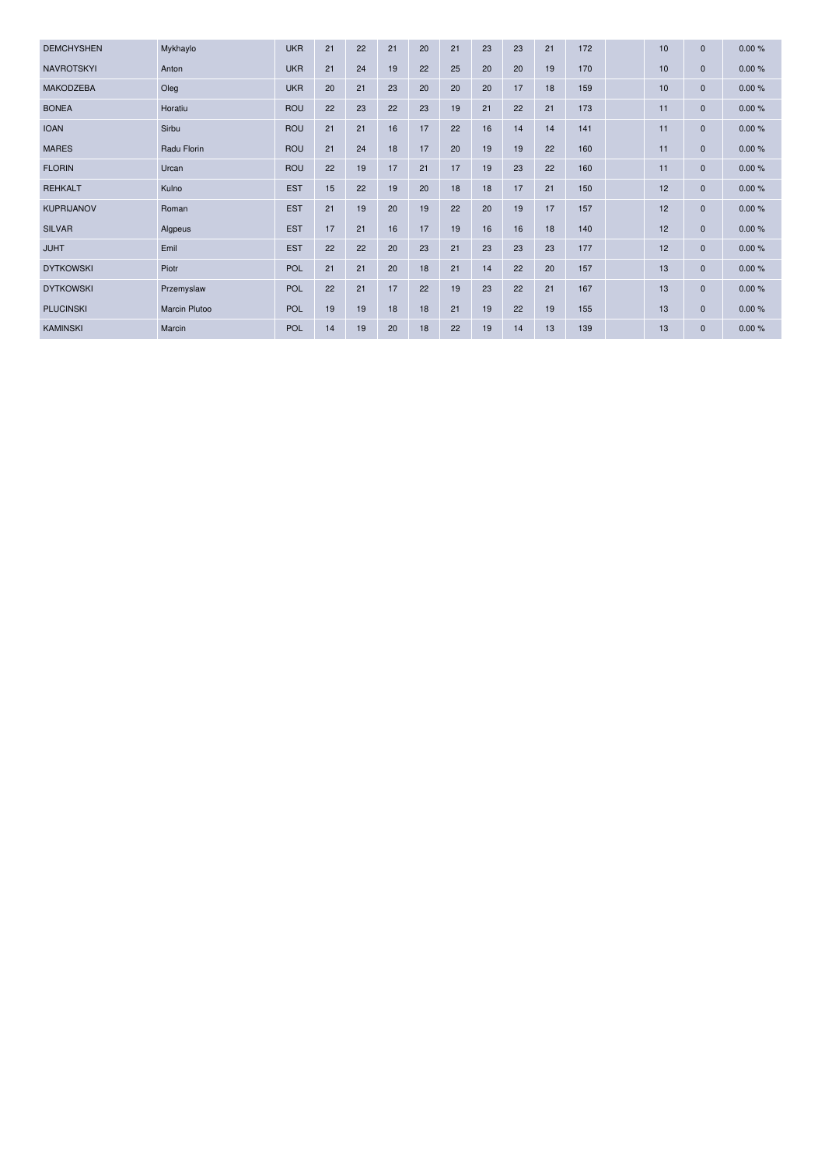| <b>DEMCHYSHEN</b> | Mykhaylo      | <b>UKR</b> | 21 | 22 | 21 | 20 | 21 | 23 | 23 | 21 | 172 | 10 | $\mathbf{0}$ | 0.00% |
|-------------------|---------------|------------|----|----|----|----|----|----|----|----|-----|----|--------------|-------|
| <b>NAVROTSKYI</b> | Anton         | <b>UKR</b> | 21 | 24 | 19 | 22 | 25 | 20 | 20 | 19 | 170 | 10 | $\mathbf{0}$ | 0.00% |
| <b>MAKODZEBA</b>  | Oleg          | <b>UKR</b> | 20 | 21 | 23 | 20 | 20 | 20 | 17 | 18 | 159 | 10 | $\mathbf{0}$ | 0.00% |
| <b>BONEA</b>      | Horatiu       | <b>ROU</b> | 22 | 23 | 22 | 23 | 19 | 21 | 22 | 21 | 173 | 11 | $\mathbf{0}$ | 0.00% |
| <b>IOAN</b>       | Sirbu         | <b>ROU</b> | 21 | 21 | 16 | 17 | 22 | 16 | 14 | 14 | 141 | 11 | $\mathbf{0}$ | 0.00% |
| <b>MARES</b>      | Radu Florin   | <b>ROU</b> | 21 | 24 | 18 | 17 | 20 | 19 | 19 | 22 | 160 | 11 | $\mathbf{0}$ | 0.00% |
| <b>FLORIN</b>     | Urcan         | <b>ROU</b> | 22 | 19 | 17 | 21 | 17 | 19 | 23 | 22 | 160 | 11 | $\mathbf{0}$ | 0.00% |
| <b>REHKALT</b>    | Kulno         | <b>EST</b> | 15 | 22 | 19 | 20 | 18 | 18 | 17 | 21 | 150 | 12 | $\mathbf{0}$ | 0.00% |
| <b>KUPRIJANOV</b> | Roman         | <b>EST</b> | 21 | 19 | 20 | 19 | 22 | 20 | 19 | 17 | 157 | 12 | $\mathbf 0$  | 0.00% |
| <b>SILVAR</b>     | Algpeus       | <b>EST</b> | 17 | 21 | 16 | 17 | 19 | 16 | 16 | 18 | 140 | 12 | $\mathbf{0}$ | 0.00% |
| <b>JUHT</b>       | Emil          | <b>EST</b> | 22 | 22 | 20 | 23 | 21 | 23 | 23 | 23 | 177 | 12 | $\mathbf 0$  | 0.00% |
| <b>DYTKOWSKI</b>  | Piotr         | <b>POL</b> | 21 | 21 | 20 | 18 | 21 | 14 | 22 | 20 | 157 | 13 | $\mathbf{0}$ | 0.00% |
| <b>DYTKOWSKI</b>  | Przemyslaw    | <b>POL</b> | 22 | 21 | 17 | 22 | 19 | 23 | 22 | 21 | 167 | 13 | $\mathbf 0$  | 0.00% |
| <b>PLUCINSKI</b>  | Marcin Plutoo | POL        | 19 | 19 | 18 | 18 | 21 | 19 | 22 | 19 | 155 | 13 | $\mathbf{0}$ | 0.00% |
| <b>KAMINSKI</b>   | Marcin        | <b>POL</b> | 14 | 19 | 20 | 18 | 22 | 19 | 14 | 13 | 139 | 13 | $\mathbf 0$  | 0.00% |